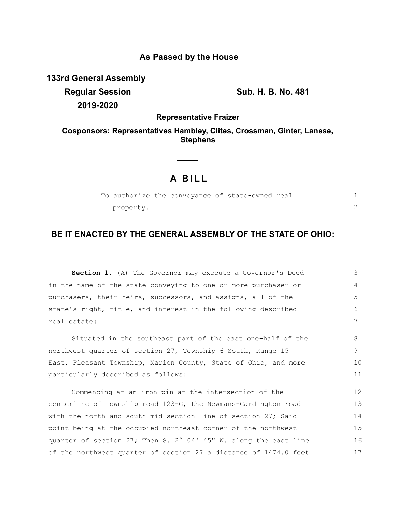## **As Passed by the House**

**133rd General Assembly**

**Regular Session Sub. H. B. No. 481 2019-2020**

**Representative Fraizer**

**Cosponsors: Representatives Hambley, Clites, Crossman, Ginter, Lanese, Stephens**

# **A B I L L**

|           |  | To authorize the conveyance of state-owned real |  |
|-----------|--|-------------------------------------------------|--|
| property. |  |                                                 |  |

## **BE IT ENACTED BY THE GENERAL ASSEMBLY OF THE STATE OF OHIO:**

**Section 1.** (A) The Governor may execute a Governor's Deed in the name of the state conveying to one or more purchaser or purchasers, their heirs, successors, and assigns, all of the state's right, title, and interest in the following described real estate: Situated in the southeast part of the east one-half of the 3 4 5 6 7 8

northwest quarter of section 27, Township 6 South, Range 15 East, Pleasant Township, Marion County, State of Ohio, and more particularly described as follows:  $\mathsf{Q}$ 10 11

Commencing at an iron pin at the intersection of the centerline of township road 123-G, the Newmans-Cardington road with the north and south mid-section line of section 27; Said point being at the occupied northeast corner of the northwest quarter of section 27; Then S. 2° 04' 45" W. along the east line of the northwest quarter of section 27 a distance of 1474.0 feet 12 13 14 15 16 17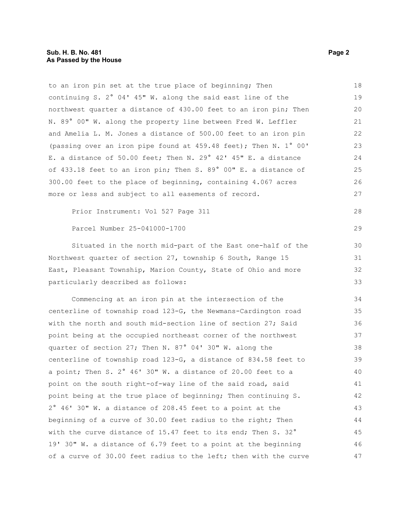to an iron pin set at the true place of beginning; Then continuing S. 2° 04' 45" W. along the said east line of the northwest quarter a distance of 430.00 feet to an iron pin; Then N. 89° 00" W. along the property line between Fred W. Leffler and Amelia L. M. Jones a distance of 500.00 feet to an iron pin (passing over an iron pipe found at 459.48 feet); Then N. 1° 00' E. a distance of 50.00 feet; Then N. 29° 42' 45" E. a distance of 433.18 feet to an iron pin; Then S. 89° 00" E. a distance of 300.00 feet to the place of beginning, containing 4.067 acres more or less and subject to all easements of record. Prior Instrument: Vol 527 Page 311 Parcel Number 25-041000-1700 Situated in the north mid-part of the East one-half of the Northwest quarter of section 27, township 6 South, Range 15 East, Pleasant Township, Marion County, State of Ohio and more particularly described as follows: Commencing at an iron pin at the intersection of the centerline of township road 123-G, the Newmans-Cardington road with the north and south mid-section line of section 27; Said point being at the occupied northeast corner of the northwest quarter of section 27; Then N. 87° 04' 30" W. along the centerline of township road 123-G, a distance of 834.58 feet to a point; Then S. 2° 46' 30" W. a distance of 20.00 feet to a point on the south right-of-way line of the said road, said point being at the true place of beginning; Then continuing S. 2° 46' 30" W. a distance of 208.45 feet to a point at the beginning of a curve of 30.00 feet radius to the right; Then with the curve distance of 15.47 feet to its end; Then S. 32° 19' 30" W. a distance of 6.79 feet to a point at the beginning of a curve of 30.00 feet radius to the left; then with the curve 18 19 20 21 22 23 24 25 26 27 28 29 30 31 32 33 34 35 36 37 38 39 40 41 42 43 44 45 46 47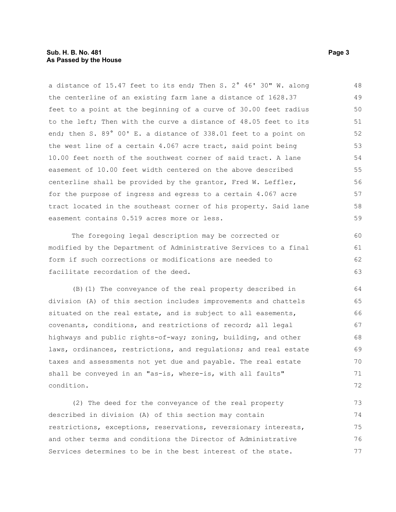#### **Sub. H. B. No. 481 Page 3 As Passed by the House**

a distance of 15.47 feet to its end; Then S. 2° 46' 30" W. along the centerline of an existing farm lane a distance of 1628.37 feet to a point at the beginning of a curve of 30.00 feet radius to the left; Then with the curve a distance of 48.05 feet to its end; then S. 89° 00' E. a distance of 338.01 feet to a point on the west line of a certain 4.067 acre tract, said point being 10.00 feet north of the southwest corner of said tract. A lane easement of 10.00 feet width centered on the above described centerline shall be provided by the grantor, Fred W. Leffler, for the purpose of ingress and egress to a certain 4.067 acre tract located in the southeast corner of his property. Said lane easement contains 0.519 acres more or less. 48 49 50 51 52 53 54 55 56 57 58 59

The foregoing legal description may be corrected or modified by the Department of Administrative Services to a final form if such corrections or modifications are needed to facilitate recordation of the deed.

(B)(1) The conveyance of the real property described in division (A) of this section includes improvements and chattels situated on the real estate, and is subject to all easements, covenants, conditions, and restrictions of record; all legal highways and public rights-of-way; zoning, building, and other laws, ordinances, restrictions, and regulations; and real estate taxes and assessments not yet due and payable. The real estate shall be conveyed in an "as-is, where-is, with all faults" condition. 71

(2) The deed for the conveyance of the real property described in division (A) of this section may contain restrictions, exceptions, reservations, reversionary interests, and other terms and conditions the Director of Administrative Services determines to be in the best interest of the state. 73 74 75 76 77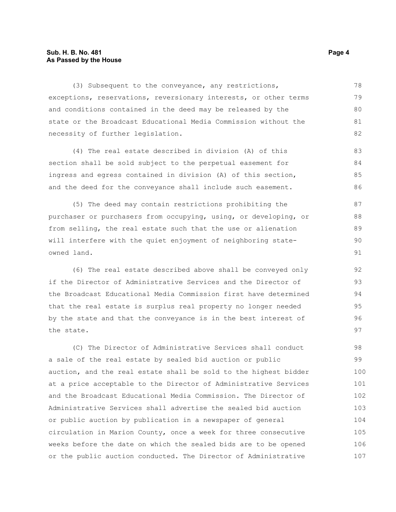#### **Sub. H. B. No. 481 Page 4 As Passed by the House**

(3) Subsequent to the conveyance, any restrictions, exceptions, reservations, reversionary interests, or other terms and conditions contained in the deed may be released by the state or the Broadcast Educational Media Commission without the necessity of further legislation. 78 79 80 81 82

(4) The real estate described in division (A) of this section shall be sold subject to the perpetual easement for ingress and egress contained in division (A) of this section, and the deed for the conveyance shall include such easement. 83 84 85  $86$ 

(5) The deed may contain restrictions prohibiting the purchaser or purchasers from occupying, using, or developing, or from selling, the real estate such that the use or alienation will interfere with the quiet enjoyment of neighboring stateowned land.

(6) The real estate described above shall be conveyed only if the Director of Administrative Services and the Director of the Broadcast Educational Media Commission first have determined that the real estate is surplus real property no longer needed by the state and that the conveyance is in the best interest of the state.

(C) The Director of Administrative Services shall conduct a sale of the real estate by sealed bid auction or public auction, and the real estate shall be sold to the highest bidder at a price acceptable to the Director of Administrative Services and the Broadcast Educational Media Commission. The Director of Administrative Services shall advertise the sealed bid auction or public auction by publication in a newspaper of general circulation in Marion County, once a week for three consecutive weeks before the date on which the sealed bids are to be opened or the public auction conducted. The Director of Administrative 98 99 100 101 102 103 104 105 106 107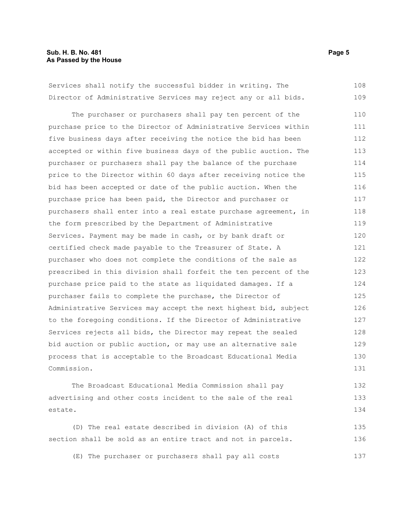Services shall notify the successful bidder in writing. The Director of Administrative Services may reject any or all bids. 108 109

The purchaser or purchasers shall pay ten percent of the purchase price to the Director of Administrative Services within five business days after receiving the notice the bid has been accepted or within five business days of the public auction. The purchaser or purchasers shall pay the balance of the purchase price to the Director within 60 days after receiving notice the bid has been accepted or date of the public auction. When the purchase price has been paid, the Director and purchaser or purchasers shall enter into a real estate purchase agreement, in the form prescribed by the Department of Administrative Services. Payment may be made in cash, or by bank draft or certified check made payable to the Treasurer of State. A purchaser who does not complete the conditions of the sale as prescribed in this division shall forfeit the ten percent of the purchase price paid to the state as liquidated damages. If a purchaser fails to complete the purchase, the Director of Administrative Services may accept the next highest bid, subject to the foregoing conditions. If the Director of Administrative Services rejects all bids, the Director may repeat the sealed bid auction or public auction, or may use an alternative sale process that is acceptable to the Broadcast Educational Media Commission. 110 111 112 113 114 115 116 117 118 119 120 121 122 123 124 125 126 127 128 129 130 131

The Broadcast Educational Media Commission shall pay advertising and other costs incident to the sale of the real estate. 132 133 134

(D) The real estate described in division (A) of this section shall be sold as an entire tract and not in parcels. 135 136

(E) The purchaser or purchasers shall pay all costs 137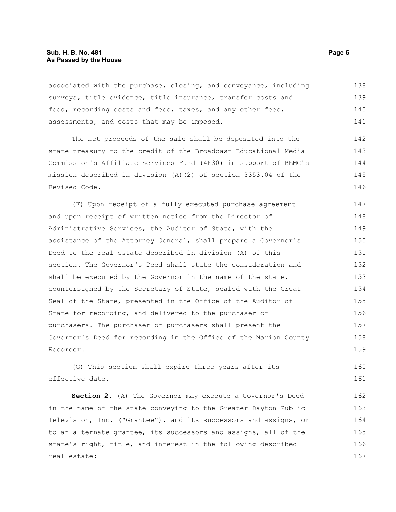#### **Sub. H. B. No. 481 Page 6 As Passed by the House**

associated with the purchase, closing, and conveyance, including surveys, title evidence, title insurance, transfer costs and fees, recording costs and fees, taxes, and any other fees, assessments, and costs that may be imposed. 138 139 140 141

The net proceeds of the sale shall be deposited into the state treasury to the credit of the Broadcast Educational Media Commission's Affiliate Services Fund (4F30) in support of BEMC's mission described in division (A)(2) of section 3353.04 of the Revised Code. 142 143 144 145 146

(F) Upon receipt of a fully executed purchase agreement and upon receipt of written notice from the Director of Administrative Services, the Auditor of State, with the assistance of the Attorney General, shall prepare a Governor's Deed to the real estate described in division (A) of this section. The Governor's Deed shall state the consideration and shall be executed by the Governor in the name of the state, countersigned by the Secretary of State, sealed with the Great Seal of the State, presented in the Office of the Auditor of State for recording, and delivered to the purchaser or purchasers. The purchaser or purchasers shall present the Governor's Deed for recording in the Office of the Marion County Recorder. 147 148 149 150 151 152 153 154 155 156 157 158 159

(G) This section shall expire three years after its effective date. 160 161

**Section 2.** (A) The Governor may execute a Governor's Deed in the name of the state conveying to the Greater Dayton Public Television, Inc. ("Grantee"), and its successors and assigns, or to an alternate grantee, its successors and assigns, all of the state's right, title, and interest in the following described real estate: 162 163 164 165 166 167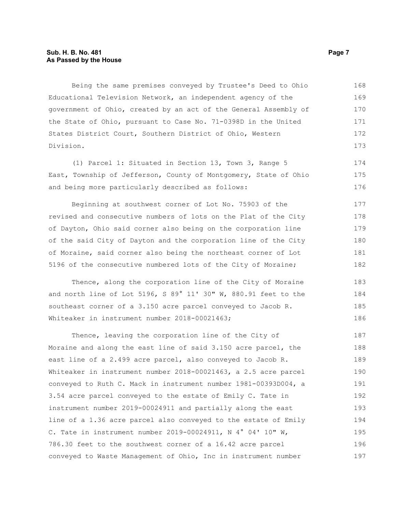#### **Sub. H. B. No. 481 Page 7 As Passed by the House**

Being the same premises conveyed by Trustee's Deed to Ohio Educational Television Network, an independent agency of the government of Ohio, created by an act of the General Assembly of the State of Ohio, pursuant to Case No. 71-0398D in the United States District Court, Southern District of Ohio, Western Division. 168 169 170 171 172 173

(1) Parcel 1: Situated in Section 13, Town 3, Range 5 East, Township of Jefferson, County of Montgomery, State of Ohio and being more particularly described as follows: 174 175 176

Beginning at southwest corner of Lot No. 75903 of the revised and consecutive numbers of lots on the Plat of the City of Dayton, Ohio said corner also being on the corporation line of the said City of Dayton and the corporation line of the City of Moraine, said corner also being the northeast corner of Lot 5196 of the consecutive numbered lots of the City of Moraine; 177 178 179 180 181 182

Thence, along the corporation line of the City of Moraine and north line of Lot 5196, S 89° 11' 30" W, 880.91 feet to the southeast corner of a 3.150 acre parcel conveyed to Jacob R. Whiteaker in instrument number 2018-00021463;

Thence, leaving the corporation line of the City of Moraine and along the east line of said 3.150 acre parcel, the east line of a 2.499 acre parcel, also conveyed to Jacob R. Whiteaker in instrument number 2018-00021463, a 2.5 acre parcel conveyed to Ruth C. Mack in instrument number 1981-00393D004, a 3.54 acre parcel conveyed to the estate of Emily C. Tate in instrument number 2019-00024911 and partially along the east line of a 1.36 acre parcel also conveyed to the estate of Emily C. Tate in instrument number 2019-00024911, N 4° 04' 10" W, 786.30 feet to the southwest corner of a 16.42 acre parcel conveyed to Waste Management of Ohio, Inc in instrument number 187 188 189 190 191 192 193 194 195 196 197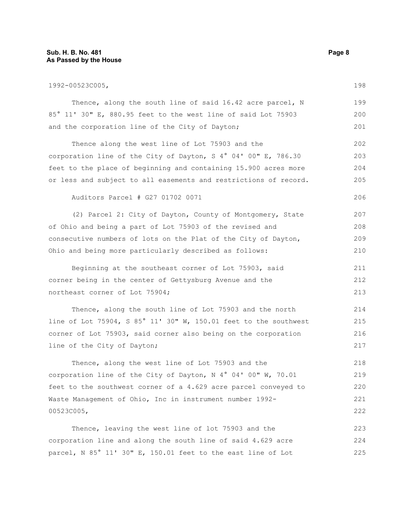### **Sub. H. B. No. 481 Page 8 As Passed by the House**

| 1992-00523C005,                                                  |     |  |  |  |  |
|------------------------------------------------------------------|-----|--|--|--|--|
| Thence, along the south line of said 16.42 acre parcel, N        | 199 |  |  |  |  |
| 85° 11' 30" E, 880.95 feet to the west line of said Lot 75903    | 200 |  |  |  |  |
| and the corporation line of the City of Dayton;                  | 201 |  |  |  |  |
| Thence along the west line of Lot 75903 and the                  | 202 |  |  |  |  |
| corporation line of the City of Dayton, S 4° 04' 00" E, 786.30   |     |  |  |  |  |
| feet to the place of beginning and containing 15.900 acres more  | 204 |  |  |  |  |
| or less and subject to all easements and restrictions of record. | 205 |  |  |  |  |
| Auditors Parcel # G27 01702 0071                                 | 206 |  |  |  |  |
| (2) Parcel 2: City of Dayton, County of Montgomery, State        | 207 |  |  |  |  |
| of Ohio and being a part of Lot 75903 of the revised and         | 208 |  |  |  |  |
| consecutive numbers of lots on the Plat of the City of Dayton,   |     |  |  |  |  |
| Ohio and being more particularly described as follows:           | 210 |  |  |  |  |
| Beginning at the southeast corner of Lot 75903, said             | 211 |  |  |  |  |
| corner being in the center of Gettysburg Avenue and the          |     |  |  |  |  |
| northeast corner of Lot 75904;                                   | 213 |  |  |  |  |
| Thence, along the south line of Lot 75903 and the north          | 214 |  |  |  |  |
| line of Lot 75904, S 85° 11' 30" W, 150.01 feet to the southwest | 215 |  |  |  |  |
| corner of Lot 75903, said corner also being on the corporation   | 216 |  |  |  |  |
| line of the City of Dayton;                                      | 217 |  |  |  |  |
| Thence, along the west line of Lot 75903 and the                 | 218 |  |  |  |  |
| corporation line of the City of Dayton, N 4° 04' 00" W, 70.01    | 219 |  |  |  |  |
| feet to the southwest corner of a 4.629 acre parcel conveyed to  |     |  |  |  |  |
| Waste Management of Ohio, Inc in instrument number 1992-         |     |  |  |  |  |
| 00523C005,                                                       | 222 |  |  |  |  |
| Thence, leaving the west line of lot 75903 and the               | 223 |  |  |  |  |

hence, leaving the west line of lot 75903 and the corporation line and along the south line of said 4.629 acre parcel, N 85° 11' 30" E, 150.01 feet to the east line of Lot 224 225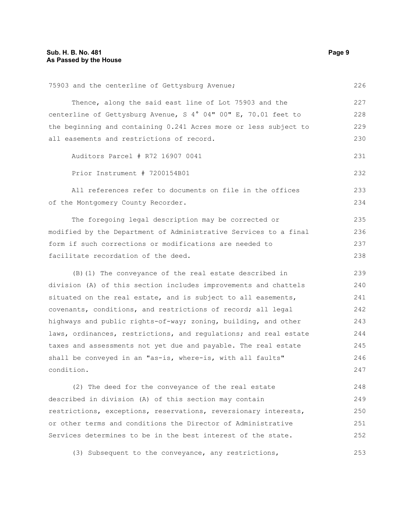| 75903 and the centerline of Gettysburg Avenue;                   |     |  |  |  |  |
|------------------------------------------------------------------|-----|--|--|--|--|
| Thence, along the said east line of Lot 75903 and the            | 227 |  |  |  |  |
| centerline of Gettysburg Avenue, S 4° 04" 00" E, 70.01 feet to   | 228 |  |  |  |  |
| the beginning and containing 0.241 Acres more or less subject to |     |  |  |  |  |
| all easements and restrictions of record.                        |     |  |  |  |  |
| Auditors Parcel # R72 16907 0041                                 | 231 |  |  |  |  |
| Prior Instrument # 7200154B01                                    | 232 |  |  |  |  |
| All references refer to documents on file in the offices         | 233 |  |  |  |  |
| of the Montgomery County Recorder.                               |     |  |  |  |  |
| The foregoing legal description may be corrected or              | 235 |  |  |  |  |
| modified by the Department of Administrative Services to a final | 236 |  |  |  |  |
| form if such corrections or modifications are needed to          |     |  |  |  |  |
| facilitate recordation of the deed.                              | 238 |  |  |  |  |
| (B) (1) The conveyance of the real estate described in           | 239 |  |  |  |  |
| division (A) of this section includes improvements and chattels  |     |  |  |  |  |
| situated on the real estate, and is subject to all easements,    |     |  |  |  |  |
| covenants, conditions, and restrictions of record; all legal     |     |  |  |  |  |
| highways and public rights-of-way; zoning, building, and other   | 243 |  |  |  |  |
| laws, ordinances, restrictions, and regulations; and real estate | 244 |  |  |  |  |
| taxes and assessments not yet due and payable. The real estate   | 245 |  |  |  |  |
| shall be conveyed in an "as-is, where-is, with all faults"       | 246 |  |  |  |  |
| condition.                                                       | 247 |  |  |  |  |
| (2) The deed for the conveyance of the real estate               | 248 |  |  |  |  |
| described in division (A) of this section may contain            | 249 |  |  |  |  |
| restrictions, exceptions, reservations, reversionary interests,  |     |  |  |  |  |
| or other terms and conditions the Director of Administrative     |     |  |  |  |  |
| Services determines to be in the best interest of the state.     |     |  |  |  |  |
| (3) Subsequent to the conveyance, any restrictions,              | 253 |  |  |  |  |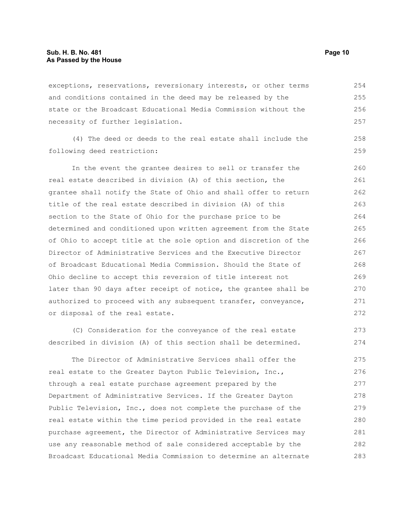exceptions, reservations, reversionary interests, or other terms and conditions contained in the deed may be released by the state or the Broadcast Educational Media Commission without the necessity of further legislation. 254 255 256 257

(4) The deed or deeds to the real estate shall include the following deed restriction:

In the event the grantee desires to sell or transfer the real estate described in division (A) of this section, the grantee shall notify the State of Ohio and shall offer to return title of the real estate described in division (A) of this section to the State of Ohio for the purchase price to be determined and conditioned upon written agreement from the State of Ohio to accept title at the sole option and discretion of the Director of Administrative Services and the Executive Director of Broadcast Educational Media Commission. Should the State of Ohio decline to accept this reversion of title interest not later than 90 days after receipt of notice, the grantee shall be authorized to proceed with any subsequent transfer, conveyance, or disposal of the real estate. 260 261 262 263 264 265 266 267 268 269 270 271 272

(C) Consideration for the conveyance of the real estate described in division (A) of this section shall be determined. 273 274

The Director of Administrative Services shall offer the real estate to the Greater Dayton Public Television, Inc., through a real estate purchase agreement prepared by the Department of Administrative Services. If the Greater Dayton Public Television, Inc., does not complete the purchase of the real estate within the time period provided in the real estate purchase agreement, the Director of Administrative Services may use any reasonable method of sale considered acceptable by the Broadcast Educational Media Commission to determine an alternate 275 276 277 278 279 280 281 282 283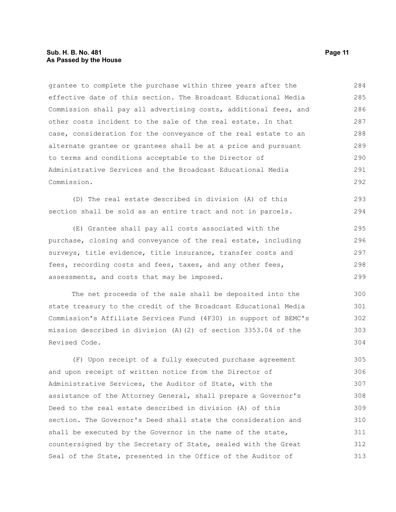grantee to complete the purchase within three years after the effective date of this section. The Broadcast Educational Media Commission shall pay all advertising costs, additional fees, and other costs incident to the sale of the real estate. In that case, consideration for the conveyance of the real estate to an alternate grantee or grantees shall be at a price and pursuant to terms and conditions acceptable to the Director of Administrative Services and the Broadcast Educational Media Commission. 284 285 286 287 288 289 290 291 292

(D) The real estate described in division (A) of this section shall be sold as an entire tract and not in parcels.

(E) Grantee shall pay all costs associated with the purchase, closing and conveyance of the real estate, including surveys, title evidence, title insurance, transfer costs and fees, recording costs and fees, taxes, and any other fees, assessments, and costs that may be imposed.

The net proceeds of the sale shall be deposited into the state treasury to the credit of the Broadcast Educational Media Commission's Affiliate Services Fund (4F30) in support of BEMC's mission described in division (A)(2) of section 3353.04 of the Revised Code. 300 301 302 303 304

(F) Upon receipt of a fully executed purchase agreement and upon receipt of written notice from the Director of Administrative Services, the Auditor of State, with the assistance of the Attorney General, shall prepare a Governor's Deed to the real estate described in division (A) of this section. The Governor's Deed shall state the consideration and shall be executed by the Governor in the name of the state, countersigned by the Secretary of State, sealed with the Great Seal of the State, presented in the Office of the Auditor of 305 306 307 308 309 310 311 312 313

293 294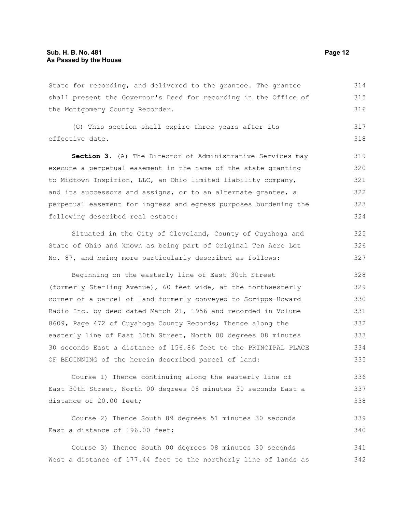State for recording, and delivered to the grantee. The grantee shall present the Governor's Deed for recording in the Office of the Montgomery County Recorder. 314 315 316

(G) This section shall expire three years after its effective date. 317 318

Section 3. (A) The Director of Administrative Services may execute a perpetual easement in the name of the state granting to Midtown Inspirion, LLC, an Ohio limited liability company, and its successors and assigns, or to an alternate grantee, a perpetual easement for ingress and egress purposes burdening the following described real estate: 319 320 321 322 323 324

Situated in the City of Cleveland, County of Cuyahoga and State of Ohio and known as being part of Original Ten Acre Lot No. 87, and being more particularly described as follows:

Beginning on the easterly line of East 30th Street (formerly Sterling Avenue), 60 feet wide, at the northwesterly corner of a parcel of land formerly conveyed to Scripps-Howard Radio Inc. by deed dated March 21, 1956 and recorded in Volume 8609, Page 472 of Cuyahoga County Records; Thence along the easterly line of East 30th Street, North 00 degrees 08 minutes 30 seconds East a distance of 156.86 feet to the PRINCIPAL PLACE OF BEGINNING of the herein described parcel of land: 328 329 330 331 332 333 334 335

Course 1) Thence continuing along the easterly line of East 30th Street, North 00 degrees 08 minutes 30 seconds East a distance of 20.00 feet; 336 337 338

Course 2) Thence South 89 degrees 51 minutes 30 seconds East a distance of 196.00 feet; 339 340

Course 3) Thence South 00 degrees 08 minutes 30 seconds West a distance of 177.44 feet to the northerly line of lands as 341 342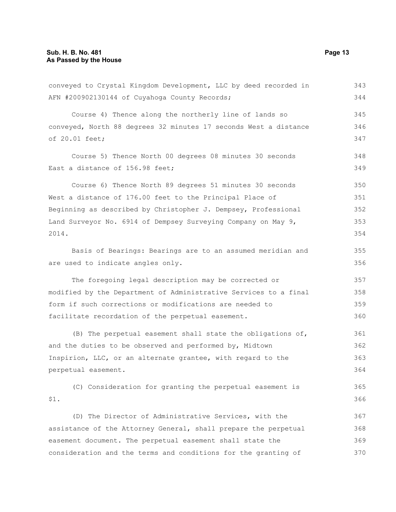#### **Sub. H. B. No. 481 Page 13 As Passed by the House**

conveyed to Crystal Kingdom Development, LLC by deed recorded in AFN #200902130144 of Cuyahoga County Records; Course 4) Thence along the northerly line of lands so conveyed, North 88 degrees 32 minutes 17 seconds West a distance of 20.01 feet; Course 5) Thence North 00 degrees 08 minutes 30 seconds East a distance of 156.98 feet; Course 6) Thence North 89 degrees 51 minutes 30 seconds West a distance of 176.00 feet to the Principal Place of Beginning as described by Christopher J. Dempsey, Professional Land Surveyor No. 6914 of Dempsey Surveying Company on May 9, 2014. Basis of Bearings: Bearings are to an assumed meridian and are used to indicate angles only. The foregoing legal description may be corrected or modified by the Department of Administrative Services to a final form if such corrections or modifications are needed to facilitate recordation of the perpetual easement. (B) The perpetual easement shall state the obligations of, and the duties to be observed and performed by, Midtown Inspirion, LLC, or an alternate grantee, with regard to the perpetual easement. (C) Consideration for granting the perpetual easement is \$1. (D) The Director of Administrative Services, with the assistance of the Attorney General, shall prepare the perpetual easement document. The perpetual easement shall state the consideration and the terms and conditions for the granting of 343 344 345 346 347 348 349 350 351 352 353 354 355 356 357 358 359 360 361 362 363 364 365 366 367 368 369 370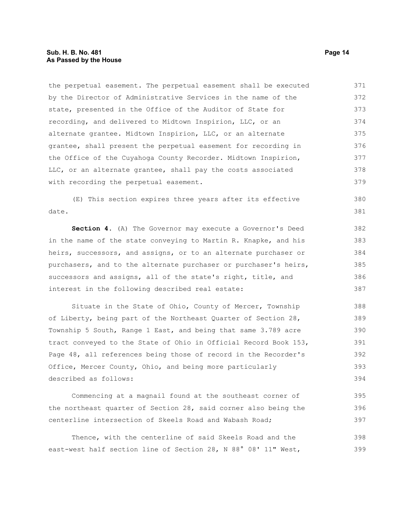the perpetual easement. The perpetual easement shall be executed by the Director of Administrative Services in the name of the state, presented in the Office of the Auditor of State for recording, and delivered to Midtown Inspirion, LLC, or an alternate grantee. Midtown Inspirion, LLC, or an alternate grantee, shall present the perpetual easement for recording in the Office of the Cuyahoga County Recorder. Midtown Inspirion, LLC, or an alternate grantee, shall pay the costs associated with recording the perpetual easement. 371 372 373 374 375 376 377 378 379

(E) This section expires three years after its effective date. 380 381

**Section 4.** (A) The Governor may execute a Governor's Deed in the name of the state conveying to Martin R. Knapke, and his heirs, successors, and assigns, or to an alternate purchaser or purchasers, and to the alternate purchaser or purchaser's heirs, successors and assigns, all of the state's right, title, and interest in the following described real estate:

Situate in the State of Ohio, County of Mercer, Township of Liberty, being part of the Northeast Quarter of Section 28, Township 5 South, Range 1 East, and being that same 3.789 acre tract conveyed to the State of Ohio in Official Record Book 153, Page 48, all references being those of record in the Recorder's Office, Mercer County, Ohio, and being more particularly described as follows: 388 389 390 391 392 393 394

Commencing at a magnail found at the southeast corner of the northeast quarter of Section 28, said corner also being the centerline intersection of Skeels Road and Wabash Road; 395 396 397

Thence, with the centerline of said Skeels Road and the east-west half section line of Section 28, N 88° 08' 11" West, 398 399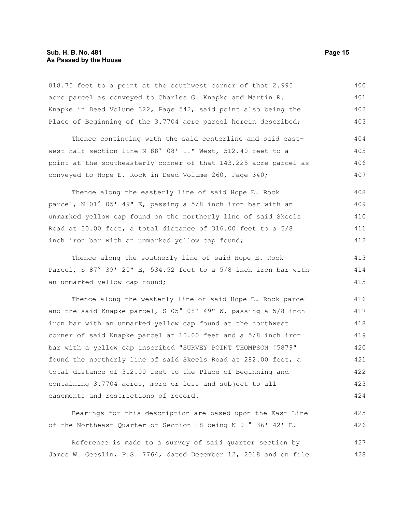818.75 feet to a point at the southwest corner of that 2.995 acre parcel as conveyed to Charles G. Knapke and Martin R. Knapke in Deed Volume 322, Page 542, said point also being the Place of Beginning of the 3.7704 acre parcel herein described; 400 401 402 403

Thence continuing with the said centerline and said eastwest half section line N 88° 08' 11" West, 512.40 feet to a point at the southeasterly corner of that 143.225 acre parcel as conveyed to Hope E. Rock in Deed Volume 260, Page 340; 404 405 406 407

Thence along the easterly line of said Hope E. Rock parcel, N 01° 05' 49" E, passing a 5/8 inch iron bar with an unmarked yellow cap found on the northerly line of said Skeels Road at 30.00 feet, a total distance of 316.00 feet to a 5/8 inch iron bar with an unmarked yellow cap found; 408 409 410 411 412

Thence along the southerly line of said Hope E. Rock Parcel, S 87° 39' 20" E, 534.52 feet to a 5/8 inch iron bar with an unmarked yellow cap found;

Thence along the westerly line of said Hope E. Rock parcel and the said Knapke parcel, S 05° 08' 49" W, passing a 5/8 inch iron bar with an unmarked yellow cap found at the northwest corner of said Knapke parcel at 10.00 feet and a 5/8 inch iron bar with a yellow cap inscribed "SURVEY POINT THOMPSON #5879" found the northerly line of said Skeels Road at 282.00 feet, a total distance of 312.00 feet to the Place of Beginning and containing 3.7704 acres, more or less and subject to all easements and restrictions of record. 416 417 418 419 420 421 422 423 424

Bearings for this description are based upon the East Line of the Northeast Quarter of Section 28 being N 01° 36' 42' E.

Reference is made to a survey of said quarter section by James W. Geeslin, P.S. 7764, dated December 12, 2018 and on file 427 428

413 414 415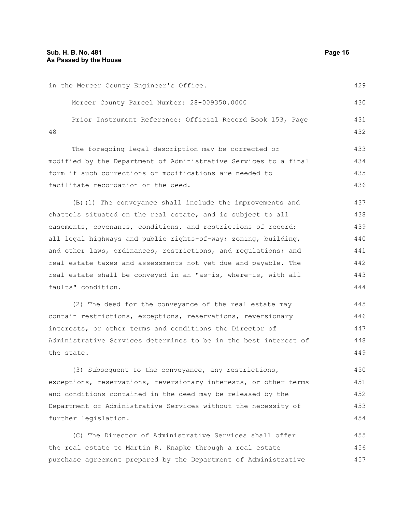in the Mercer County Engineer's Office. Mercer County Parcel Number: 28-009350.0000 Prior Instrument Reference: Official Record Book 153, Page 48 The foregoing legal description may be corrected or modified by the Department of Administrative Services to a final form if such corrections or modifications are needed to facilitate recordation of the deed. (B)(1) The conveyance shall include the improvements and chattels situated on the real estate, and is subject to all easements, covenants, conditions, and restrictions of record; all legal highways and public rights-of-way; zoning, building, and other laws, ordinances, restrictions, and regulations; and real estate taxes and assessments not yet due and payable. The real estate shall be conveyed in an "as-is, where-is, with all faults" condition. (2) The deed for the conveyance of the real estate may contain restrictions, exceptions, reservations, reversionary interests, or other terms and conditions the Director of Administrative Services determines to be in the best interest of the state. (3) Subsequent to the conveyance, any restrictions, exceptions, reservations, reversionary interests, or other terms and conditions contained in the deed may be released by the Department of Administrative Services without the necessity of further legislation. 429 430 431 432 433 434 435 436 437 438 439 440 441 442 443 444 445 446 447 448 449 450 451 452 453 454

(C) The Director of Administrative Services shall offer the real estate to Martin R. Knapke through a real estate purchase agreement prepared by the Department of Administrative 455 456 457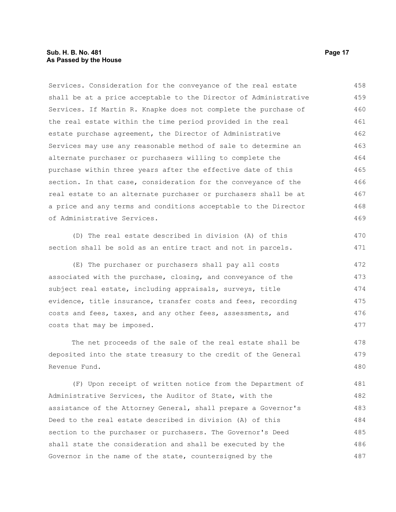#### **Sub. H. B. No. 481 Page 17 As Passed by the House**

Services. Consideration for the conveyance of the real estate shall be at a price acceptable to the Director of Administrative Services. If Martin R. Knapke does not complete the purchase of the real estate within the time period provided in the real estate purchase agreement, the Director of Administrative Services may use any reasonable method of sale to determine an alternate purchaser or purchasers willing to complete the purchase within three years after the effective date of this section. In that case, consideration for the conveyance of the real estate to an alternate purchaser or purchasers shall be at a price and any terms and conditions acceptable to the Director of Administrative Services. 458 459 460 461 462 463 464 465 466 467 468 469

(D) The real estate described in division (A) of this section shall be sold as an entire tract and not in parcels.

(E) The purchaser or purchasers shall pay all costs associated with the purchase, closing, and conveyance of the subject real estate, including appraisals, surveys, title evidence, title insurance, transfer costs and fees, recording costs and fees, taxes, and any other fees, assessments, and costs that may be imposed.

The net proceeds of the sale of the real estate shall be deposited into the state treasury to the credit of the General Revenue Fund. 478 479 480

(F) Upon receipt of written notice from the Department of Administrative Services, the Auditor of State, with the assistance of the Attorney General, shall prepare a Governor's Deed to the real estate described in division (A) of this section to the purchaser or purchasers. The Governor's Deed shall state the consideration and shall be executed by the Governor in the name of the state, countersigned by the 481 482 483 484 485 486 487

470 471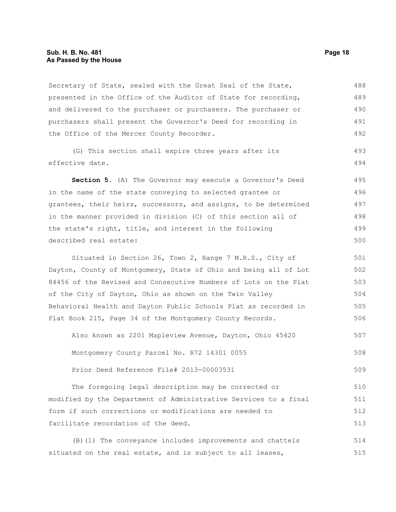#### **Sub. H. B. No. 481 Page 18 As Passed by the House**

Secretary of State, sealed with the Great Seal of the State, presented in the Office of the Auditor of State for recording, and delivered to the purchaser or purchasers. The purchaser or purchasers shall present the Governor's Deed for recording in the Office of the Mercer County Recorder. 488 489 490 491 492

(G) This section shall expire three years after its effective date. 493 494

**Section 5.** (A) The Governor may execute a Governor's Deed in the name of the state conveying to selected grantee or grantees, their heirs, successors, and assigns, to be determined in the manner provided in division (C) of this section all of the state's right, title, and interest in the following described real estate: 495 496 497 498 499 500

Situated in Section 26, Town 2, Range 7 M.R.S., City of Dayton, County of Montgomery, State of Ohio and being all of Lot 84456 of the Revised and Consecutive Numbers of Lots on the Plat of the City of Dayton, Ohio as shown on the Twin Valley Behavioral Health and Dayton Public Schools Plat as recorded in Plat Book 215, Page 34 of the Montgomery County Records. 501 502 503 504 505 506

Also known as 2201 Mapleview Avenue, Dayton, Ohio 45420 Montgomery County Parcel No. R72 14301 0055 507 508

Prior Deed Reference File# 2013-00003531 509

The foregoing legal description may be corrected or modified by the Department of Administrative Services to a final form if such corrections or modifications are needed to facilitate recordation of the deed. 510 511 512 513

(B)(1) The conveyance includes improvements and chattels situated on the real estate, and is subject to all leases, 514 515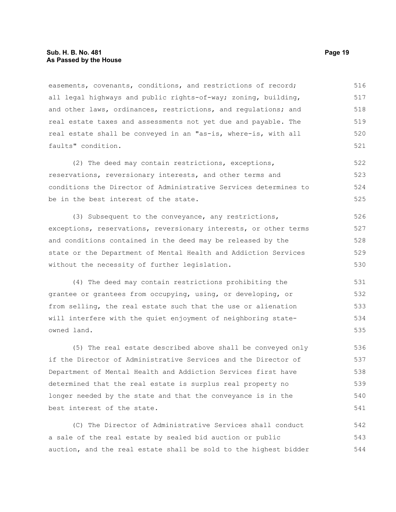#### **Sub. H. B. No. 481 Page 19 As Passed by the House**

easements, covenants, conditions, and restrictions of record; all legal highways and public rights-of-way; zoning, building, and other laws, ordinances, restrictions, and regulations; and real estate taxes and assessments not yet due and payable. The real estate shall be conveyed in an "as-is, where-is, with all faults" condition. 516 517 518 519 520 521

(2) The deed may contain restrictions, exceptions, reservations, reversionary interests, and other terms and conditions the Director of Administrative Services determines to be in the best interest of the state. 522 523 524 525

(3) Subsequent to the conveyance, any restrictions, exceptions, reservations, reversionary interests, or other terms and conditions contained in the deed may be released by the state or the Department of Mental Health and Addiction Services without the necessity of further legislation. 526 527 528 529 530

(4) The deed may contain restrictions prohibiting the grantee or grantees from occupying, using, or developing, or from selling, the real estate such that the use or alienation will interfere with the quiet enjoyment of neighboring stateowned land. 531 532 533 534 535

(5) The real estate described above shall be conveyed only if the Director of Administrative Services and the Director of Department of Mental Health and Addiction Services first have determined that the real estate is surplus real property no longer needed by the state and that the conveyance is in the best interest of the state. 536 537 538 539 540 541

(C) The Director of Administrative Services shall conduct a sale of the real estate by sealed bid auction or public auction, and the real estate shall be sold to the highest bidder 542 543 544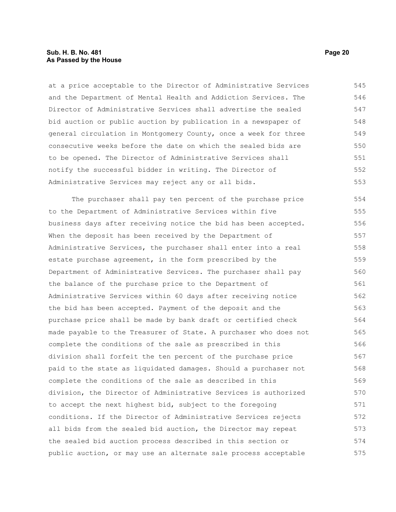#### **Sub. H. B. No. 481 Page 20 As Passed by the House**

at a price acceptable to the Director of Administrative Services and the Department of Mental Health and Addiction Services. The Director of Administrative Services shall advertise the sealed bid auction or public auction by publication in a newspaper of general circulation in Montgomery County, once a week for three consecutive weeks before the date on which the sealed bids are to be opened. The Director of Administrative Services shall notify the successful bidder in writing. The Director of Administrative Services may reject any or all bids. 545 546 547 548 549 550 551 552 553

The purchaser shall pay ten percent of the purchase price to the Department of Administrative Services within five business days after receiving notice the bid has been accepted. When the deposit has been received by the Department of Administrative Services, the purchaser shall enter into a real estate purchase agreement, in the form prescribed by the Department of Administrative Services. The purchaser shall pay the balance of the purchase price to the Department of Administrative Services within 60 days after receiving notice the bid has been accepted. Payment of the deposit and the purchase price shall be made by bank draft or certified check made payable to the Treasurer of State. A purchaser who does not complete the conditions of the sale as prescribed in this division shall forfeit the ten percent of the purchase price paid to the state as liquidated damages. Should a purchaser not complete the conditions of the sale as described in this division, the Director of Administrative Services is authorized to accept the next highest bid, subject to the foregoing conditions. If the Director of Administrative Services rejects all bids from the sealed bid auction, the Director may repeat the sealed bid auction process described in this section or public auction, or may use an alternate sale process acceptable 554 555 556 557 558 559 560 561 562 563 564 565 566 567 568 569 570 571 572 573 574 575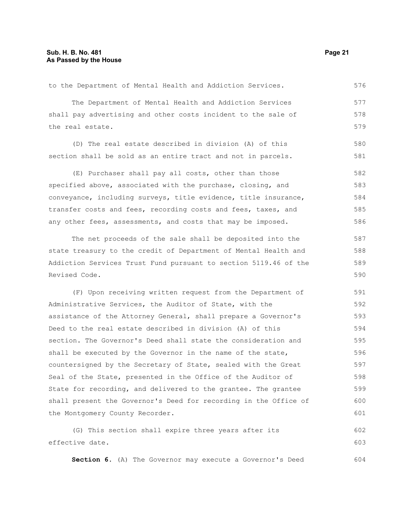#### **Sub. H. B. No. 481 Page 21 As Passed by the House**

The Department of Mental Health and Addiction Services shall pay advertising and other costs incident to the sale of the real estate. (D) The real estate described in division (A) of this section shall be sold as an entire tract and not in parcels. 577 578 579 580 581

to the Department of Mental Health and Addiction Services.

(E) Purchaser shall pay all costs, other than those specified above, associated with the purchase, closing, and conveyance, including surveys, title evidence, title insurance, transfer costs and fees, recording costs and fees, taxes, and any other fees, assessments, and costs that may be imposed. 582 583 584 585 586

The net proceeds of the sale shall be deposited into the state treasury to the credit of Department of Mental Health and Addiction Services Trust Fund pursuant to section 5119.46 of the Revised Code.

(F) Upon receiving written request from the Department of Administrative Services, the Auditor of State, with the assistance of the Attorney General, shall prepare a Governor's Deed to the real estate described in division (A) of this section. The Governor's Deed shall state the consideration and shall be executed by the Governor in the name of the state, countersigned by the Secretary of State, sealed with the Great Seal of the State, presented in the Office of the Auditor of State for recording, and delivered to the grantee. The grantee shall present the Governor's Deed for recording in the Office of the Montgomery County Recorder. 591 592 593 594 595 596 597 598 599 600 601

(G) This section shall expire three years after its effective date. 602 603

**Section 6.** (A) The Governor may execute a Governor's Deed 604

576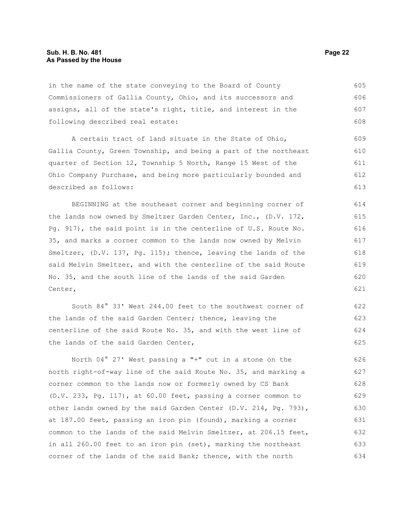in the name of the state conveying to the Board of County Commissioners of Gallia County, Ohio, and its successors and assigns, all of the state's right, title, and interest in the following described real estate: 605 606 607 608

A certain tract of land situate in the State of Ohio, Gallia County, Green Township, and being a part of the northeast quarter of Section 12, Township 5 North, Range 15 West of the Ohio Company Purchase, and being more particularly bounded and described as follows: 609 611 612 613

BEGINNING at the southeast corner and beginning corner of the lands now owned by Smeltzer Garden Center, Inc., (D.V. 172, Pg. 917), the said point is in the centerline of U.S. Route No. 35, and marks a corner common to the lands now owned by Melvin Smeltzer, (D.V. 137, Pg. 115); thence, leaving the lands of the said Melvin Smeltzer, and with the centerline of the said Route No. 35, and the south line of the lands of the said Garden Center,

South 84° 33' West 244.00 feet to the southwest corner of the lands of the said Garden Center; thence, leaving the centerline of the said Route No. 35, and with the west line of the lands of the said Garden Center, 622 623 624 625

North 04° 27' West passing a "+" cut in a stone on the north right-of-way line of the said Route No. 35, and marking a corner common to the lands now or formerly owned by CS Bank (D.V. 233, Pg. 117), at 60.00 feet, passing a corner common to other lands owned by the said Garden Center (D.V. 214, Pg. 793), at 187.00 feet, passing an iron pin (found), marking a corner common to the lands of the said Melvin Smeltzer, at 206.15 feet, in all 260.00 feet to an iron pin (set), marking the northeast corner of the lands of the said Bank; thence, with the north 626 627 628 629 630 631 632 633 634

610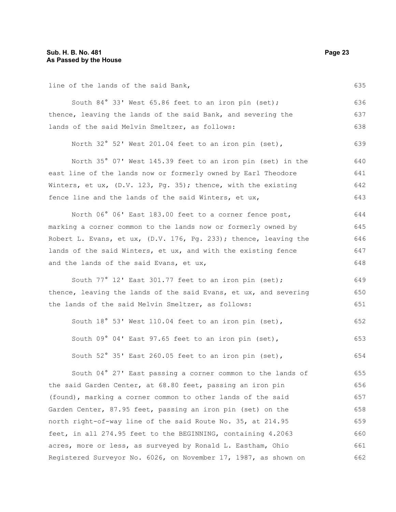line of the lands of the said Bank,

South 84° 33' West 65.86 feet to an iron pin (set); thence, leaving the lands of the said Bank, and severing the lands of the said Melvin Smeltzer, as follows: 636 637 638

North 32° 52' West 201.04 feet to an iron pin (set), 639

North 35° 07' West 145.39 feet to an iron pin (set) in the east line of the lands now or formerly owned by Earl Theodore Winters, et ux, (D.V. 123, Pg. 35); thence, with the existing fence line and the lands of the said Winters, et ux, 640 641 642 643

North 06° 06' East 183.00 feet to a corner fence post, marking a corner common to the lands now or formerly owned by Robert L. Evans, et ux, (D.V. 176, Pg. 233); thence, leaving the lands of the said Winters, et ux, and with the existing fence and the lands of the said Evans, et ux, 644 645 646 647 648

South 77° 12' East 301.77 feet to an iron pin (set); thence, leaving the lands of the said Evans, et ux, and severing the lands of the said Melvin Smeltzer, as follows:

South 18° 53' West 110.04 feet to an iron pin (set), South 09° 04' East 97.65 feet to an iron pin (set), South 52° 35' East 260.05 feet to an iron pin (set), 652 653 654

South 04° 27' East passing a corner common to the lands of the said Garden Center, at 68.80 feet, passing an iron pin (found), marking a corner common to other lands of the said Garden Center, 87.95 feet, passing an iron pin (set) on the north right-of-way line of the said Route No. 35, at 214.95 feet, in all 274.95 feet to the BEGINNING, containing 4.2063 acres, more or less, as surveyed by Ronald L. Eastham, Ohio Registered Surveyor No. 6026, on November 17, 1987, as shown on 655 656 657 658 659 660 661 662

635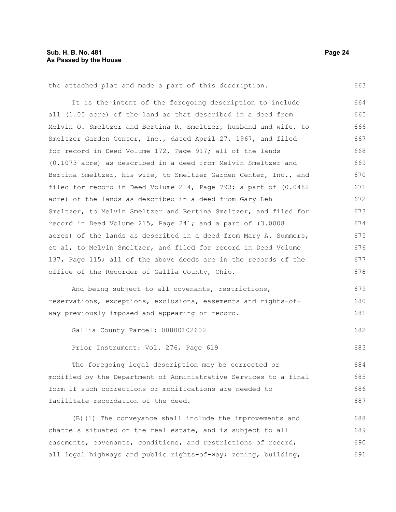663

the attached plat and made a part of this description.

It is the intent of the foregoing description to include all (1.05 acre) of the land as that described in a deed from Melvin O. Smeltzer and Bertina R. Smeltzer, husband and wife, to Smeltzer Garden Center, Inc., dated April 27, 1967, and filed for record in Deed Volume 172, Page 917; all of the lands (0.1073 acre) as described in a deed from Melvin Smeltzer and Bertina Smeltzer, his wife, to Smeltzer Garden Center, Inc., and filed for record in Deed Volume 214, Page 793; a part of (0.0482 acre) of the lands as described in a deed from Gary Leh Smeltzer, to Melvin Smeltzer and Bertina Smeltzer, and filed for record in Deed Volume 215, Page 241; and a part of (3.0008 acres) of the lands as described in a deed from Mary A. Summers, et al, to Melvin Smeltzer, and filed for record in Deed Volume 137, Page 115; all of the above deeds are in the records of the office of the Recorder of Gallia County, Ohio. 664 665 666 667 668 669 670 671 672 673 674 675 676 677 678

And being subject to all covenants, restrictions, reservations, exceptions, exclusions, easements and rights-ofway previously imposed and appearing of record. 679 680 681

Gallia County Parcel: 00800102602 682

Prior Instrument: Vol. 276, Page 619 683

The foregoing legal description may be corrected or modified by the Department of Administrative Services to a final form if such corrections or modifications are needed to facilitate recordation of the deed. 684 685 686 687

(B)(1) The conveyance shall include the improvements and chattels situated on the real estate, and is subject to all easements, covenants, conditions, and restrictions of record; all legal highways and public rights-of-way; zoning, building, 688 689 690 691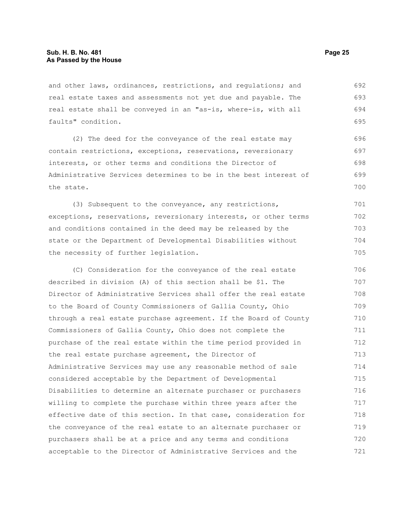and other laws, ordinances, restrictions, and regulations; and real estate taxes and assessments not yet due and payable. The real estate shall be conveyed in an "as-is, where-is, with all faults" condition. 692 693 694 695

(2) The deed for the conveyance of the real estate may contain restrictions, exceptions, reservations, reversionary interests, or other terms and conditions the Director of Administrative Services determines to be in the best interest of the state. 696 697 698 699 700

(3) Subsequent to the conveyance, any restrictions, exceptions, reservations, reversionary interests, or other terms and conditions contained in the deed may be released by the state or the Department of Developmental Disabilities without the necessity of further legislation. 701 702 703 704 705

(C) Consideration for the conveyance of the real estate described in division (A) of this section shall be \$1. The Director of Administrative Services shall offer the real estate to the Board of County Commissioners of Gallia County, Ohio through a real estate purchase agreement. If the Board of County Commissioners of Gallia County, Ohio does not complete the purchase of the real estate within the time period provided in the real estate purchase agreement, the Director of Administrative Services may use any reasonable method of sale considered acceptable by the Department of Developmental Disabilities to determine an alternate purchaser or purchasers willing to complete the purchase within three years after the effective date of this section. In that case, consideration for the conveyance of the real estate to an alternate purchaser or purchasers shall be at a price and any terms and conditions acceptable to the Director of Administrative Services and the 706 707 708 709 710 711 712 713 714 715 716 717 718 719 720 721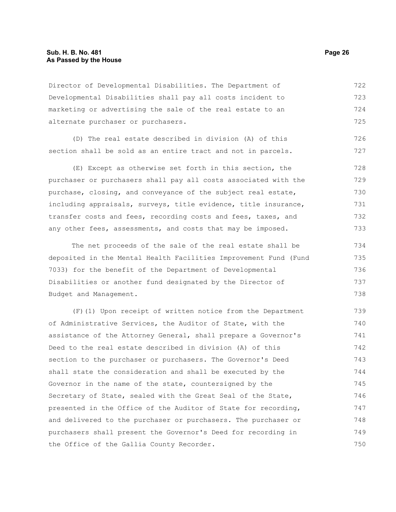Director of Developmental Disabilities. The Department of Developmental Disabilities shall pay all costs incident to marketing or advertising the sale of the real estate to an alternate purchaser or purchasers. 722 723 724 725

(D) The real estate described in division (A) of this section shall be sold as an entire tract and not in parcels.

(E) Except as otherwise set forth in this section, the purchaser or purchasers shall pay all costs associated with the purchase, closing, and conveyance of the subject real estate, including appraisals, surveys, title evidence, title insurance, transfer costs and fees, recording costs and fees, taxes, and any other fees, assessments, and costs that may be imposed. 728 729 730 731 732 733

The net proceeds of the sale of the real estate shall be deposited in the Mental Health Facilities Improvement Fund (Fund 7033) for the benefit of the Department of Developmental Disabilities or another fund designated by the Director of Budget and Management. 734 735 736 737 738

(F)(1) Upon receipt of written notice from the Department of Administrative Services, the Auditor of State, with the assistance of the Attorney General, shall prepare a Governor's Deed to the real estate described in division (A) of this section to the purchaser or purchasers. The Governor's Deed shall state the consideration and shall be executed by the Governor in the name of the state, countersigned by the Secretary of State, sealed with the Great Seal of the State, presented in the Office of the Auditor of State for recording, and delivered to the purchaser or purchasers. The purchaser or purchasers shall present the Governor's Deed for recording in the Office of the Gallia County Recorder. 739 740 741 742 743 744 745 746 747 748 749 750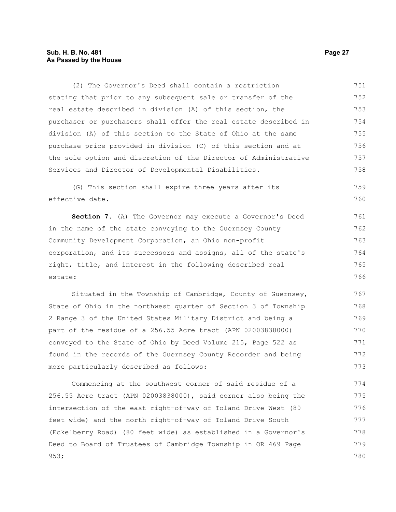#### **Sub. H. B. No. 481 Page 27 As Passed by the House**

(2) The Governor's Deed shall contain a restriction stating that prior to any subsequent sale or transfer of the real estate described in division (A) of this section, the purchaser or purchasers shall offer the real estate described in division (A) of this section to the State of Ohio at the same purchase price provided in division (C) of this section and at the sole option and discretion of the Director of Administrative Services and Director of Developmental Disabilities. 751 752 753 754 755 756 757 758

(G) This section shall expire three years after its effective date. 759 760

**Section 7.** (A) The Governor may execute a Governor's Deed in the name of the state conveying to the Guernsey County Community Development Corporation, an Ohio non-profit corporation, and its successors and assigns, all of the state's right, title, and interest in the following described real estate: 761 762 763 764 765 766

Situated in the Township of Cambridge, County of Guernsey, State of Ohio in the northwest quarter of Section 3 of Township 2 Range 3 of the United States Military District and being a part of the residue of a 256.55 Acre tract (APN 02003838000) conveyed to the State of Ohio by Deed Volume 215, Page 522 as found in the records of the Guernsey County Recorder and being more particularly described as follows: 767 768 769 770 771 772 773

Commencing at the southwest corner of said residue of a 256.55 Acre tract (APN 02003838000), said corner also being the intersection of the east right-of-way of Toland Drive West (80 feet wide) and the north right-of-way of Toland Drive South (Eckelberry Road) (80 feet wide) as established in a Governor's Deed to Board of Trustees of Cambridge Township in OR 469 Page 953; 774 775 776 777 778 779 780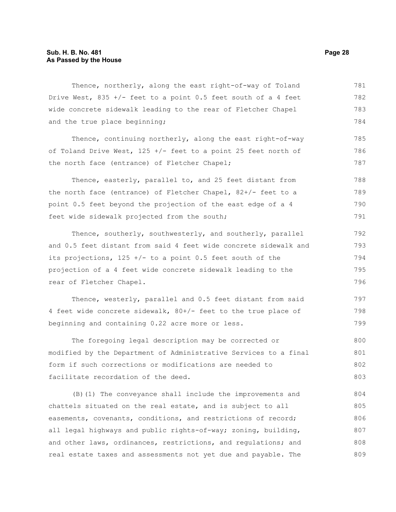Thence, northerly, along the east right-of-way of Toland Drive West,  $835 +/-$  feet to a point 0.5 feet south of a 4 feet wide concrete sidewalk leading to the rear of Fletcher Chapel and the true place beginning; Thence, continuing northerly, along the east right-of-way of Toland Drive West, 125 +/- feet to a point 25 feet north of the north face (entrance) of Fletcher Chapel; Thence, easterly, parallel to, and 25 feet distant from the north face (entrance) of Fletcher Chapel, 82+/- feet to a point 0.5 feet beyond the projection of the east edge of a 4 feet wide sidewalk projected from the south; Thence, southerly, southwesterly, and southerly, parallel and 0.5 feet distant from said 4 feet wide concrete sidewalk and its projections,  $125 +/-$  to a point 0.5 feet south of the projection of a 4 feet wide concrete sidewalk leading to the rear of Fletcher Chapel. Thence, westerly, parallel and 0.5 feet distant from said 4 feet wide concrete sidewalk, 80+/- feet to the true place of beginning and containing 0.22 acre more or less. The foregoing legal description may be corrected or modified by the Department of Administrative Services to a final form if such corrections or modifications are needed to facilitate recordation of the deed. (B)(1) The conveyance shall include the improvements and chattels situated on the real estate, and is subject to all 781 782 783 784 785 786 787 788 789 790 791 792 793 794 795 796 797 798 799 800 801 802 803 804 805

easements, covenants, conditions, and restrictions of record; all legal highways and public rights-of-way; zoning, building, and other laws, ordinances, restrictions, and regulations; and real estate taxes and assessments not yet due and payable. The 806 807 808 809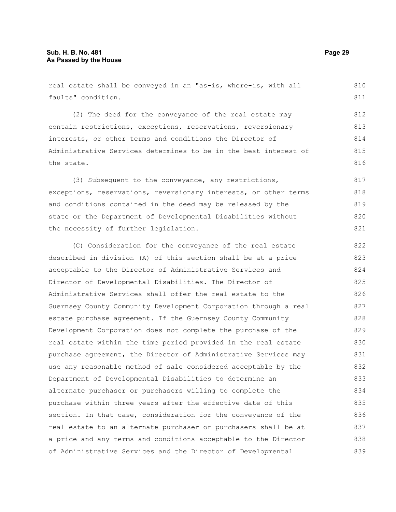real estate shall be conveyed in an "as-is, where-is, with all faults" condition. 810 811

(2) The deed for the conveyance of the real estate may contain restrictions, exceptions, reservations, reversionary interests, or other terms and conditions the Director of Administrative Services determines to be in the best interest of the state.

(3) Subsequent to the conveyance, any restrictions, exceptions, reservations, reversionary interests, or other terms and conditions contained in the deed may be released by the state or the Department of Developmental Disabilities without the necessity of further legislation. 817 818 819 820 821

(C) Consideration for the conveyance of the real estate described in division (A) of this section shall be at a price acceptable to the Director of Administrative Services and Director of Developmental Disabilities. The Director of Administrative Services shall offer the real estate to the Guernsey County Community Development Corporation through a real estate purchase agreement. If the Guernsey County Community Development Corporation does not complete the purchase of the real estate within the time period provided in the real estate purchase agreement, the Director of Administrative Services may use any reasonable method of sale considered acceptable by the Department of Developmental Disabilities to determine an alternate purchaser or purchasers willing to complete the purchase within three years after the effective date of this section. In that case, consideration for the conveyance of the real estate to an alternate purchaser or purchasers shall be at a price and any terms and conditions acceptable to the Director of Administrative Services and the Director of Developmental 822 823 824 825 826 827 828 829 830 831 832 833 834 835 836 837 838 839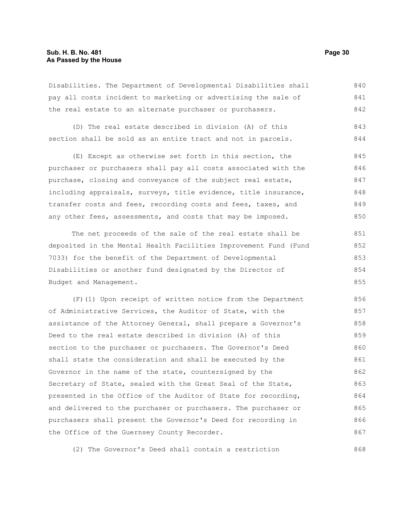#### **Sub. H. B. No. 481 Page 30 As Passed by the House**

Disabilities. The Department of Developmental Disabilities shall pay all costs incident to marketing or advertising the sale of the real estate to an alternate purchaser or purchasers. 840 841 842

(D) The real estate described in division (A) of this section shall be sold as an entire tract and not in parcels. 843 844

(E) Except as otherwise set forth in this section, the purchaser or purchasers shall pay all costs associated with the purchase, closing and conveyance of the subject real estate, including appraisals, surveys, title evidence, title insurance, transfer costs and fees, recording costs and fees, taxes, and any other fees, assessments, and costs that may be imposed. 845 846 847 848 849 850

The net proceeds of the sale of the real estate shall be deposited in the Mental Health Facilities Improvement Fund (Fund 7033) for the benefit of the Department of Developmental Disabilities or another fund designated by the Director of Budget and Management. 851 852 853 854 855

(F)(1) Upon receipt of written notice from the Department of Administrative Services, the Auditor of State, with the assistance of the Attorney General, shall prepare a Governor's Deed to the real estate described in division (A) of this section to the purchaser or purchasers. The Governor's Deed shall state the consideration and shall be executed by the Governor in the name of the state, countersigned by the Secretary of State, sealed with the Great Seal of the State, presented in the Office of the Auditor of State for recording, and delivered to the purchaser or purchasers. The purchaser or purchasers shall present the Governor's Deed for recording in the Office of the Guernsey County Recorder. 856 857 858 859 860 861 862 863 864 865 866 867

(2) The Governor's Deed shall contain a restriction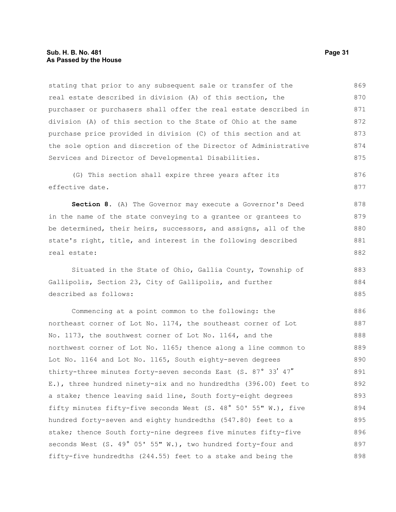stating that prior to any subsequent sale or transfer of the real estate described in division (A) of this section, the purchaser or purchasers shall offer the real estate described in division (A) of this section to the State of Ohio at the same purchase price provided in division (C) of this section and at the sole option and discretion of the Director of Administrative Services and Director of Developmental Disabilities. 869 870 871 872 873 874 875

(G) This section shall expire three years after its effective date. 876 877

**Section 8.** (A) The Governor may execute a Governor's Deed in the name of the state conveying to a grantee or grantees to be determined, their heirs, successors, and assigns, all of the state's right, title, and interest in the following described real estate: 878 879 880 881 882

Situated in the State of Ohio, Gallia County, Township of Gallipolis, Section 23, City of Gallipolis, and further described as follows: 883 884 885

Commencing at a point common to the following: the northeast corner of Lot No. 1174, the southeast corner of Lot No. 1173, the southwest corner of Lot No. 1164, and the northwest corner of Lot No. 1165; thence along a line common to Lot No. 1164 and Lot No. 1165, South eighty-seven degrees thirty-three minutes forty-seven seconds East (S. 87° 33' 47" E.), three hundred ninety-six and no hundredths (396.00) feet to a stake; thence leaving said line, South forty-eight degrees fifty minutes fifty-five seconds West (S. 48° 50' 55" W.), five hundred forty-seven and eighty hundredths (547.80) feet to a stake; thence South forty-nine degrees five minutes fifty-five seconds West (S. 49° 05' 55" W.), two hundred forty-four and fifty-five hundredths (244.55) feet to a stake and being the 886 887 888 889 890 891 892 893 894 895 896 897 898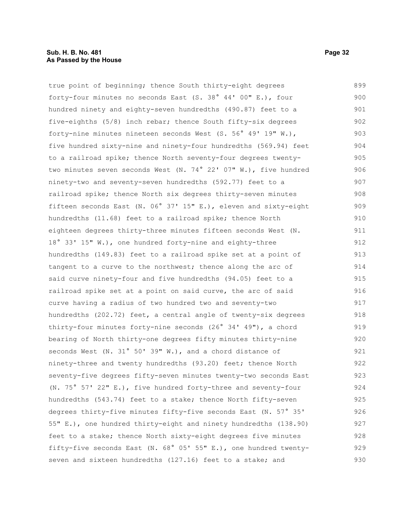true point of beginning; thence South thirty-eight degrees forty-four minutes no seconds East (S. 38° 44' 00" E.), four hundred ninety and eighty-seven hundredths (490.87) feet to a five-eighths (5/8) inch rebar; thence South fifty-six degrees forty-nine minutes nineteen seconds West (S. 56° 49' 19" W.), five hundred sixty-nine and ninety-four hundredths (569.94) feet to a railroad spike; thence North seventy-four degrees twentytwo minutes seven seconds West (N. 74° 22' 07" W.), five hundred ninety-two and seventy-seven hundredths (592.77) feet to a railroad spike; thence North six degrees thirty-seven minutes fifteen seconds East (N. 06° 37' 15" E.), eleven and sixty-eight hundredths (11.68) feet to a railroad spike; thence North eighteen degrees thirty-three minutes fifteen seconds West (N. 18° 33' 15" W.), one hundred forty-nine and eighty-three hundredths (149.83) feet to a railroad spike set at a point of tangent to a curve to the northwest; thence along the arc of said curve ninety-four and five hundredths (94.05) feet to a railroad spike set at a point on said curve, the arc of said curve having a radius of two hundred two and seventy-two hundredths (202.72) feet, a central angle of twenty-six degrees thirty-four minutes forty-nine seconds (26° 34' 49"), a chord bearing of North thirty-one degrees fifty minutes thirty-nine seconds West (N. 31° 50' 39" W.), and a chord distance of ninety-three and twenty hundredths (93.20) feet; thence North seventy-five degrees fifty-seven minutes twenty-two seconds East (N. 75° 57' 22" E.), five hundred forty-three and seventy-four hundredths (543.74) feet to a stake; thence North fifty-seven 899 900 901 902 903 904 905 906 907 908 909 910 911 912 913 914 915 916 917 918 919 920 921 922 923 924 925 926

degrees thirty-five minutes fifty-five seconds East (N. 57° 35' 55" E.), one hundred thirty-eight and ninety hundredths (138.90) feet to a stake; thence North sixty-eight degrees five minutes fifty-five seconds East (N. 68° 05' 55" E.), one hundred twentyseven and sixteen hundredths (127.16) feet to a stake; and 927 928 929 930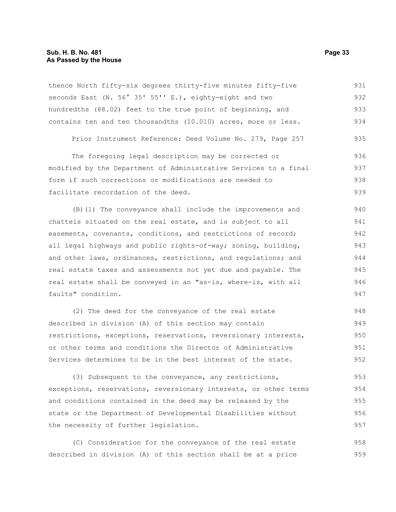thence North fifty-six degrees thirty-five minutes fifty-five seconds East (N. 56° 35' 55'' E.), eighty-eight and two hundredths (88.02) feet to the true point of beginning, and contains ten and ten thousandths (10.010) acres, more or less. 931 932 933 934

Prior Instrument Reference: Deed Volume No. 279, Page 257 935

The foregoing legal description may be corrected or modified by the Department of Administrative Services to a final form if such corrections or modifications are needed to facilitate recordation of the deed. 936 937 938 939

(B)(1) The conveyance shall include the improvements and chattels situated on the real estate, and is subject to all easements, covenants, conditions, and restrictions of record; all legal highways and public rights-of-way; zoning, building, and other laws, ordinances, restrictions, and regulations; and real estate taxes and assessments not yet due and payable. The real estate shall be conveyed in an "as-is, where-is, with all faults" condition. 940 941 942 943 944 945 946 947

(2) The deed for the conveyance of the real estate described in division (A) of this section may contain restrictions, exceptions, reservations, reversionary interests, or other terms and conditions the Director of Administrative Services determines to be in the best interest of the state. 948 949 950 951 952

(3) Subsequent to the conveyance, any restrictions, exceptions, reservations, reversionary interests, or other terms and conditions contained in the deed may be released by the state or the Department of Developmental Disabilities without the necessity of further legislation. 953 954 955 956 957

(C) Consideration for the conveyance of the real estate described in division (A) of this section shall be at a price 958 959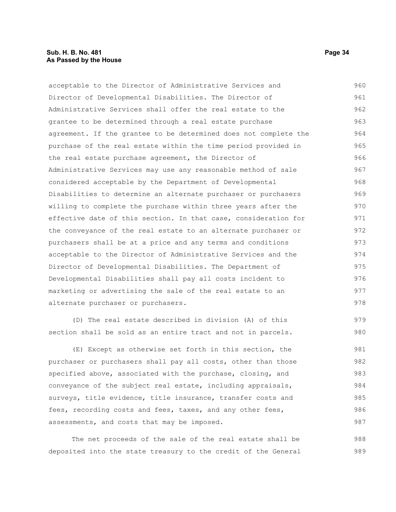acceptable to the Director of Administrative Services and Director of Developmental Disabilities. The Director of Administrative Services shall offer the real estate to the grantee to be determined through a real estate purchase agreement. If the grantee to be determined does not complete the purchase of the real estate within the time period provided in the real estate purchase agreement, the Director of Administrative Services may use any reasonable method of sale considered acceptable by the Department of Developmental Disabilities to determine an alternate purchaser or purchasers willing to complete the purchase within three years after the effective date of this section. In that case, consideration for the conveyance of the real estate to an alternate purchaser or purchasers shall be at a price and any terms and conditions acceptable to the Director of Administrative Services and the Director of Developmental Disabilities. The Department of Developmental Disabilities shall pay all costs incident to marketing or advertising the sale of the real estate to an alternate purchaser or purchasers. (D) The real estate described in division (A) of this section shall be sold as an entire tract and not in parcels. (E) Except as otherwise set forth in this section, the purchaser or purchasers shall pay all costs, other than those specified above, associated with the purchase, closing, and conveyance of the subject real estate, including appraisals, 960 961 962 963 964 965 966 967 968 969 970 971 972 973 974 975 976 977 978 979 980 981 982 983 984

The net proceeds of the sale of the real estate shall be deposited into the state treasury to the credit of the General

surveys, title evidence, title insurance, transfer costs and fees, recording costs and fees, taxes, and any other fees,

assessments, and costs that may be imposed.

985 986 987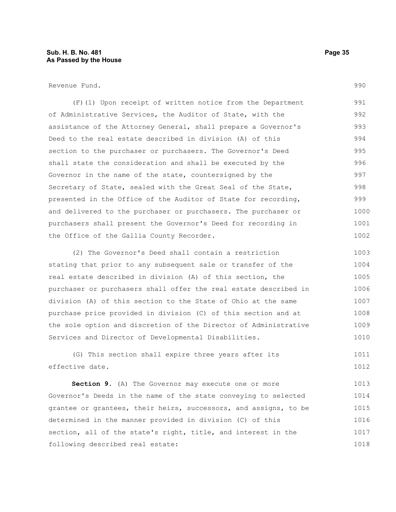(F)(1) Upon receipt of written notice from the Department of Administrative Services, the Auditor of State, with the assistance of the Attorney General, shall prepare a Governor's Deed to the real estate described in division (A) of this section to the purchaser or purchasers. The Governor's Deed shall state the consideration and shall be executed by the Governor in the name of the state, countersigned by the Secretary of State, sealed with the Great Seal of the State, presented in the Office of the Auditor of State for recording, and delivered to the purchaser or purchasers. The purchaser or purchasers shall present the Governor's Deed for recording in the Office of the Gallia County Recorder. 991 992 993 994 995 996 997 998 999 1000 1001 1002

(2) The Governor's Deed shall contain a restriction stating that prior to any subsequent sale or transfer of the real estate described in division (A) of this section, the purchaser or purchasers shall offer the real estate described in division (A) of this section to the State of Ohio at the same purchase price provided in division (C) of this section and at the sole option and discretion of the Director of Administrative Services and Director of Developmental Disabilities. 1003 1004 1005 1006 1007 1008 1009 1010

(G) This section shall expire three years after its effective date. 1011 1012

**Section 9.** (A) The Governor may execute one or more Governor's Deeds in the name of the state conveying to selected grantee or grantees, their heirs, successors, and assigns, to be determined in the manner provided in division (C) of this section, all of the state's right, title, and interest in the following described real estate: 1013 1014 1015 1016 1017 1018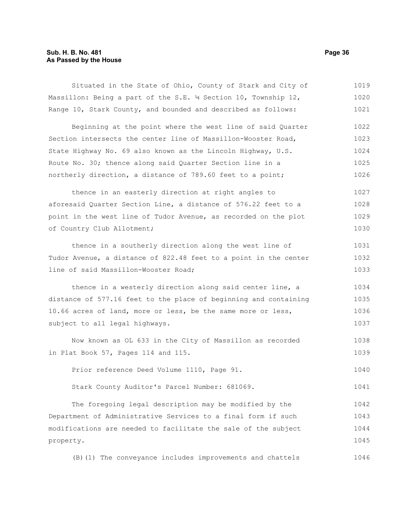#### **Sub. H. B. No. 481 Page 36 As Passed by the House**

Situated in the State of Ohio, County of Stark and City of Massillon: Being a part of the S.E. 14 Section 10, Township 12, Range 10, Stark County, and bounded and described as follows: 1019 1020 1021

Beginning at the point where the west line of said Quarter Section intersects the center line of Massillon-Wooster Road, State Highway No. 69 also known as the Lincoln Highway, U.S. Route No. 30; thence along said Quarter Section line in a northerly direction, a distance of 789.60 feet to a point; 1022 1023 1024 1025 1026

thence in an easterly direction at right angles to aforesaid Quarter Section Line, a distance of 576.22 feet to a point in the west line of Tudor Avenue, as recorded on the plot of Country Club Allotment; 1027 1028 1029 1030

thence in a southerly direction along the west line of Tudor Avenue, a distance of 822.48 feet to a point in the center line of said Massillon-Wooster Road; 1031 1032 1033

thence in a westerly direction along said center line, a distance of 577.16 feet to the place of beginning and containing 10.66 acres of land, more or less, be the same more or less, subject to all legal highways. 1034 1035 1036 1037

Now known as OL 633 in the City of Massillon as recorded in Plat Book 57, Pages 114 and 115. 1038 1039

Prior reference Deed Volume 1110, Page 91. 1040

Stark County Auditor's Parcel Number: 681069. 1041

The foregoing legal description may be modified by the Department of Administrative Services to a final form if such modifications are needed to facilitate the sale of the subject property. 1042 1043 1044 1045

(B)(1) The conveyance includes improvements and chattels 1046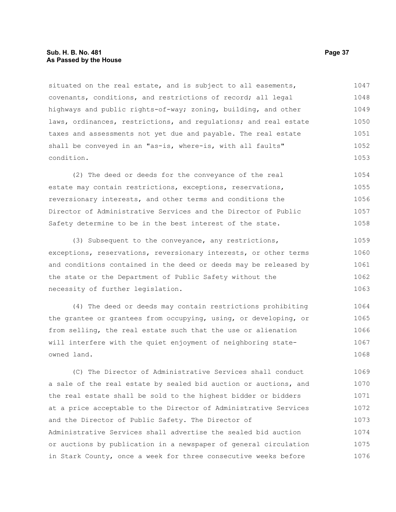# **Sub. H. B. No. 481 Page 37 As Passed by the House**

situated on the real estate, and is subject to all easements, covenants, conditions, and restrictions of record; all legal highways and public rights-of-way; zoning, building, and other laws, ordinances, restrictions, and regulations; and real estate taxes and assessments not yet due and payable. The real estate shall be conveyed in an "as-is, where-is, with all faults" condition. 1047 1048 1049 1050 1051 1052 1053

(2) The deed or deeds for the conveyance of the real estate may contain restrictions, exceptions, reservations, reversionary interests, and other terms and conditions the Director of Administrative Services and the Director of Public Safety determine to be in the best interest of the state. 1054 1055 1056 1057 1058

(3) Subsequent to the conveyance, any restrictions, exceptions, reservations, reversionary interests, or other terms and conditions contained in the deed or deeds may be released by the state or the Department of Public Safety without the necessity of further legislation. 1059 1060 1061 1062 1063

(4) The deed or deeds may contain restrictions prohibiting the grantee or grantees from occupying, using, or developing, or from selling, the real estate such that the use or alienation will interfere with the quiet enjoyment of neighboring stateowned land. 1064 1065 1066 1067 1068

(C) The Director of Administrative Services shall conduct a sale of the real estate by sealed bid auction or auctions, and the real estate shall be sold to the highest bidder or bidders at a price acceptable to the Director of Administrative Services and the Director of Public Safety. The Director of Administrative Services shall advertise the sealed bid auction or auctions by publication in a newspaper of general circulation in Stark County, once a week for three consecutive weeks before 1069 1070 1071 1072 1073 1074 1075 1076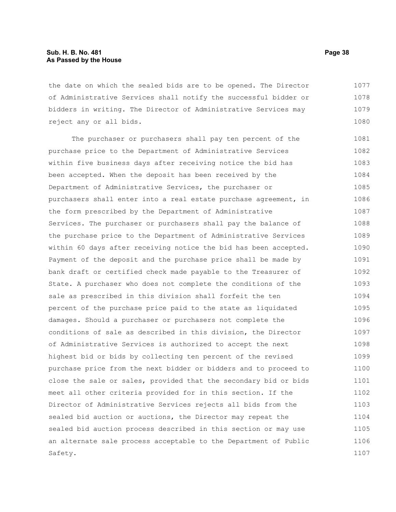the date on which the sealed bids are to be opened. The Director of Administrative Services shall notify the successful bidder or bidders in writing. The Director of Administrative Services may reject any or all bids. 1077 1078 1079 1080

The purchaser or purchasers shall pay ten percent of the purchase price to the Department of Administrative Services within five business days after receiving notice the bid has been accepted. When the deposit has been received by the Department of Administrative Services, the purchaser or purchasers shall enter into a real estate purchase agreement, in the form prescribed by the Department of Administrative Services. The purchaser or purchasers shall pay the balance of the purchase price to the Department of Administrative Services within 60 days after receiving notice the bid has been accepted. Payment of the deposit and the purchase price shall be made by bank draft or certified check made payable to the Treasurer of State. A purchaser who does not complete the conditions of the sale as prescribed in this division shall forfeit the ten percent of the purchase price paid to the state as liquidated damages. Should a purchaser or purchasers not complete the conditions of sale as described in this division, the Director of Administrative Services is authorized to accept the next highest bid or bids by collecting ten percent of the revised purchase price from the next bidder or bidders and to proceed to close the sale or sales, provided that the secondary bid or bids meet all other criteria provided for in this section. If the Director of Administrative Services rejects all bids from the sealed bid auction or auctions, the Director may repeat the sealed bid auction process described in this section or may use an alternate sale process acceptable to the Department of Public Safety. 1081 1082 1083 1084 1085 1086 1087 1088 1089 1090 1091 1092 1093 1094 1095 1096 1097 1098 1099 1100 1101 1102 1103 1104 1105 1106 1107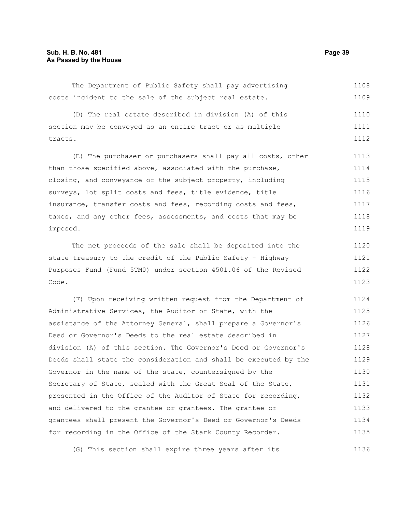The Department of Public Safety shall pay advertising costs incident to the sale of the subject real estate. 1108 1109

(D) The real estate described in division (A) of this section may be conveyed as an entire tract or as multiple tracts. 1110 1111 1112

(E) The purchaser or purchasers shall pay all costs, other than those specified above, associated with the purchase, closing, and conveyance of the subject property, including surveys, lot split costs and fees, title evidence, title insurance, transfer costs and fees, recording costs and fees, taxes, and any other fees, assessments, and costs that may be imposed. 1113 1114 1115 1116 1117 1118 1119

The net proceeds of the sale shall be deposited into the state treasury to the credit of the Public Safety – Highway Purposes Fund (Fund 5TM0) under section 4501.06 of the Revised Code. 1120 1121 1122 1123

(F) Upon receiving written request from the Department of Administrative Services, the Auditor of State, with the assistance of the Attorney General, shall prepare a Governor's Deed or Governor's Deeds to the real estate described in division (A) of this section. The Governor's Deed or Governor's Deeds shall state the consideration and shall be executed by the Governor in the name of the state, countersigned by the Secretary of State, sealed with the Great Seal of the State, presented in the Office of the Auditor of State for recording, and delivered to the grantee or grantees. The grantee or grantees shall present the Governor's Deed or Governor's Deeds for recording in the Office of the Stark County Recorder. 1124 1125 1126 1127 1128 1129 1130 1131 1132 1133 1134 1135

(G) This section shall expire three years after its 1136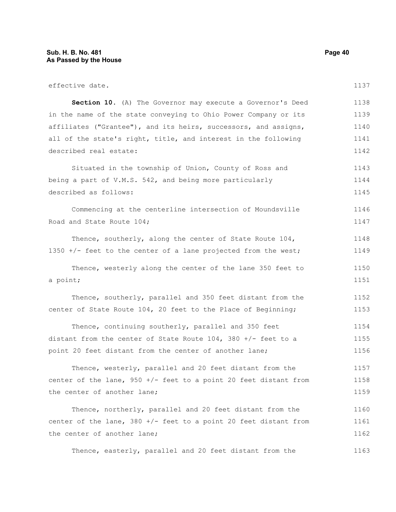| effective date.                                                    | 1137 |
|--------------------------------------------------------------------|------|
| Section 10. (A) The Governor may execute a Governor's Deed         | 1138 |
| in the name of the state conveying to Ohio Power Company or its    | 1139 |
| affiliates ("Grantee"), and its heirs, successors, and assigns,    | 1140 |
| all of the state's right, title, and interest in the following     | 1141 |
| described real estate:                                             | 1142 |
| Situated in the township of Union, County of Ross and              | 1143 |
| being a part of V.M.S. 542, and being more particularly            | 1144 |
| described as follows:                                              | 1145 |
| Commencing at the centerline intersection of Moundsville           | 1146 |
| Road and State Route 104;                                          | 1147 |
| Thence, southerly, along the center of State Route 104,            | 1148 |
| 1350 +/- feet to the center of a lane projected from the west;     | 1149 |
| Thence, westerly along the center of the lane 350 feet to          | 1150 |
| a point;                                                           | 1151 |
| Thence, southerly, parallel and 350 feet distant from the          | 1152 |
| center of State Route 104, 20 feet to the Place of Beginning;      | 1153 |
| Thence, continuing southerly, parallel and 350 feet                | 1154 |
| distant from the center of State Route $104$ , $380 +/-$ feet to a | 1155 |
| point 20 feet distant from the center of another lane;             | 1156 |
| Thence, westerly, parallel and 20 feet distant from the            | 1157 |
| center of the lane, $950 +/-$ feet to a point 20 feet distant from | 1158 |
| the center of another lane;                                        | 1159 |
| Thence, northerly, parallel and 20 feet distant from the           | 1160 |
| center of the lane, $380 +/-$ feet to a point 20 feet distant from | 1161 |
| the center of another lane;                                        | 1162 |

Thence, easterly, parallel and 20 feet distant from the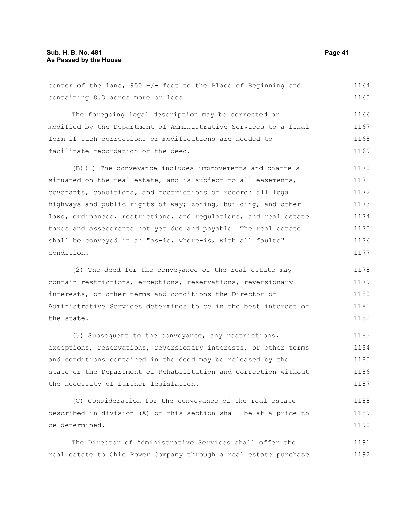### **Sub. H. B. No. 481 Page 41 As Passed by the House**

center of the lane,  $950 +/-$  feet to the Place of Beginning and containing 8.3 acres more or less. The foregoing legal description may be corrected or modified by the Department of Administrative Services to a final form if such corrections or modifications are needed to facilitate recordation of the deed. (B)(1) The conveyance includes improvements and chattels situated on the real estate, and is subject to all easements, covenants, conditions, and restrictions of record: all legal highways and public rights-of-way; zoning, building, and other laws, ordinances, restrictions, and regulations; and real estate taxes and assessments not yet due and payable. The real estate shall be conveyed in an "as-is, where-is, with all faults" condition. (2) The deed for the conveyance of the real estate may contain restrictions, exceptions, reservations, reversionary interests, or other terms and conditions the Director of Administrative Services determines to be in the best interest of the state. (3) Subsequent to the conveyance, any restrictions, exceptions, reservations, reversionary interests, or other terms and conditions contained in the deed may be released by the 1164 1166 1167 1168 1169 1170 1171 1172 1173 1174 1175 1176 1177 1178 1179 1180 1181 1182 1183 1184 1185

state or the Department of Rehabilitation and Correction without the necessity of further legislation. 1186 1187

(C) Consideration for the conveyance of the real estate described in division (A) of this section shall be at a price to be determined. 1188 1189 1190

The Director of Administrative Services shall offer the real estate to Ohio Power Company through a real estate purchase 1191 1192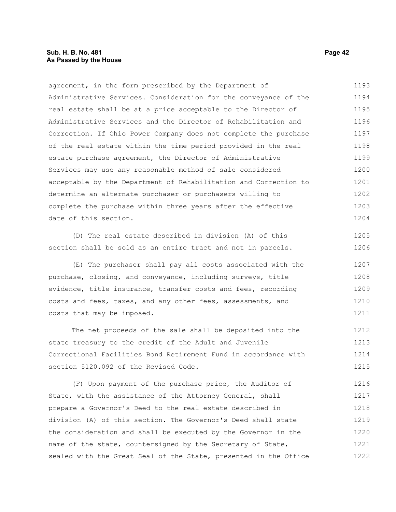# **Sub. H. B. No. 481 Page 42 As Passed by the House**

agreement, in the form prescribed by the Department of Administrative Services. Consideration for the conveyance of the real estate shall be at a price acceptable to the Director of Administrative Services and the Director of Rehabilitation and Correction. If Ohio Power Company does not complete the purchase of the real estate within the time period provided in the real estate purchase agreement, the Director of Administrative Services may use any reasonable method of sale considered acceptable by the Department of Rehabilitation and Correction to determine an alternate purchaser or purchasers willing to complete the purchase within three years after the effective date of this section. 1193 1194 1195 1196 1197 1198 1199 1200 1201 1202 1203 1204

(D) The real estate described in division (A) of this section shall be sold as an entire tract and not in parcels.

(E) The purchaser shall pay all costs associated with the purchase, closing, and conveyance, including surveys, title evidence, title insurance, transfer costs and fees, recording costs and fees, taxes, and any other fees, assessments, and costs that may be imposed. 1207 1208 1209 1210 1211

The net proceeds of the sale shall be deposited into the state treasury to the credit of the Adult and Juvenile Correctional Facilities Bond Retirement Fund in accordance with section 5120.092 of the Revised Code. 1212 1213 1214 1215

(F) Upon payment of the purchase price, the Auditor of State, with the assistance of the Attorney General, shall prepare a Governor's Deed to the real estate described in division (A) of this section. The Governor's Deed shall state the consideration and shall be executed by the Governor in the name of the state, countersigned by the Secretary of State, sealed with the Great Seal of the State, presented in the Office 1216 1217 1218 1219 1220 1221 1222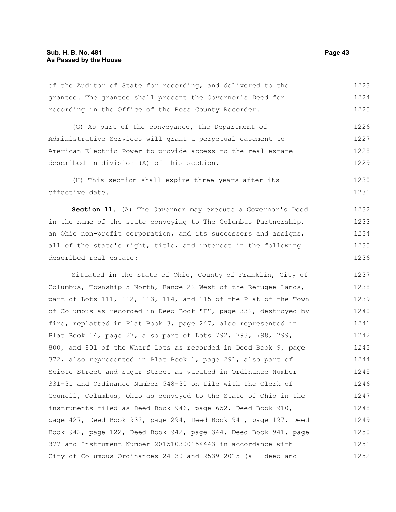of the Auditor of State for recording, and delivered to the grantee. The grantee shall present the Governor's Deed for recording in the Office of the Ross County Recorder. 1223 1224 1225

(G) As part of the conveyance, the Department of Administrative Services will grant a perpetual easement to American Electric Power to provide access to the real estate described in division (A) of this section. 1226 1227 1228 1229

(H) This section shall expire three years after its effective date. 1230 1231

**Section 11.** (A) The Governor may execute a Governor's Deed in the name of the state conveying to The Columbus Partnership, an Ohio non-profit corporation, and its successors and assigns, all of the state's right, title, and interest in the following described real estate: 1232 1233 1234 1235 1236

Situated in the State of Ohio, County of Franklin, City of Columbus, Township 5 North, Range 22 West of the Refugee Lands, part of Lots 111, 112, 113, 114, and 115 of the Plat of the Town of Columbus as recorded in Deed Book "F", page 332, destroyed by fire, replatted in Plat Book 3, page 247, also represented in Plat Book 14, page 27, also part of Lots 792, 793, 798, 799, 800, and 801 of the Wharf Lots as recorded in Deed Book 9, page 372, also represented in Plat Book 1, page 291, also part of Scioto Street and Sugar Street as vacated in Ordinance Number 331-31 and Ordinance Number 548-30 on file with the Clerk of Council, Columbus, Ohio as conveyed to the State of Ohio in the instruments filed as Deed Book 946, page 652, Deed Book 910, page 427, Deed Book 932, page 294, Deed Book 941, page 197, Deed Book 942, page 122, Deed Book 942, page 344, Deed Book 941, page 377 and Instrument Number 201510300154443 in accordance with City of Columbus Ordinances 24-30 and 2539-2015 (all deed and 1237 1238 1239 1240 1241 1242 1243 1244 1245 1246 1247 1248 1249 1250 1251 1252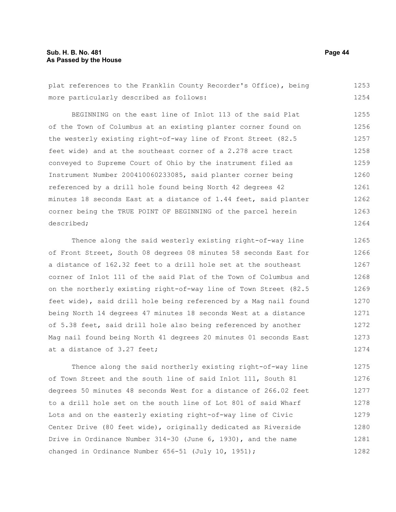plat references to the Franklin County Recorder's Office), being more particularly described as follows: 1253 1254

BEGINNING on the east line of Inlot 113 of the said Plat of the Town of Columbus at an existing planter corner found on the westerly existing right-of-way line of Front Street (82.5 feet wide) and at the southeast corner of a 2.278 acre tract conveyed to Supreme Court of Ohio by the instrument filed as Instrument Number 200410060233085, said planter corner being referenced by a drill hole found being North 42 degrees 42 minutes 18 seconds East at a distance of 1.44 feet, said planter corner being the TRUE POINT OF BEGINNING of the parcel herein described; 1255 1256 1257 1258 1259 1260 1261 1262 1263 1264

Thence along the said westerly existing right-of-way line of Front Street, South 08 degrees 08 minutes 58 seconds East for a distance of 162.32 feet to a drill hole set at the southeast corner of Inlot 111 of the said Plat of the Town of Columbus and on the northerly existing right-of-way line of Town Street (82.5 feet wide), said drill hole being referenced by a Mag nail found being North 14 degrees 47 minutes 18 seconds West at a distance of 5.38 feet, said drill hole also being referenced by another Mag nail found being North 41 degrees 20 minutes 01 seconds East at a distance of 3.27 feet; 1265 1266 1267 1268 1269 1270 1271 1272 1273 1274

Thence along the said northerly existing right-of-way line of Town Street and the south line of said Inlot 111, South 81 degrees 50 minutes 48 seconds West for a distance of 266.02 feet to a drill hole set on the south line of Lot 801 of said Wharf Lots and on the easterly existing right-of-way line of Civic Center Drive (80 feet wide), originally dedicated as Riverside Drive in Ordinance Number 314-30 (June 6, 1930), and the name changed in Ordinance Number 656-51 (July 10, 1951); 1275 1276 1277 1278 1279 1280 1281 1282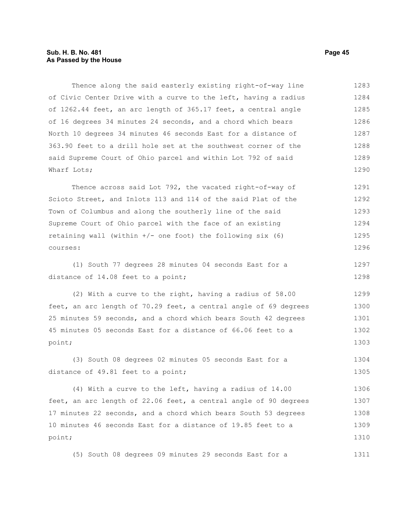# **Sub. H. B. No. 481 Page 45 As Passed by the House**

Thence along the said easterly existing right-of-way line of Civic Center Drive with a curve to the left, having a radius of 1262.44 feet, an arc length of 365.17 feet, a central angle of 16 degrees 34 minutes 24 seconds, and a chord which bears North 10 degrees 34 minutes 46 seconds East for a distance of 363.90 feet to a drill hole set at the southwest corner of the said Supreme Court of Ohio parcel and within Lot 792 of said Wharf Lots; 1283 1284 1285 1286 1287 1288 1289 1290

Thence across said Lot 792, the vacated right-of-way of Scioto Street, and Inlots 113 and 114 of the said Plat of the Town of Columbus and along the southerly line of the said Supreme Court of Ohio parcel with the face of an existing retaining wall (within  $+/-$  one foot) the following six (6) courses: 1291 1292 1293 1294 1295 1296

(1) South 77 degrees 28 minutes 04 seconds East for a distance of 14.08 feet to a point; 1297 1298

(2) With a curve to the right, having a radius of 58.00 feet, an arc length of 70.29 feet, a central angle of 69 degrees 25 minutes 59 seconds, and a chord which bears South 42 degrees 45 minutes 05 seconds East for a distance of 66.06 feet to a point; 1299 1300 1301 1302 1303

(3) South 08 degrees 02 minutes 05 seconds East for a distance of 49.81 feet to a point; 1304 1305

(4) With a curve to the left, having a radius of 14.00 feet, an arc length of 22.06 feet, a central angle of 90 degrees 17 minutes 22 seconds, and a chord which bears South 53 degrees 10 minutes 46 seconds East for a distance of 19.85 feet to a point; 1306 1307 1308 1309 1310

(5) South 08 degrees 09 minutes 29 seconds East for a 1311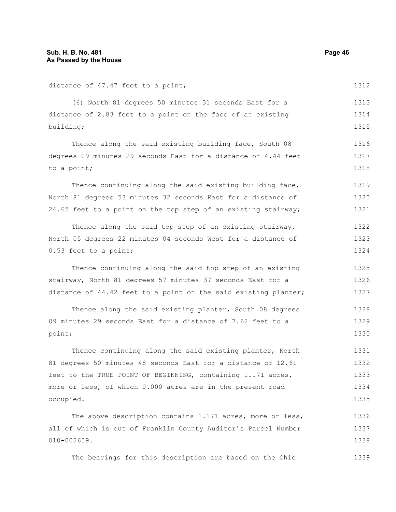distance of 47.47 feet to a point;

(6) North 81 degrees 50 minutes 31 seconds East for a distance of 2.83 feet to a point on the face of an existing building; Thence along the said existing building face, South 08 degrees 09 minutes 29 seconds East for a distance of 4.44 feet to a point; Thence continuing along the said existing building face, North 81 degrees 53 minutes 32 seconds East for a distance of 24.65 feet to a point on the top step of an existing stairway; Thence along the said top step of an existing stairway, North 05 degrees 22 minutes 04 seconds West for a distance of 0.53 feet to a point; Thence continuing along the said top step of an existing stairway, North 81 degrees 57 minutes 37 seconds East for a distance of 44.42 feet to a point on the said existing planter; Thence along the said existing planter, South 08 degrees 09 minutes 29 seconds East for a distance of 7.62 feet to a point; Thence continuing along the said existing planter, North 81 degrees 50 minutes 48 seconds East for a distance of 12.61 feet to the TRUE POINT OF BEGINNING, containing 1.171 acres, more or less, of which 0.000 acres are in the present road occupied. The above description contains 1.171 acres, more or less, all of which is out of Franklin County Auditor's Parcel Number 010-002659. 1312 1313 1314 1315 1316 1317 1318 1319 1320 1321 1322 1323 1324 1325 1326 1327 1328 1329 1330 1331 1332 1333 1334 1335 1336 1337 1338

The bearings for this description are based on the Ohio 1339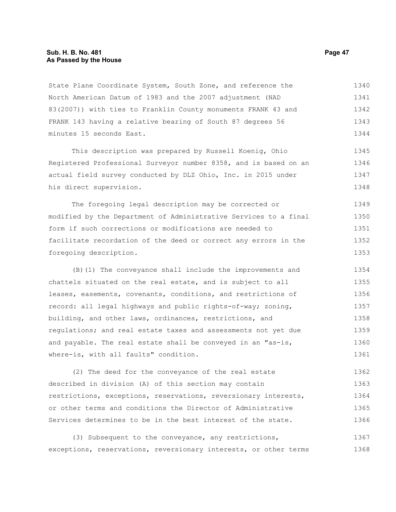State Plane Coordinate System, South Zone, and reference the North American Datum of 1983 and the 2007 adjustment (NAD 83(2007)) with ties to Franklin County monuments FRANK 43 and FRANK 143 having a relative bearing of South 87 degrees 56 minutes 15 seconds East. 1340 1341 1342 1343 1344

This description was prepared by Russell Koenig, Ohio Registered Professional Surveyor number 8358, and is based on an actual field survey conducted by DLZ Ohio, Inc. in 2015 under his direct supervision. 1345 1346 1347 1348

The foregoing legal description may be corrected or modified by the Department of Administrative Services to a final form if such corrections or modifications are needed to facilitate recordation of the deed or correct any errors in the foregoing description. 1349 1350 1351 1352 1353

(B)(1) The conveyance shall include the improvements and chattels situated on the real estate, and is subject to all leases, easements, covenants, conditions, and restrictions of record: all legal highways and public rights-of-way; zoning, building, and other laws, ordinances, restrictions, and regulations; and real estate taxes and assessments not yet due and payable. The real estate shall be conveyed in an "as-is, where-is, with all faults" condition. 1354 1355 1356 1357 1358 1359 1360 1361

(2) The deed for the conveyance of the real estate described in division (A) of this section may contain restrictions, exceptions, reservations, reversionary interests, or other terms and conditions the Director of Administrative Services determines to be in the best interest of the state. 1362 1363 1364 1365 1366

(3) Subsequent to the conveyance, any restrictions, exceptions, reservations, reversionary interests, or other terms 1367 1368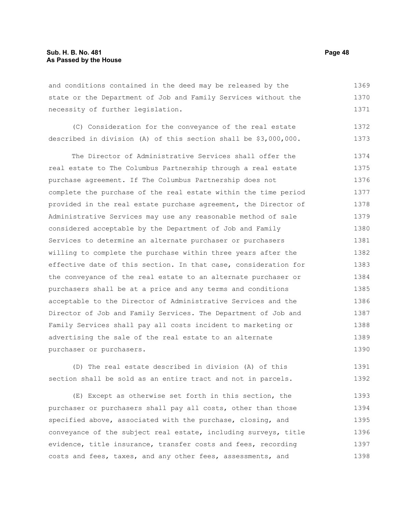and conditions contained in the deed may be released by the state or the Department of Job and Family Services without the necessity of further legislation. 1369 1370 1371

(C) Consideration for the conveyance of the real estate described in division (A) of this section shall be \$3,000,000. 1372 1373

The Director of Administrative Services shall offer the real estate to The Columbus Partnership through a real estate purchase agreement. If The Columbus Partnership does not complete the purchase of the real estate within the time period provided in the real estate purchase agreement, the Director of Administrative Services may use any reasonable method of sale considered acceptable by the Department of Job and Family Services to determine an alternate purchaser or purchasers willing to complete the purchase within three years after the effective date of this section. In that case, consideration for the conveyance of the real estate to an alternate purchaser or purchasers shall be at a price and any terms and conditions acceptable to the Director of Administrative Services and the Director of Job and Family Services. The Department of Job and Family Services shall pay all costs incident to marketing or advertising the sale of the real estate to an alternate purchaser or purchasers. 1374 1375 1376 1377 1378 1379 1380 1381 1382 1383 1384 1385 1386 1387 1388 1389 1390

(D) The real estate described in division (A) of this section shall be sold as an entire tract and not in parcels. 1391 1392

(E) Except as otherwise set forth in this section, the purchaser or purchasers shall pay all costs, other than those specified above, associated with the purchase, closing, and conveyance of the subject real estate, including surveys, title evidence, title insurance, transfer costs and fees, recording costs and fees, taxes, and any other fees, assessments, and 1393 1394 1395 1396 1397 1398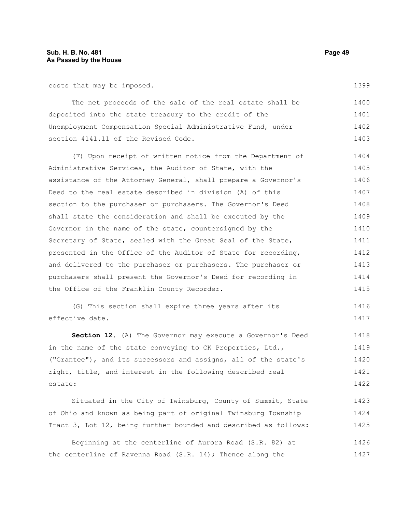# **Sub. H. B. No. 481 Page 49 As Passed by the House**

costs that may be imposed.

The net proceeds of the sale of the real estate shall be deposited into the state treasury to the credit of the Unemployment Compensation Special Administrative Fund, under section 4141.11 of the Revised Code. 1400 1401 1402 1403

(F) Upon receipt of written notice from the Department of Administrative Services, the Auditor of State, with the assistance of the Attorney General, shall prepare a Governor's Deed to the real estate described in division (A) of this section to the purchaser or purchasers. The Governor's Deed shall state the consideration and shall be executed by the Governor in the name of the state, countersigned by the Secretary of State, sealed with the Great Seal of the State, presented in the Office of the Auditor of State for recording, and delivered to the purchaser or purchasers. The purchaser or purchasers shall present the Governor's Deed for recording in the Office of the Franklin County Recorder. 1404 1405 1406 1407 1408 1409 1410 1411 1412 1413 1414 1415

(G) This section shall expire three years after its effective date. 1416 1417

**Section 12.** (A) The Governor may execute a Governor's Deed in the name of the state conveying to CK Properties, Ltd., ("Grantee"), and its successors and assigns, all of the state's right, title, and interest in the following described real estate: 1418 1419 1420 1421 1422

Situated in the City of Twinsburg, County of Summit, State of Ohio and known as being part of original Twinsburg Township Tract 3, Lot 12, being further bounded and described as follows: 1423 1424 1425

Beginning at the centerline of Aurora Road (S.R. 82) at the centerline of Ravenna Road (S.R. 14); Thence along the 1426 1427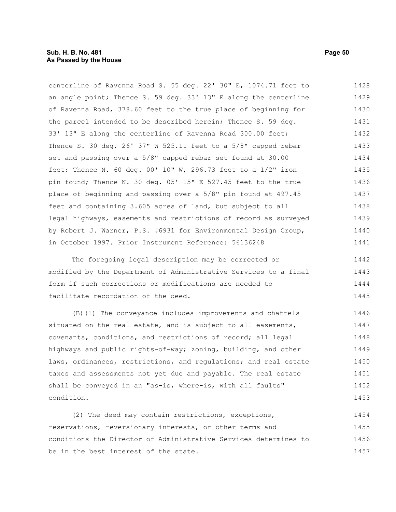centerline of Ravenna Road S. 55 deg. 22' 30" E, 1074.71 feet to an angle point; Thence S. 59 deg. 33' 13" E along the centerline of Ravenna Road, 378.60 feet to the true place of beginning for the parcel intended to be described herein; Thence S. 59 deg. 33' 13" E along the centerline of Ravenna Road 300.00 feet; Thence S. 30 deg. 26' 37" W 525.11 feet to a 5/8" capped rebar set and passing over a 5/8" capped rebar set found at 30.00 feet; Thence N. 60 deg. 00' 10" W, 296.73 feet to a  $1/2$ " iron pin found; Thence N. 30 deg. 05' 15" E 527.45 feet to the true place of beginning and passing over a 5/8" pin found at 497.45 feet and containing 3.605 acres of land, but subject to all legal highways, easements and restrictions of record as surveyed by Robert J. Warner, P.S. #6931 for Environmental Design Group, in October 1997. Prior Instrument Reference: 56136248 1428 1429 1430 1431 1432 1433 1434 1435 1436 1437 1438 1439 1440 1441

The foregoing legal description may be corrected or modified by the Department of Administrative Services to a final form if such corrections or modifications are needed to facilitate recordation of the deed. 1442 1443 1444 1445

(B)(1) The conveyance includes improvements and chattels situated on the real estate, and is subject to all easements, covenants, conditions, and restrictions of record; all legal highways and public rights-of-way; zoning, building, and other laws, ordinances, restrictions, and regulations; and real estate taxes and assessments not yet due and payable. The real estate shall be conveyed in an "as-is, where-is, with all faults" condition. 1446 1447 1448 1449 1450 1451 1452 1453

(2) The deed may contain restrictions, exceptions, reservations, reversionary interests, or other terms and conditions the Director of Administrative Services determines to be in the best interest of the state. 1454 1455 1456 1457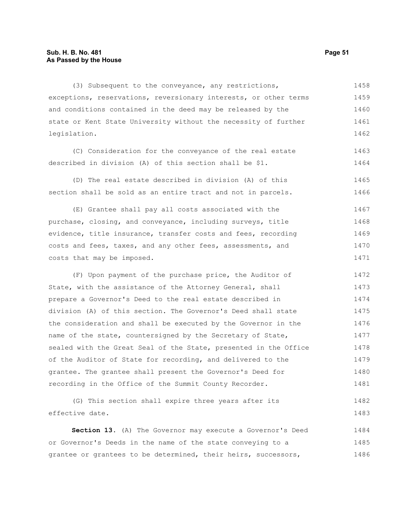## **Sub. H. B. No. 481 Page 51 As Passed by the House**

(3) Subsequent to the conveyance, any restrictions, exceptions, reservations, reversionary interests, or other terms and conditions contained in the deed may be released by the state or Kent State University without the necessity of further legislation. 1458 1459 1460 1461 1462

(C) Consideration for the conveyance of the real estate described in division (A) of this section shall be \$1. 1463 1464

(D) The real estate described in division (A) of this section shall be sold as an entire tract and not in parcels. 1465 1466

(E) Grantee shall pay all costs associated with the purchase, closing, and conveyance, including surveys, title evidence, title insurance, transfer costs and fees, recording costs and fees, taxes, and any other fees, assessments, and costs that may be imposed. 1467 1468 1469 1470 1471

(F) Upon payment of the purchase price, the Auditor of State, with the assistance of the Attorney General, shall prepare a Governor's Deed to the real estate described in division (A) of this section. The Governor's Deed shall state the consideration and shall be executed by the Governor in the name of the state, countersigned by the Secretary of State, sealed with the Great Seal of the State, presented in the Office of the Auditor of State for recording, and delivered to the grantee. The grantee shall present the Governor's Deed for recording in the Office of the Summit County Recorder. 1472 1473 1474 1475 1476 1477 1478 1479 1480 1481

(G) This section shall expire three years after its effective date. 1482 1483

**Section 13.** (A) The Governor may execute a Governor's Deed or Governor's Deeds in the name of the state conveying to a grantee or grantees to be determined, their heirs, successors, 1484 1485 1486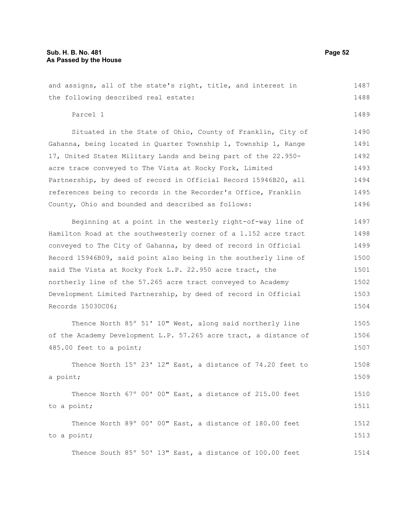and assigns, all of the state's right, title, and interest in the following described real estate: 1487 1488 1489

Parcel 1

Situated in the State of Ohio, County of Franklin, City of Gahanna, being located in Quarter Township 1, Township 1, Range 17, United States Military Lands and being part of the 22.950 acre trace conveyed to The Vista at Rocky Fork, Limited Partnership, by deed of record in Official Record 15946B20, all references being to records in the Recorder's Office, Franklin County, Ohio and bounded and described as follows: 1490 1491 1492 1493 1494 1495 1496

Beginning at a point in the westerly right-of-way line of Hamilton Road at the southwesterly corner of a 1.152 acre tract conveyed to The City of Gahanna, by deed of record in Official Record 15946B09, said point also being in the southerly line of said The Vista at Rocky Fork L.P. 22.950 acre tract, the northerly line of the 57.265 acre tract conveyed to Academy Development Limited Partnership, by deed of record in Official Records 15030C06; 1497 1498 1499 1500 1501 1502 1503 1504

Thence North 85º 51' 10" West, along said northerly line of the Academy Development L.P. 57.265 acre tract, a distance of 485.00 feet to a point; 1505 1506 1507

Thence North 15º 23' 12" East, a distance of 74.20 feet to a point; 1508 1509

Thence North 67º 00' 00" East, a distance of 215.00 feet to a point; 1510 1511

Thence North 89º 00' 00" East, a distance of 180.00 feet to a point; 1512 1513

Thence South 85º 50' 13" East, a distance of 100.00 feet 1514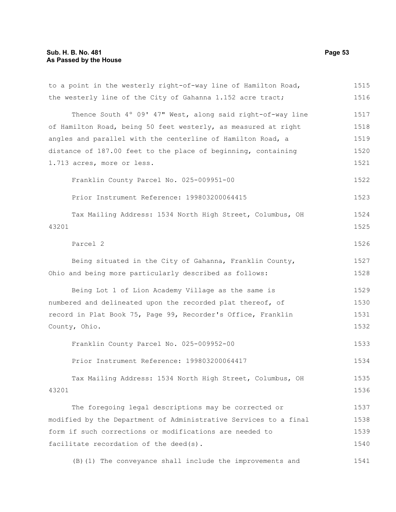# **Sub. H. B. No. 481 Page 53 As Passed by the House**

| to a point in the westerly right-of-way line of Hamilton Road,   | 1515 |
|------------------------------------------------------------------|------|
| the westerly line of the City of Gahanna 1.152 acre tract;       | 1516 |
| Thence South 4° 09' 47" West, along said right-of-way line       | 1517 |
| of Hamilton Road, being 50 feet westerly, as measured at right   | 1518 |
| angles and parallel with the centerline of Hamilton Road, a      | 1519 |
| distance of 187.00 feet to the place of beginning, containing    | 1520 |
| 1.713 acres, more or less.                                       | 1521 |
| Franklin County Parcel No. 025-009951-00                         | 1522 |
| Prior Instrument Reference: 199803200064415                      | 1523 |
| Tax Mailing Address: 1534 North High Street, Columbus, OH        | 1524 |
| 43201                                                            | 1525 |
| Parcel 2                                                         | 1526 |
| Being situated in the City of Gahanna, Franklin County,          | 1527 |
| Ohio and being more particularly described as follows:           | 1528 |
| Being Lot 1 of Lion Academy Village as the same is               | 1529 |
| numbered and delineated upon the recorded plat thereof, of       | 1530 |
| record in Plat Book 75, Page 99, Recorder's Office, Franklin     | 1531 |
| County, Ohio.                                                    | 1532 |
| Franklin County Parcel No. 025-009952-00                         | 1533 |
| Prior Instrument Reference: 199803200064417                      | 1534 |
| Tax Mailing Address: 1534 North High Street, Columbus, OH        | 1535 |
| 43201                                                            | 1536 |
| The foregoing legal descriptions may be corrected or             | 1537 |
| modified by the Department of Administrative Services to a final | 1538 |
| form if such corrections or modifications are needed to          | 1539 |
| facilitate recordation of the deed(s).                           | 1540 |
| (B) (1) The conveyance shall include the improvements and        | 1541 |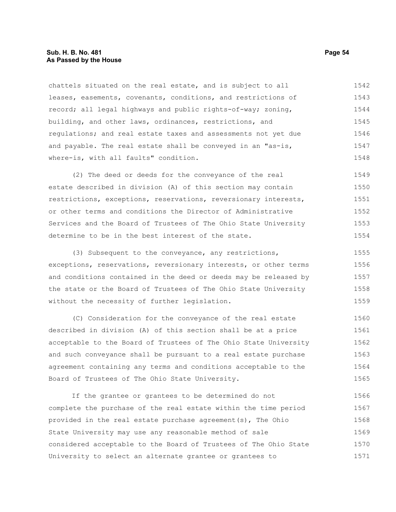### **Sub. H. B. No. 481 Page 54 As Passed by the House**

chattels situated on the real estate, and is subject to all leases, easements, covenants, conditions, and restrictions of record; all legal highways and public rights-of-way; zoning, building, and other laws, ordinances, restrictions, and regulations; and real estate taxes and assessments not yet due and payable. The real estate shall be conveyed in an "as-is, where-is, with all faults" condition. 1542 1543 1544 1545 1546 1547 1548

(2) The deed or deeds for the conveyance of the real estate described in division (A) of this section may contain restrictions, exceptions, reservations, reversionary interests, or other terms and conditions the Director of Administrative Services and the Board of Trustees of The Ohio State University determine to be in the best interest of the state. 1549 1550 1551 1552 1553 1554

(3) Subsequent to the conveyance, any restrictions, exceptions, reservations, reversionary interests, or other terms and conditions contained in the deed or deeds may be released by the state or the Board of Trustees of The Ohio State University without the necessity of further legislation. 1555 1556 1557 1558 1559

(C) Consideration for the conveyance of the real estate described in division (A) of this section shall be at a price acceptable to the Board of Trustees of The Ohio State University and such conveyance shall be pursuant to a real estate purchase agreement containing any terms and conditions acceptable to the Board of Trustees of The Ohio State University. 1560 1561 1562 1563 1564 1565

If the grantee or grantees to be determined do not complete the purchase of the real estate within the time period provided in the real estate purchase agreement(s), The Ohio State University may use any reasonable method of sale considered acceptable to the Board of Trustees of The Ohio State University to select an alternate grantee or grantees to 1566 1567 1568 1569 1570 1571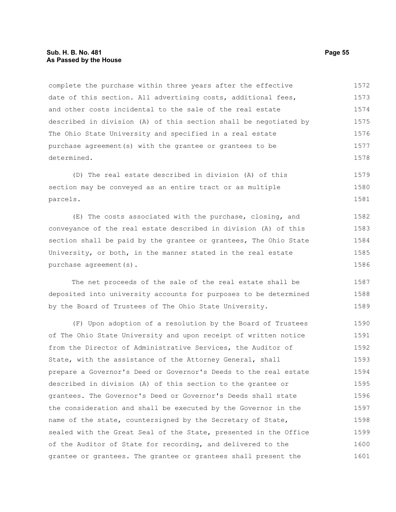complete the purchase within three years after the effective date of this section. All advertising costs, additional fees, and other costs incidental to the sale of the real estate described in division (A) of this section shall be negotiated by The Ohio State University and specified in a real estate purchase agreement(s) with the grantee or grantees to be determined. 1572 1573 1574 1575 1576 1577 1578

(D) The real estate described in division (A) of this section may be conveyed as an entire tract or as multiple parcels. 1579 1580 1581

(E) The costs associated with the purchase, closing, and conveyance of the real estate described in division (A) of this section shall be paid by the grantee or grantees, The Ohio State University, or both, in the manner stated in the real estate purchase agreement(s). 1582 1583 1584 1585 1586

The net proceeds of the sale of the real estate shall be deposited into university accounts for purposes to be determined by the Board of Trustees of The Ohio State University. 1587 1588 1589

(F) Upon adoption of a resolution by the Board of Trustees of The Ohio State University and upon receipt of written notice from the Director of Administrative Services, the Auditor of State, with the assistance of the Attorney General, shall prepare a Governor's Deed or Governor's Deeds to the real estate described in division (A) of this section to the grantee or grantees. The Governor's Deed or Governor's Deeds shall state the consideration and shall be executed by the Governor in the name of the state, countersigned by the Secretary of State, sealed with the Great Seal of the State, presented in the Office of the Auditor of State for recording, and delivered to the grantee or grantees. The grantee or grantees shall present the 1590 1591 1592 1593 1594 1595 1596 1597 1598 1599 1600 1601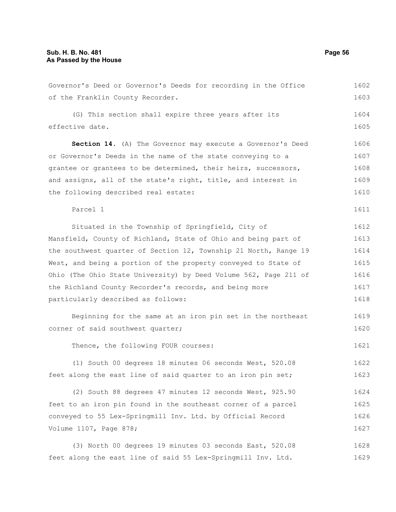| Governor's Deed or Governor's Deeds for recording in the Office  | 1602 |
|------------------------------------------------------------------|------|
| of the Franklin County Recorder.                                 | 1603 |
| (G) This section shall expire three years after its              | 1604 |
| effective date.                                                  | 1605 |
| Section 14. (A) The Governor may execute a Governor's Deed       | 1606 |
| or Governor's Deeds in the name of the state conveying to a      | 1607 |
| grantee or grantees to be determined, their heirs, successors,   | 1608 |
| and assigns, all of the state's right, title, and interest in    | 1609 |
| the following described real estate:                             | 1610 |
| Parcel 1                                                         | 1611 |
| Situated in the Township of Springfield, City of                 | 1612 |
| Mansfield, County of Richland, State of Ohio and being part of   | 1613 |
| the southwest quarter of Section 12, Township 21 North, Range 19 | 1614 |
| West, and being a portion of the property conveyed to State of   | 1615 |
| Ohio (The Ohio State University) by Deed Volume 562, Page 211 of | 1616 |
| the Richland County Recorder's records, and being more           | 1617 |
| particularly described as follows:                               | 1618 |
| Beginning for the same at an iron pin set in the northeast       | 1619 |
| corner of said southwest quarter;                                | 1620 |
| Thence, the following FOUR courses:                              | 1621 |
| (1) South 00 degrees 18 minutes 06 seconds West, 520.08          | 1622 |
| feet along the east line of said quarter to an iron pin set;     | 1623 |
| (2) South 88 degrees 47 minutes 12 seconds West, 925.90          | 1624 |
| feet to an iron pin found in the southeast corner of a parcel    | 1625 |
| conveyed to 55 Lex-Springmill Inv. Ltd. by Official Record       | 1626 |
| Volume 1107, Page 878;                                           | 1627 |
| (3) North 00 degrees 19 minutes 03 seconds East, 520.08          | 1628 |
| feet along the east line of said 55 Lex-Springmill Inv. Ltd.     | 1629 |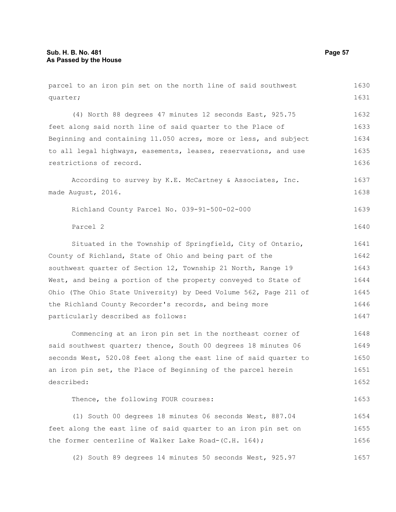parcel to an iron pin set on the north line of said southwest quarter; (4) North 88 degrees 47 minutes 12 seconds East, 925.75 feet along said north line of said quarter to the Place of Beginning and containing 11.050 acres, more or less, and subject to all legal highways, easements, leases, reservations, and use restrictions of record. According to survey by K.E. McCartney & Associates, Inc. made August, 2016. Richland County Parcel No. 039-91-500-02-000 Parcel 2 Situated in the Township of Springfield, City of Ontario, County of Richland, State of Ohio and being part of the southwest quarter of Section 12, Township 21 North, Range 19 West, and being a portion of the property conveyed to State of Ohio (The Ohio State University) by Deed Volume 562, Page 211 of the Richland County Recorder's records, and being more particularly described as follows: Commencing at an iron pin set in the northeast corner of said southwest quarter; thence, South 00 degrees 18 minutes 06 seconds West, 520.08 feet along the east line of said quarter to an iron pin set, the Place of Beginning of the parcel herein described: Thence, the following FOUR courses: (1) South 00 degrees 18 minutes 06 seconds West, 887.04 feet along the east line of said quarter to an iron pin set on the former centerline of Walker Lake Road-(C.H. 164); (2) South 89 degrees 14 minutes 50 seconds West, 925.97 1630 1631 1632 1633 1634 1635 1636 1637 1638 1639 1640 1641 1642 1643 1644 1645 1646 1647 1648 1649 1650 1651 1652 1653 1654 1655 1656 1657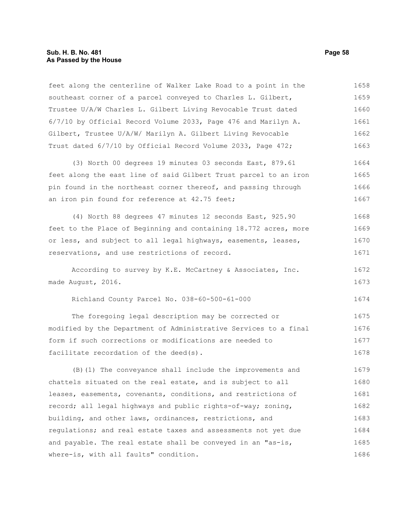feet along the centerline of Walker Lake Road to a point in the southeast corner of a parcel conveyed to Charles L. Gilbert, Trustee U/A/W Charles L. Gilbert Living Revocable Trust dated 6/7/10 by Official Record Volume 2033, Page 476 and Marilyn A. Gilbert, Trustee U/A/W/ Marilyn A. Gilbert Living Revocable Trust dated 6/7/10 by Official Record Volume 2033, Page 472; 1658 1659 1660 1661 1662 1663

(3) North 00 degrees 19 minutes 03 seconds East, 879.61 feet along the east line of said Gilbert Trust parcel to an iron pin found in the northeast corner thereof, and passing through an iron pin found for reference at 42.75 feet; 1664 1665 1666 1667

(4) North 88 degrees 47 minutes 12 seconds East, 925.90 feet to the Place of Beginning and containing 18.772 acres, more or less, and subject to all legal highways, easements, leases, reservations, and use restrictions of record. 1668 1669 1670 1671

According to survey by K.E. McCartney & Associates, Inc. made August, 2016. 1672 1673

Richland County Parcel No. 038-60-500-61-000

The foregoing legal description may be corrected or modified by the Department of Administrative Services to a final form if such corrections or modifications are needed to facilitate recordation of the deed(s). 1675 1676 1677 1678

(B)(1) The conveyance shall include the improvements and chattels situated on the real estate, and is subject to all leases, easements, covenants, conditions, and restrictions of record; all legal highways and public rights-of-way; zoning, building, and other laws, ordinances, restrictions, and regulations; and real estate taxes and assessments not yet due and payable. The real estate shall be conveyed in an "as-is, where-is, with all faults" condition. 1679 1680 1681 1682 1683 1684 1685 1686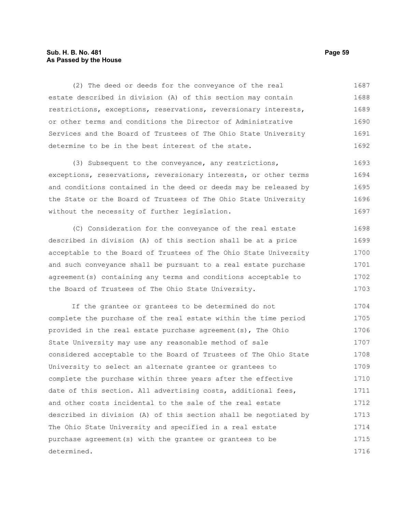# **Sub. H. B. No. 481 Page 59 As Passed by the House**

(2) The deed or deeds for the conveyance of the real estate described in division (A) of this section may contain restrictions, exceptions, reservations, reversionary interests, or other terms and conditions the Director of Administrative Services and the Board of Trustees of The Ohio State University determine to be in the best interest of the state. 1687 1688 1689 1690 1691 1692

(3) Subsequent to the conveyance, any restrictions, exceptions, reservations, reversionary interests, or other terms and conditions contained in the deed or deeds may be released by the State or the Board of Trustees of The Ohio State University without the necessity of further legislation. 1693 1694 1695 1696 1697

(C) Consideration for the conveyance of the real estate described in division (A) of this section shall be at a price acceptable to the Board of Trustees of The Ohio State University and such conveyance shall be pursuant to a real estate purchase agreement(s) containing any terms and conditions acceptable to the Board of Trustees of The Ohio State University. 1698 1699 1700 1701 1702 1703

If the grantee or grantees to be determined do not complete the purchase of the real estate within the time period provided in the real estate purchase agreement(s), The Ohio State University may use any reasonable method of sale considered acceptable to the Board of Trustees of The Ohio State University to select an alternate grantee or grantees to complete the purchase within three years after the effective date of this section. All advertising costs, additional fees, and other costs incidental to the sale of the real estate described in division (A) of this section shall be negotiated by The Ohio State University and specified in a real estate purchase agreement(s) with the grantee or grantees to be determined. 1704 1705 1706 1707 1708 1709 1710 1711 1712 1713 1714 1715 1716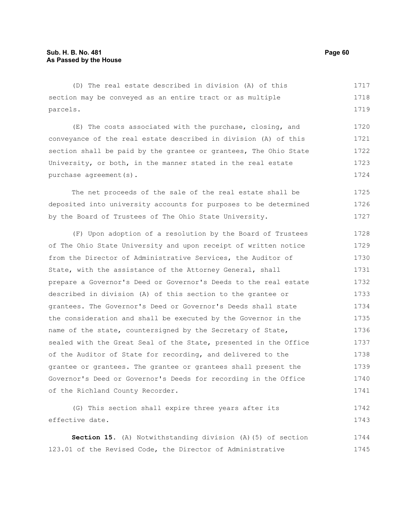(D) The real estate described in division (A) of this section may be conveyed as an entire tract or as multiple parcels. 1717 1718 1719

(E) The costs associated with the purchase, closing, and conveyance of the real estate described in division (A) of this section shall be paid by the grantee or grantees, The Ohio State University, or both, in the manner stated in the real estate purchase agreement(s). 1720 1721 1722 1723 1724

The net proceeds of the sale of the real estate shall be deposited into university accounts for purposes to be determined by the Board of Trustees of The Ohio State University. 1725 1726 1727

(F) Upon adoption of a resolution by the Board of Trustees of The Ohio State University and upon receipt of written notice from the Director of Administrative Services, the Auditor of State, with the assistance of the Attorney General, shall prepare a Governor's Deed or Governor's Deeds to the real estate described in division (A) of this section to the grantee or grantees. The Governor's Deed or Governor's Deeds shall state the consideration and shall be executed by the Governor in the name of the state, countersigned by the Secretary of State, sealed with the Great Seal of the State, presented in the Office of the Auditor of State for recording, and delivered to the grantee or grantees. The grantee or grantees shall present the Governor's Deed or Governor's Deeds for recording in the Office of the Richland County Recorder. 1728 1729 1730 1731 1732 1733 1734 1735 1736 1737 1738 1739 1740 1741

(G) This section shall expire three years after its effective date. 1742 1743

**Section 15.** (A) Notwithstanding division (A)(5) of section 123.01 of the Revised Code, the Director of Administrative 1744 1745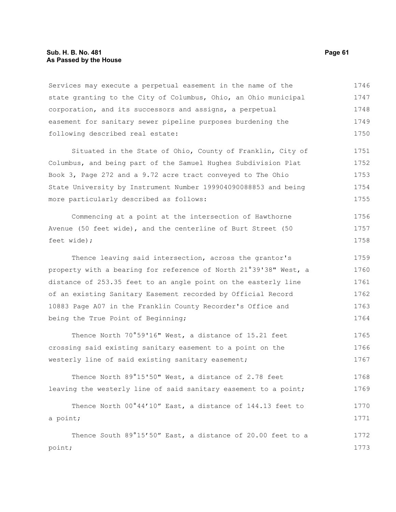## **Sub. H. B. No. 481 Page 61 As Passed by the House**

Services may execute a perpetual easement in the name of the state granting to the City of Columbus, Ohio, an Ohio municipal corporation, and its successors and assigns, a perpetual easement for sanitary sewer pipeline purposes burdening the following described real estate: 1746 1747 1748 1749 1750

Situated in the State of Ohio, County of Franklin, City of Columbus, and being part of the Samuel Hughes Subdivision Plat Book 3, Page 272 and a 9.72 acre tract conveyed to The Ohio State University by Instrument Number 199904090088853 and being more particularly described as follows: 1751 1752 1753 1754 1755

Commencing at a point at the intersection of Hawthorne Avenue (50 feet wide), and the centerline of Burt Street (50 feet wide); 1756 1757 1758

Thence leaving said intersection, across the grantor's property with a bearing for reference of North 21°39'38" West, a distance of 253.35 feet to an angle point on the easterly line of an existing Sanitary Easement recorded by Official Record 10883 Page A07 in the Franklin County Recorder's Office and being the True Point of Beginning; 1759 1760 1761 1762 1763 1764

Thence North 70°59'16" West, a distance of 15.21 feet crossing said existing sanitary easement to a point on the westerly line of said existing sanitary easement; 1765 1766 1767

Thence North 89°15'50" West, a distance of 2.78 feet leaving the westerly line of said sanitary easement to a point; 1768 1769

Thence North 00°44'10" East, a distance of 144.13 feet to a point; Thence South 89°15'50" East, a distance of 20.00 feet to a 1770 1771 1772

point;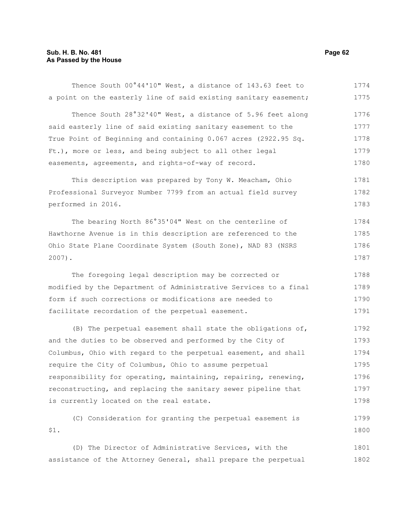# **Sub. H. B. No. 481 Page 62 As Passed by the House**

| Thence South 00°44'10" West, a distance of 143.63 feet to        | 1774 |
|------------------------------------------------------------------|------|
| a point on the easterly line of said existing sanitary easement; | 1775 |
| Thence South 28°32'40" West, a distance of 5.96 feet along       | 1776 |
| said easterly line of said existing sanitary easement to the     | 1777 |
| True Point of Beginning and containing 0.067 acres (2922.95 Sq.  | 1778 |
| Ft.), more or less, and being subject to all other legal         | 1779 |
| easements, agreements, and rights-of-way of record.              | 1780 |
| This description was prepared by Tony W. Meacham, Ohio           | 1781 |
| Professional Surveyor Number 7799 from an actual field survey    | 1782 |
| performed in 2016.                                               | 1783 |
| The bearing North 86°35'04" West on the centerline of            | 1784 |
| Hawthorne Avenue is in this description are referenced to the    | 1785 |
| Ohio State Plane Coordinate System (South Zone), NAD 83 (NSRS    | 1786 |
| $2007$ ).                                                        | 1787 |
| The foregoing legal description may be corrected or              | 1788 |
| modified by the Department of Administrative Services to a final | 1789 |
| form if such corrections or modifications are needed to          | 1790 |
| facilitate recordation of the perpetual easement.                | 1791 |
| (B) The perpetual easement shall state the obligations of,       | 1792 |
| and the duties to be observed and performed by the City of       | 1793 |
| Columbus, Ohio with regard to the perpetual easement, and shall  | 1794 |
| require the City of Columbus, Ohio to assume perpetual           | 1795 |
| responsibility for operating, maintaining, repairing, renewing,  | 1796 |
| reconstructing, and replacing the sanitary sewer pipeline that   | 1797 |
| is currently located on the real estate.                         | 1798 |
| (C) Consideration for granting the perpetual easement is         | 1799 |
| \$1.                                                             | 1800 |
| (D) The Director of Administrative Services, with the            | 1801 |
| assistance of the Attorney General, shall prepare the perpetual  | 1802 |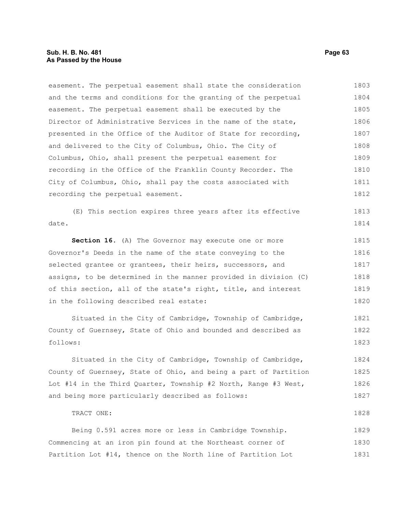# **Sub. H. B. No. 481 Page 63 As Passed by the House**

TRACT ONE:

easement. The perpetual easement shall state the consideration and the terms and conditions for the granting of the perpetual easement. The perpetual easement shall be executed by the Director of Administrative Services in the name of the state, presented in the Office of the Auditor of State for recording, and delivered to the City of Columbus, Ohio. The City of Columbus, Ohio, shall present the perpetual easement for recording in the Office of the Franklin County Recorder. The City of Columbus, Ohio, shall pay the costs associated with recording the perpetual easement. 1803 1804 1805 1806 1807 1808 1809 1810 1811 1812

(E) This section expires three years after its effective date. 1813 1814

**Section 16.** (A) The Governor may execute one or more Governor's Deeds in the name of the state conveying to the selected grantee or grantees, their heirs, successors, and assigns, to be determined in the manner provided in division (C) of this section, all of the state's right, title, and interest in the following described real estate: 1815 1816 1817 1818 1819 1820

Situated in the City of Cambridge, Township of Cambridge, County of Guernsey, State of Ohio and bounded and described as follows: 1821 1822 1823

Situated in the City of Cambridge, Township of Cambridge, County of Guernsey, State of Ohio, and being a part of Partition Lot #14 in the Third Quarter, Township #2 North, Range #3 West, and being more particularly described as follows: 1824 1825 1826 1827

Being 0.591 acres more or less in Cambridge Township. Commencing at an iron pin found at the Northeast corner of Partition Lot #14, thence on the North line of Partition Lot 1829 1830 1831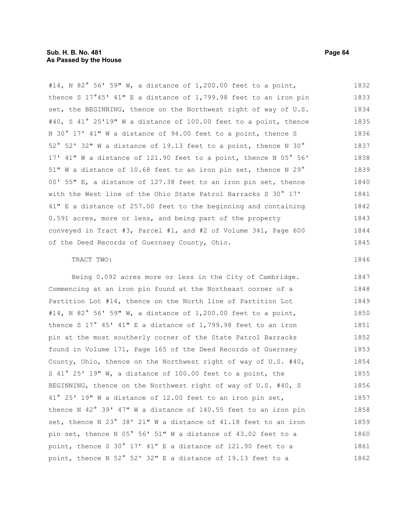#14, N 82° 56' 59" W, a distance of 1,200.00 feet to a point, thence S 17°45' 41" E a distance of 1,799.98 feet to an iron pin set, the BEGINNING, thence on the Northwest right of way of U.S. #40, S 41° 25'19" W a distance of 100.00 feet to a point, thence N 30° 17' 41" W a distance of 94.00 feet to a point, thence S 52° 52' 32" W a distance of 19.13 feet to a point, thence N 30° 17' 41" W a distance of 121.90 feet to a point, thence N 05° 56' 51" W a distance of 10.68 feet to an iron pin set, thence N 29° 00' 55" E, a distance of 127.38 feet to an iron pin set, thence with the West line of the Ohio State Patrol Barracks S 30° 17' 41" E a distance of 257.00 feet to the beginning and containing 0.591 acres, more or less, and being part of the property conveyed in Tract #3, Parcel #1, and #2 of Volume 341, Page 600 of the Deed Records of Guernsey County, Ohio. TRACT TWO: 1832 1833 1834 1835 1836 1837 1838 1839 1840 1841 1842 1843 1844 1845 1846

Being 0.092 acres more or less in the City of Cambridge. Commencing at an iron pin found at the Northeast corner of a Partition Lot #14, thence on the North line of Partition Lot #14, N 82° 56' 59" W, a distance of 1,200.00 feet to a point, thence S 17° 45' 41" E a distance of 1,799.98 feet to an iron pin at the most southerly corner of the State Patrol Barracks found in Volume 171, Page 165 of the Deed Records of Guernsey County, Ohio, thence on the Northwest right of way of U.S. #40, S 41° 25' 19" W, a distance of 100.00 feet to a point, the BEGINNING, thence on the Northwest right of way of U.S. #40, S 41° 25' 19" W a distance of 12.00 feet to an iron pin set, thence N 42° 39' 47" W a distance of 140.55 feet to an iron pin set, thence N 23° 38' 21" W a distance of 41.18 feet to an iron pin set, thence N 05° 56' 51" W a distance of 43.02 feet to a point, thence S 30° 17' 41" E a distance of 121.90 feet to a point, thence N 52° 52' 32" E a distance of 19.13 feet to a 1847 1848 1849 1850 1851 1852 1853 1854 1855 1856 1857 1858 1859 1860 1861 1862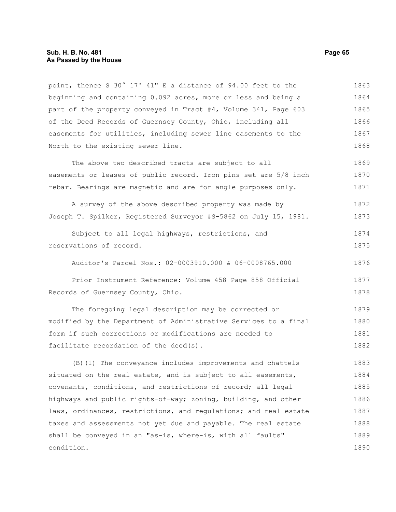#### **Sub. H. B. No. 481 Page 65 As Passed by the House**

condition.

point, thence S 30° 17' 41" E a distance of 94.00 feet to the beginning and containing 0.092 acres, more or less and being a part of the property conveyed in Tract #4, Volume 341, Page 603 of the Deed Records of Guernsey County, Ohio, including all easements for utilities, including sewer line easements to the North to the existing sewer line. The above two described tracts are subject to all easements or leases of public record. Iron pins set are 5/8 inch rebar. Bearings are magnetic and are for angle purposes only. A survey of the above described property was made by Joseph T. Spilker, Registered Surveyor #S-5862 on July 15, 1981. Subject to all legal highways, restrictions, and reservations of record. Auditor's Parcel Nos.: 02-0003910.000 & 06-0008765.000 Prior Instrument Reference: Volume 458 Page 858 Official Records of Guernsey County, Ohio. The foregoing legal description may be corrected or modified by the Department of Administrative Services to a final form if such corrections or modifications are needed to facilitate recordation of the deed(s). (B)(1) The conveyance includes improvements and chattels situated on the real estate, and is subject to all easements, covenants, conditions, and restrictions of record; all legal highways and public rights-of-way; zoning, building, and other laws, ordinances, restrictions, and regulations; and real estate taxes and assessments not yet due and payable. The real estate shall be conveyed in an "as-is, where-is, with all faults" 1863 1864 1865 1866 1867 1868 1869 1870 1871 1872 1873 1874 1875 1876 1877 1878 1879 1880 1881 1882 1883 1884 1885 1886 1887 1888 1889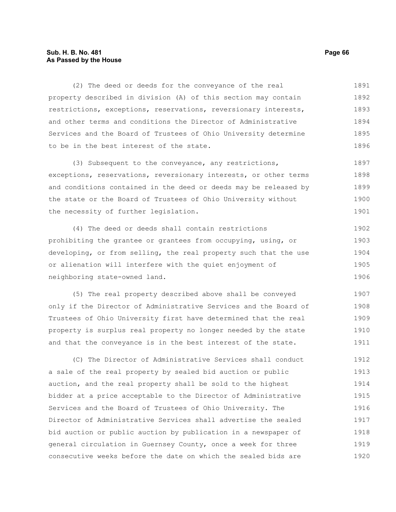# **Sub. H. B. No. 481 Page 66 As Passed by the House**

(2) The deed or deeds for the conveyance of the real property described in division (A) of this section may contain restrictions, exceptions, reservations, reversionary interests, and other terms and conditions the Director of Administrative Services and the Board of Trustees of Ohio University determine to be in the best interest of the state. 1891 1892 1893 1894 1895 1896

(3) Subsequent to the conveyance, any restrictions, exceptions, reservations, reversionary interests, or other terms and conditions contained in the deed or deeds may be released by the state or the Board of Trustees of Ohio University without the necessity of further legislation. 1897 1898 1899 1900 1901

(4) The deed or deeds shall contain restrictions prohibiting the grantee or grantees from occupying, using, or developing, or from selling, the real property such that the use or alienation will interfere with the quiet enjoyment of neighboring state-owned land. 1902 1903 1904 1905 1906

(5) The real property described above shall be conveyed only if the Director of Administrative Services and the Board of Trustees of Ohio University first have determined that the real property is surplus real property no longer needed by the state and that the conveyance is in the best interest of the state. 1907 1908 1909 1910 1911

(C) The Director of Administrative Services shall conduct a sale of the real property by sealed bid auction or public auction, and the real property shall be sold to the highest bidder at a price acceptable to the Director of Administrative Services and the Board of Trustees of Ohio University. The Director of Administrative Services shall advertise the sealed bid auction or public auction by publication in a newspaper of general circulation in Guernsey County, once a week for three consecutive weeks before the date on which the sealed bids are 1912 1913 1914 1915 1916 1917 1918 1919 1920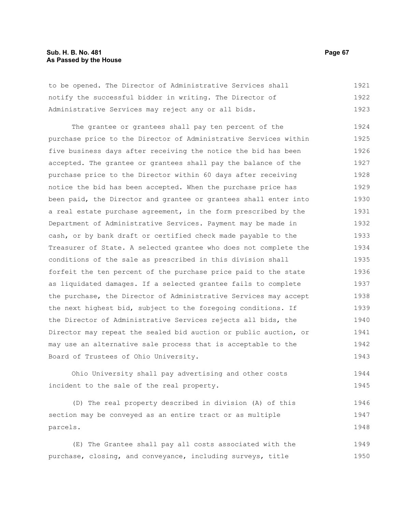# **Sub. H. B. No. 481 Page 67 As Passed by the House**

to be opened. The Director of Administrative Services shall notify the successful bidder in writing. The Director of Administrative Services may reject any or all bids. 1921 1922 1923

The grantee or grantees shall pay ten percent of the purchase price to the Director of Administrative Services within five business days after receiving the notice the bid has been accepted. The grantee or grantees shall pay the balance of the purchase price to the Director within 60 days after receiving notice the bid has been accepted. When the purchase price has been paid, the Director and grantee or grantees shall enter into a real estate purchase agreement, in the form prescribed by the Department of Administrative Services. Payment may be made in cash, or by bank draft or certified check made payable to the Treasurer of State. A selected grantee who does not complete the conditions of the sale as prescribed in this division shall forfeit the ten percent of the purchase price paid to the state as liquidated damages. If a selected grantee fails to complete the purchase, the Director of Administrative Services may accept the next highest bid, subject to the foregoing conditions. If the Director of Administrative Services rejects all bids, the Director may repeat the sealed bid auction or public auction, or may use an alternative sale process that is acceptable to the Board of Trustees of Ohio University. 1924 1925 1926 1927 1928 1929 1930 1931 1932 1933 1934 1935 1936 1937 1938 1939 1940 1941 1942 1943

Ohio University shall pay advertising and other costs incident to the sale of the real property. 1944 1945

(D) The real property described in division (A) of this section may be conveyed as an entire tract or as multiple parcels. 1946 1947 1948

(E) The Grantee shall pay all costs associated with the purchase, closing, and conveyance, including surveys, title 1949 1950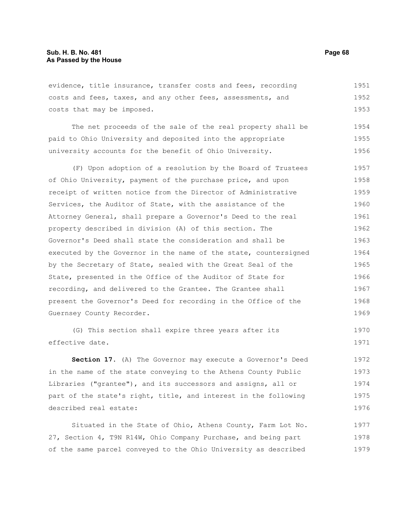evidence, title insurance, transfer costs and fees, recording costs and fees, taxes, and any other fees, assessments, and costs that may be imposed. 1951 1952 1953

The net proceeds of the sale of the real property shall be paid to Ohio University and deposited into the appropriate university accounts for the benefit of Ohio University. 1954 1955 1956

(F) Upon adoption of a resolution by the Board of Trustees of Ohio University, payment of the purchase price, and upon receipt of written notice from the Director of Administrative Services, the Auditor of State, with the assistance of the Attorney General, shall prepare a Governor's Deed to the real property described in division (A) of this section. The Governor's Deed shall state the consideration and shall be executed by the Governor in the name of the state, countersigned by the Secretary of State, sealed with the Great Seal of the State, presented in the Office of the Auditor of State for recording, and delivered to the Grantee. The Grantee shall present the Governor's Deed for recording in the Office of the Guernsey County Recorder. 1957 1958 1959 1960 1961 1962 1963 1964 1965 1966 1967 1968 1969

(G) This section shall expire three years after its effective date. 1970 1971

**Section 17.** (A) The Governor may execute a Governor's Deed in the name of the state conveying to the Athens County Public Libraries ("grantee"), and its successors and assigns, all or part of the state's right, title, and interest in the following described real estate: 1972 1973 1974 1975 1976

Situated in the State of Ohio, Athens County, Farm Lot No. 27, Section 4, T9N R14W, Ohio Company Purchase, and being part of the same parcel conveyed to the Ohio University as described 1977 1978 1979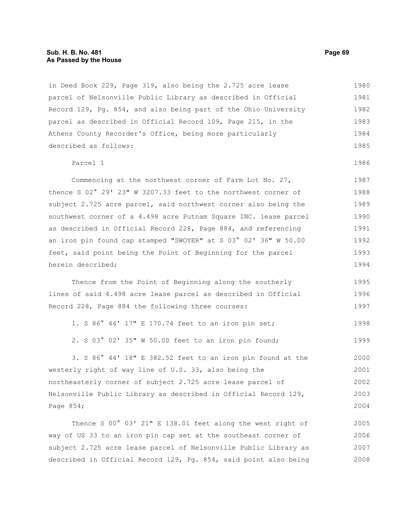in Deed Book 229, Page 319, also being the 2.725 acre lease parcel of Nelsonville Public Library as described in Official Record 129, Pg. 854, and also being part of the Ohio University parcel as described in Official Record 109, Page 215, in the Athens County Recorder's Office, being more particularly described as follows: 1980 1981 1982 1983 1984 1985

#### Parcel 1 1986

Commencing at the northwest corner of Farm Lot No. 27, thence S 02° 29' 23" W 3207.33 feet to the northwest corner of subject 2.725 acre parcel, said northwest corner also being the southwest corner of a 4.498 acre Putnam Square INC. lease parcel as described in Official Record 228, Page 884, and referencing an iron pin found cap stamped "SWOYER" at S 03° 02' 36" W 50.00 feet, said point being the Point of Beginning for the parcel herein described; 1987 1988 1989 1990 1991 1992 1993 1994

Thence from the Point of Beginning along the southerly lines of said 4.498 acre lease parcel as described in Official Record 228, Page 884 the following three courses: 1995 1996 1997

1. S 86° 44' 17" E 170.74 feet to an iron pin set; 1998

2. S 03° 02' 35" W 50.00 feet to an iron pin found; 1999

3. S 86° 44' 18" E 382.52 feet to an iron pin found at the westerly right of way line of U.S. 33, also being the northeasterly corner of subject 2.725 acre lease parcel of Nelsonville Public Library as described in Official Record 129, Page 854; 2000 2001 2002 2003 2004

Thence S 00° 03' 21" E 138.01 feet along the west right of way of US 33 to an iron pin cap set at the southeast corner of subject 2.725 acre lease parcel of Nelsonville Public Library as described in Official Record 129, Pg. 854, said point also being 2005 2006 2007 2008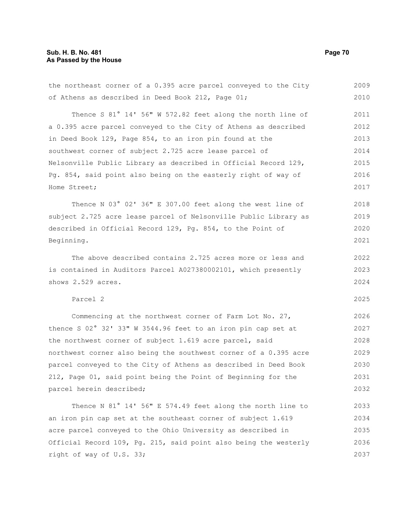# **Sub. H. B. No. 481 Page 70 As Passed by the House**

of Athens as described in Deed Book 212, Page 01; Thence S 81° 14' 56" W 572.82 feet along the north line of a 0.395 acre parcel conveyed to the City of Athens as described in Deed Book 129, Page 854, to an iron pin found at the southwest corner of subject 2.725 acre lease parcel of Nelsonville Public Library as described in Official Record 129, Pg. 854, said point also being on the easterly right of way of Home Street; Thence N 03° 02' 36" E 307.00 feet along the west line of subject 2.725 acre lease parcel of Nelsonville Public Library as described in Official Record 129, Pg. 854, to the Point of Beginning. The above described contains 2.725 acres more or less and is contained in Auditors Parcel A027380002101, which presently shows 2.529 acres. Parcel 2 Commencing at the northwest corner of Farm Lot No. 27, thence S 02° 32' 33" W 3544.96 feet to an iron pin cap set at the northwest corner of subject 1.619 acre parcel, said northwest corner also being the southwest corner of a 0.395 acre parcel conveyed to the City of Athens as described in Deed Book 212, Page 01, said point being the Point of Beginning for the parcel herein described; 2010 2011 2012 2013 2014 2015 2016 2017 2018 2019 2020 2021 2022 2023 2024 2025 2026 2027 2028 2029 2030 2031 2032

the northeast corner of a 0.395 acre parcel conveyed to the City

Thence N 81° 14' 56" E 574.49 feet along the north line to an iron pin cap set at the southeast corner of subject 1.619 acre parcel conveyed to the Ohio University as described in Official Record 109, Pg. 215, said point also being the westerly right of way of U.S. 33; 2033 2034 2035 2036 2037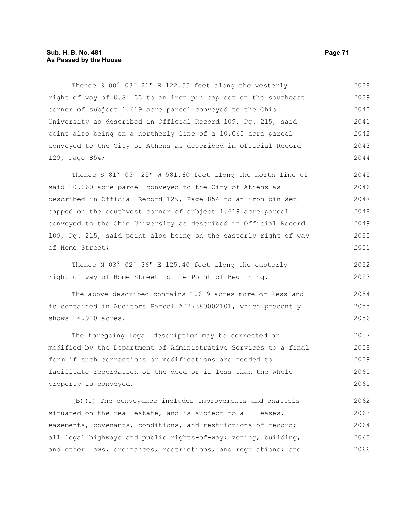# **Sub. H. B. No. 481 Page 71 As Passed by the House**

Thence S 00° 03' 21" E 122.55 feet along the westerly right of way of U.S. 33 to an iron pin cap set on the southeast corner of subject 1.619 acre parcel conveyed to the Ohio University as described in Official Record 109, Pg. 215, said point also being on a northerly line of a 10.060 acre parcel conveyed to the City of Athens as described in Official Record 129, Page 854; 2038 2039 2040 2041 2042 2043 2044

Thence S 81° 05' 25" W 581.60 feet along the north line of said 10.060 acre parcel conveyed to the City of Athens as described in Official Record 129, Page 854 to an iron pin set capped on the southwest corner of subject 1.619 acre parcel conveyed to the Ohio University as described in Official Record 109, Pg. 215, said point also being on the easterly right of way of Home Street; 2045 2046 2047 2048 2049 2050 2051

Thence N 03° 02' 36" E 125.40 feet along the easterly right of way of Home Street to the Point of Beginning. 2052 2053

The above described contains 1.619 acres more or less and is contained in Auditors Parcel A027380002101, which presently shows 14.910 acres. 2054 2055 2056

The foregoing legal description may be corrected or modified by the Department of Administrative Services to a final form if such corrections or modifications are needed to facilitate recordation of the deed or if less than the whole property is conveyed. 2057 2058 2059 2060 2061

(B)(1) The conveyance includes improvements and chattels situated on the real estate, and is subject to all leases, easements, covenants, conditions, and restrictions of record; all legal highways and public rights-of-way; zoning, building, and other laws, ordinances, restrictions, and regulations; and 2062 2063 2064 2065 2066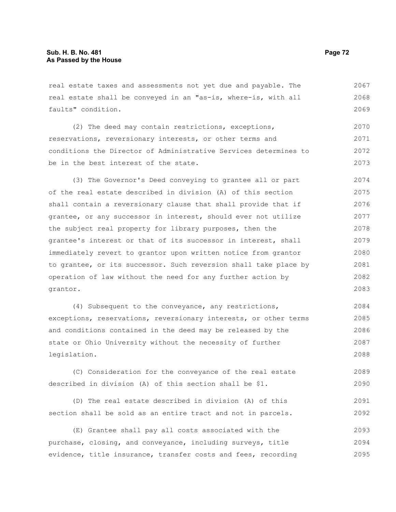real estate taxes and assessments not yet due and payable. The real estate shall be conveyed in an "as-is, where-is, with all faults" condition. 2067 2068 2069

(2) The deed may contain restrictions, exceptions, reservations, reversionary interests, or other terms and conditions the Director of Administrative Services determines to be in the best interest of the state. 2070 2071 2072 2073

(3) The Governor's Deed conveying to grantee all or part of the real estate described in division (A) of this section shall contain a reversionary clause that shall provide that if grantee, or any successor in interest, should ever not utilize the subject real property for library purposes, then the grantee's interest or that of its successor in interest, shall immediately revert to grantor upon written notice from grantor to grantee, or its successor. Such reversion shall take place by operation of law without the need for any further action by grantor. 2074 2075 2076 2077 2078 2079 2080 2081 2082 2083

(4) Subsequent to the conveyance, any restrictions, exceptions, reservations, reversionary interests, or other terms and conditions contained in the deed may be released by the state or Ohio University without the necessity of further legislation. 2084 2085 2086 2087 2088

(C) Consideration for the conveyance of the real estate described in division (A) of this section shall be \$1. 2089 2090

(D) The real estate described in division (A) of this section shall be sold as an entire tract and not in parcels. 2091 2092

(E) Grantee shall pay all costs associated with the purchase, closing, and conveyance, including surveys, title evidence, title insurance, transfer costs and fees, recording 2093 2094 2095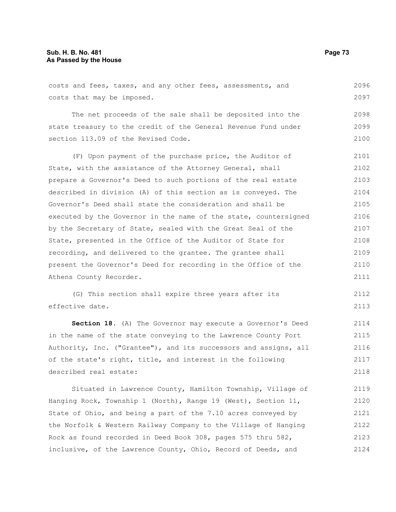costs and fees, taxes, and any other fees, assessments, and costs that may be imposed. 2096 2097

The net proceeds of the sale shall be deposited into the state treasury to the credit of the General Revenue Fund under section 113.09 of the Revised Code. 2098 2099

(F) Upon payment of the purchase price, the Auditor of State, with the assistance of the Attorney General, shall prepare a Governor's Deed to such portions of the real estate described in division (A) of this section as is conveyed. The Governor's Deed shall state the consideration and shall be executed by the Governor in the name of the state, countersigned by the Secretary of State, sealed with the Great Seal of the State, presented in the Office of the Auditor of State for recording, and delivered to the grantee. The grantee shall present the Governor's Deed for recording in the Office of the Athens County Recorder. 2101 2102 2103 2104 2105 2106 2107 2108 2109 2110 2111

(G) This section shall expire three years after its effective date. 2112 2113

**Section 18.** (A) The Governor may execute a Governor's Deed in the name of the state conveying to the Lawrence County Port Authority, Inc. ("Grantee"), and its successors and assigns, all of the state's right, title, and interest in the following described real estate: 2114 2115 2116 2117 2118

Situated in Lawrence County, Hamilton Township, Village of Hanging Rock, Township 1 (North), Range 19 (West), Section 11, State of Ohio, and being a part of the 7.10 acres conveyed by the Norfolk & Western Railway Company to the Village of Hanging Rock as found recorded in Deed Book 308, pages 575 thru 582, inclusive, of the Lawrence County, Ohio, Record of Deeds, and 2119 2120 2121 2122 2123 2124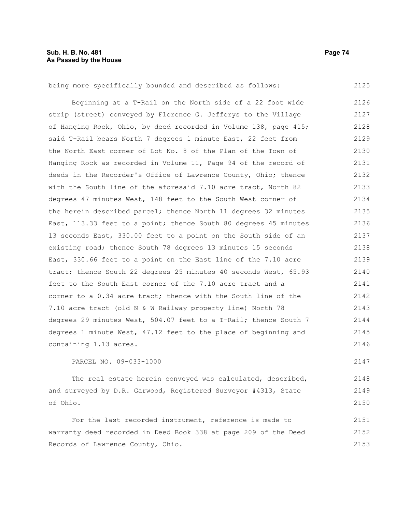2125

2147

2148 2149 2150

being more specifically bounded and described as follows:

Beginning at a T-Rail on the North side of a 22 foot wide strip (street) conveyed by Florence G. Jefferys to the Village of Hanging Rock, Ohio, by deed recorded in Volume 138, page 415; said T-Rail bears North 7 degrees 1 minute East, 22 feet from the North East corner of Lot No. 8 of the Plan of the Town of Hanging Rock as recorded in Volume 11, Page 94 of the record of deeds in the Recorder's Office of Lawrence County, Ohio; thence with the South line of the aforesaid 7.10 acre tract, North 82 degrees 47 minutes West, 148 feet to the South West corner of the herein described parcel; thence North 11 degrees 32 minutes East, 113.33 feet to a point; thence South 80 degrees 45 minutes 13 seconds East, 330.00 feet to a point on the South side of an existing road; thence South 78 degrees 13 minutes 15 seconds East, 330.66 feet to a point on the East line of the 7.10 acre tract; thence South 22 degrees 25 minutes 40 seconds West, 65.93 feet to the South East corner of the 7.10 acre tract and a corner to a 0.34 acre tract; thence with the South line of the 7.10 acre tract (old N & W Railway property line) North 78 degrees 29 minutes West, 504.07 feet to a T-Rail; thence South 7 degrees 1 minute West, 47.12 feet to the place of beginning and containing 1.13 acres. 2126 2127 2128 2129 2130 2131 2132 2133 2134 2135 2136 2137 2138 2139 2140 2141 2142 2143 2144 2145 2146

PARCEL NO. 09-033-1000

The real estate herein conveyed was calculated, described, and surveyed by D.R. Garwood, Registered Surveyor #4313, State of Ohio.

For the last recorded instrument, reference is made to warranty deed recorded in Deed Book 338 at page 209 of the Deed Records of Lawrence County, Ohio. 2151 2152 2153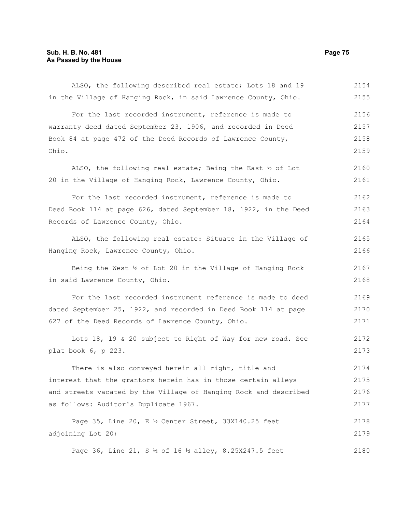| ALSO, the following described real estate; Lots 18 and 19        | 2154 |
|------------------------------------------------------------------|------|
| in the Village of Hanging Rock, in said Lawrence County, Ohio.   | 2155 |
| For the last recorded instrument, reference is made to           | 2156 |
| warranty deed dated September 23, 1906, and recorded in Deed     | 2157 |
| Book 84 at page 472 of the Deed Records of Lawrence County,      | 2158 |
| Ohio.                                                            | 2159 |
| ALSO, the following real estate; Being the East 12 of Lot        | 2160 |
| 20 in the Village of Hanging Rock, Lawrence County, Ohio.        | 2161 |
| For the last recorded instrument, reference is made to           | 2162 |
| Deed Book 114 at page 626, dated September 18, 1922, in the Deed | 2163 |
| Records of Lawrence County, Ohio.                                | 2164 |
| ALSO, the following real estate: Situate in the Village of       | 2165 |
| Hanging Rock, Lawrence County, Ohio.                             | 2166 |
| Being the West 1/2 of Lot 20 in the Village of Hanging Rock      | 2167 |
| in said Lawrence County, Ohio.                                   | 2168 |
| For the last recorded instrument reference is made to deed       | 2169 |
| dated September 25, 1922, and recorded in Deed Book 114 at page  | 2170 |
| 627 of the Deed Records of Lawrence County, Ohio.                | 2171 |
| Lots 18, 19 & 20 subject to Right of Way for new road. See       | 2172 |
| plat book 6, p 223.                                              | 2173 |
| There is also conveyed herein all right, title and               | 2174 |
| interest that the grantors herein has in those certain alleys    | 2175 |
| and streets vacated by the Village of Hanging Rock and described | 2176 |
| as follows: Auditor's Duplicate 1967.                            | 2177 |
| Page 35, Line 20, E $\frac{1}{2}$ Center Street, 33X140.25 feet  | 2178 |
| adjoining Lot 20;                                                | 2179 |
| Page 36, Line 21, S 1/2 of 16 1/2 alley, 8.25X247.5 feet         | 2180 |
|                                                                  |      |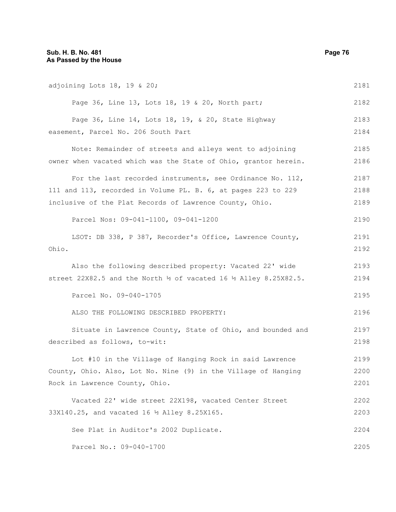| adjoining Lots 18, 19 & 20;                                                             | 2181 |
|-----------------------------------------------------------------------------------------|------|
| Page 36, Line 13, Lots 18, 19 & 20, North part;                                         | 2182 |
| Page 36, Line 14, Lots 18, 19, & 20, State Highway                                      | 2183 |
| easement, Parcel No. 206 South Part                                                     | 2184 |
| Note: Remainder of streets and alleys went to adjoining                                 | 2185 |
| owner when vacated which was the State of Ohio, grantor herein.                         | 2186 |
| For the last recorded instruments, see Ordinance No. $112$ ,                            | 2187 |
| 111 and 113, recorded in Volume PL. B. 6, at pages 223 to 229                           | 2188 |
| inclusive of the Plat Records of Lawrence County, Ohio.                                 | 2189 |
| Parcel Nos: 09-041-1100, 09-041-1200                                                    | 2190 |
| LSOT: DB 338, P 387, Recorder's Office, Lawrence County,                                | 2191 |
| Ohio.                                                                                   | 2192 |
| Also the following described property: Vacated 22' wide                                 | 2193 |
| street 22X82.5 and the North $\frac{1}{2}$ of vacated 16 $\frac{1}{2}$ Alley 8.25X82.5. | 2194 |
| Parcel No. 09-040-1705                                                                  | 2195 |
| ALSO THE FOLLOWING DESCRIBED PROPERTY:                                                  | 2196 |
| Situate in Lawrence County, State of Ohio, and bounded and                              | 2197 |
| described as follows, to-wit:                                                           | 2198 |
| Lot #10 in the Village of Hanging Rock in said Lawrence                                 | 2199 |
| County, Ohio. Also, Lot No. Nine (9) in the Village of Hanging                          | 2200 |
| Rock in Lawrence County, Ohio.                                                          | 2201 |
| Vacated 22' wide street 22X198, vacated Center Street                                   | 2202 |
| 33X140.25, and vacated 16 ½ Alley 8.25X165.                                             | 2203 |
| See Plat in Auditor's 2002 Duplicate.                                                   | 2204 |
| Parcel No.: 09-040-1700                                                                 | 2205 |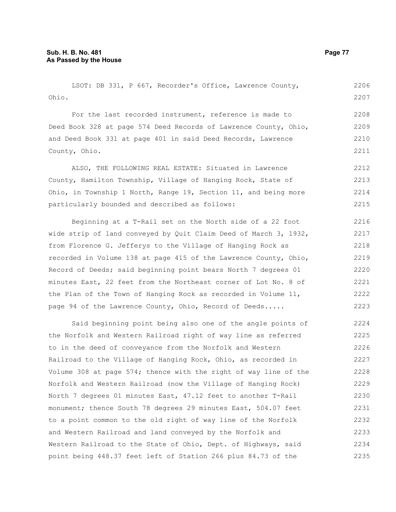LSOT: DB 331, P 667, Recorder's Office, Lawrence County, Ohio. For the last recorded instrument, reference is made to Deed Book 328 at page 574 Deed Records of Lawrence County, Ohio, and Deed Book 331 at page 401 in said Deed Records, Lawrence County, Ohio. ALSO, THE FOLLOWING REAL ESTATE: Situated in Lawrence County, Hamilton Township, Village of Hanging Rock, State of Ohio, in Township 1 North, Range 19, Section 11, and being more particularly bounded and described as follows: Beginning at a T-Rail set on the North side of a 22 foot wide strip of land conveyed by Quit Claim Deed of March 3, 1932, from Florence G. Jefferys to the Village of Hanging Rock as recorded in Volume 138 at page 415 of the Lawrence County, Ohio, Record of Deeds; said beginning point bears North 7 degrees 01 minutes East, 22 feet from the Northeast corner of Lot No. 8 of the Plan of the Town of Hanging Rock as recorded in Volume 11, page 94 of the Lawrence County, Ohio, Record of Deeds..... Said beginning point being also one of the angle points of the Norfolk and Western Railroad right of way line as referred to in the deed of conveyance from the Norfolk and Western Railroad to the Village of Hanging Rock, Ohio, as recorded in 2206 2207 2208 2209 2210 2211 2212 2213 2214 2215 2216 2217 2218 2219 2220 2221 2222 2223 2224 2225 2226 2227

Volume 308 at page 574; thence with the right of way line of the Norfolk and Western Railroad (now the Village of Hanging Rock) North 7 degrees 01 minutes East, 47.12 feet to another T-Rail monument; thence South 78 degrees 29 minutes East, 504.07 feet to a point common to the old right of way line of the Norfolk and Western Railroad and land conveyed by the Norfolk and Western Railroad to the State of Ohio, Dept. of Highways, said point being 448.37 feet left of Station 266 plus 84.73 of the 2228 2229 2230 2231 2232 2233 2234 2235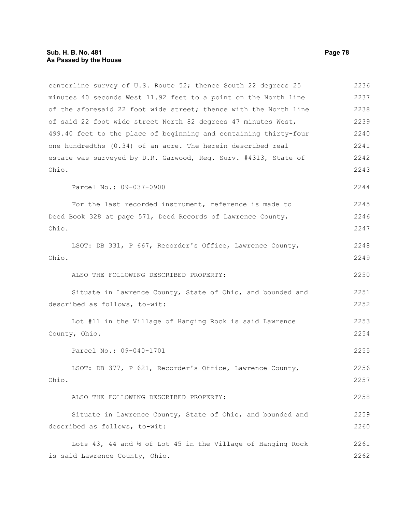| centerline survey of U.S. Route 52; thence South 22 degrees 25         | 2236 |
|------------------------------------------------------------------------|------|
| minutes 40 seconds West 11.92 feet to a point on the North line        | 2237 |
| of the aforesaid 22 foot wide street; thence with the North line       | 2238 |
| of said 22 foot wide street North 82 degrees 47 minutes West,          | 2239 |
| 499.40 feet to the place of beginning and containing thirty-four       | 2240 |
| one hundredths (0.34) of an acre. The herein described real            | 2241 |
| estate was surveyed by D.R. Garwood, Reg. Surv. #4313, State of        | 2242 |
| Ohio.                                                                  | 2243 |
| Parcel No.: 09-037-0900                                                | 2244 |
| For the last recorded instrument, reference is made to                 | 2245 |
| Deed Book 328 at page 571, Deed Records of Lawrence County,            | 2246 |
| Ohio.                                                                  | 2247 |
| LSOT: DB 331, P 667, Recorder's Office, Lawrence County,               | 2248 |
| Ohio.                                                                  | 2249 |
| ALSO THE FOLLOWING DESCRIBED PROPERTY:                                 | 2250 |
| Situate in Lawrence County, State of Ohio, and bounded and             | 2251 |
| described as follows, to-wit:                                          | 2252 |
| Lot #11 in the Village of Hanging Rock is said Lawrence                | 2253 |
| County, Ohio.                                                          | 2254 |
| Parcel No.: 09-040-1701                                                | 2255 |
| LSOT: DB 377, P 621, Recorder's Office, Lawrence County,               | 2256 |
| Ohio.                                                                  | 2257 |
| ALSO THE FOLLOWING DESCRIBED PROPERTY:                                 | 2258 |
| Situate in Lawrence County, State of Ohio, and bounded and             | 2259 |
| described as follows, to-wit:                                          | 2260 |
| Lots 43, 44 and $\frac{1}{2}$ of Lot 45 in the Village of Hanging Rock | 2261 |
| is said Lawrence County, Ohio.                                         | 2262 |
|                                                                        |      |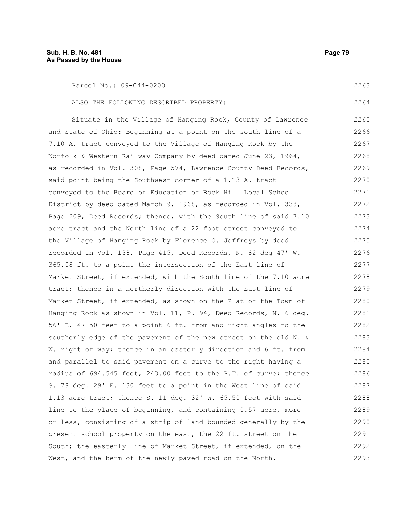| Parcel No.: 09-044-0200                                          | 2263 |
|------------------------------------------------------------------|------|
| ALSO THE FOLLOWING DESCRIBED PROPERTY:                           | 2264 |
| Situate in the Village of Hanging Rock, County of Lawrence       | 2265 |
| and State of Ohio: Beginning at a point on the south line of a   | 2266 |
| 7.10 A. tract conveyed to the Village of Hanging Rock by the     | 2267 |
| Norfolk & Western Railway Company by deed dated June 23, 1964,   | 2268 |
| as recorded in Vol. 308, Page 574, Lawrence County Deed Records, | 2269 |
| said point being the Southwest corner of a 1.13 A. tract         | 2270 |
| conveyed to the Board of Education of Rock Hill Local School     | 2271 |
| District by deed dated March 9, 1968, as recorded in Vol. 338,   | 2272 |
| Page 209, Deed Records; thence, with the South line of said 7.10 | 2273 |
| acre tract and the North line of a 22 foot street conveyed to    | 2274 |
| the Village of Hanging Rock by Florence G. Jeffreys by deed      | 2275 |
| recorded in Vol. 138, Page 415, Deed Records, N. 82 deg 47' W.   | 2276 |
| 365.08 ft. to a point the intersection of the East line of       | 2277 |
| Market Street, if extended, with the South line of the 7.10 acre | 2278 |
| tract; thence in a northerly direction with the East line of     | 2279 |
| Market Street, if extended, as shown on the Plat of the Town of  | 2280 |
| Hanging Rock as shown in Vol. 11, P. 94, Deed Records, N. 6 deg. | 2281 |
| 56' E. 47-50 feet to a point 6 ft. from and right angles to the  | 2282 |
| southerly edge of the pavement of the new street on the old N. & | 2283 |
| W. right of way; thence in an easterly direction and 6 ft. from  | 2284 |
| and parallel to said pavement on a curve to the right having a   | 2285 |
| radius of 694.545 feet, 243.00 feet to the P.T. of curve; thence | 2286 |
| S. 78 deg. 29' E. 130 feet to a point in the West line of said   | 2287 |
| 1.13 acre tract; thence S. 11 deg. 32' W. 65.50 feet with said   | 2288 |
| line to the place of beginning, and containing 0.57 acre, more   | 2289 |

line to the place of beginning, and containing 0.57 acre, more or less, consisting of a strip of land bounded generally by the present school property on the east, the 22 ft. street on the South; the easterly line of Market Street, if extended, on the West, and the berm of the newly paved road on the North. 89 2290 2291 2292 2293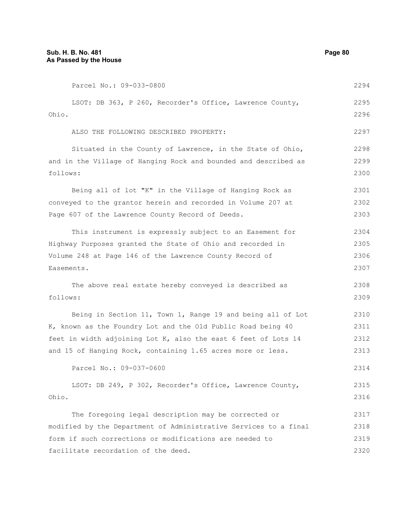Parcel No.: 09-033-0800 LSOT: DB 363, P 260, Recorder's Office, Lawrence County, Ohio. ALSO THE FOLLOWING DESCRIBED PROPERTY: Situated in the County of Lawrence, in the State of Ohio, and in the Village of Hanging Rock and bounded and described as follows: Being all of lot "K" in the Village of Hanging Rock as conveyed to the grantor herein and recorded in Volume 207 at Page 607 of the Lawrence County Record of Deeds. This instrument is expressly subject to an Easement for Highway Purposes granted the State of Ohio and recorded in Volume 248 at Page 146 of the Lawrence County Record of Easements. The above real estate hereby conveyed is described as follows: Being in Section 11, Town 1, Range 19 and being all of Lot K, known as the Foundry Lot and the Old Public Road being 40 feet in width adjoining Lot K, also the east 6 feet of Lots 14 and 15 of Hanging Rock, containing 1.65 acres more or less. Parcel No.: 09-037-0600 LSOT: DB 249, P 302, Recorder's Office, Lawrence County, Ohio. The foregoing legal description may be corrected or modified by the Department of Administrative Services to a final form if such corrections or modifications are needed to facilitate recordation of the deed. 2294 2295 2296 2297 2298 2299 2300 2301 2302 2303 2304 2305 2306 2307 2308 2309 2310 2311 2312 2313 2314 2315 2316 2317 2318 2319 2320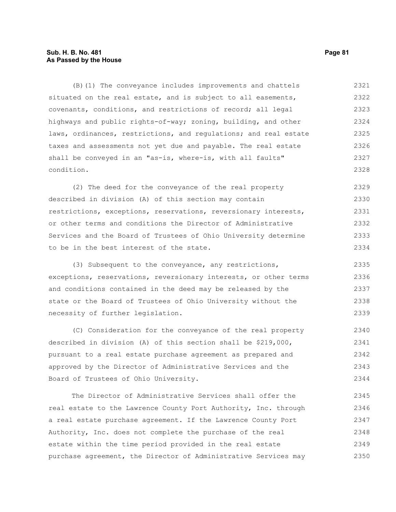# **Sub. H. B. No. 481 Page 81 As Passed by the House**

(B)(1) The conveyance includes improvements and chattels situated on the real estate, and is subject to all easements, covenants, conditions, and restrictions of record; all legal highways and public rights-of-way; zoning, building, and other laws, ordinances, restrictions, and regulations; and real estate taxes and assessments not yet due and payable. The real estate shall be conveyed in an "as-is, where-is, with all faults" condition. 2321 2322 2323 2324 2325 2326 2327 2328

(2) The deed for the conveyance of the real property described in division (A) of this section may contain restrictions, exceptions, reservations, reversionary interests, or other terms and conditions the Director of Administrative Services and the Board of Trustees of Ohio University determine to be in the best interest of the state. 2329 2330 2331 2332 2333 2334

(3) Subsequent to the conveyance, any restrictions, exceptions, reservations, reversionary interests, or other terms and conditions contained in the deed may be released by the state or the Board of Trustees of Ohio University without the necessity of further legislation. 2335 2336 2337 2338 2339

(C) Consideration for the conveyance of the real property described in division (A) of this section shall be \$219,000, pursuant to a real estate purchase agreement as prepared and approved by the Director of Administrative Services and the Board of Trustees of Ohio University. 2340 2341 2342 2343 2344

The Director of Administrative Services shall offer the real estate to the Lawrence County Port Authority, Inc. through a real estate purchase agreement. If the Lawrence County Port Authority, Inc. does not complete the purchase of the real estate within the time period provided in the real estate purchase agreement, the Director of Administrative Services may 2345 2346 2347 2348 2349 2350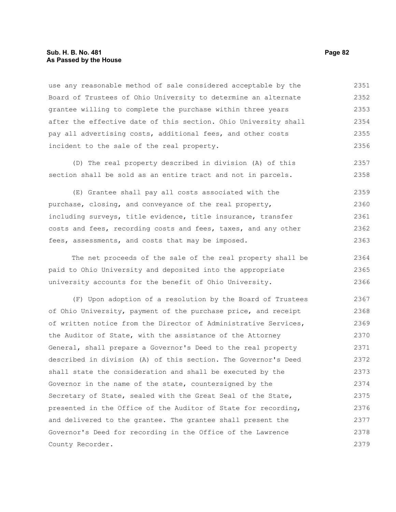## **Sub. H. B. No. 481 Page 82 As Passed by the House**

use any reasonable method of sale considered acceptable by the Board of Trustees of Ohio University to determine an alternate grantee willing to complete the purchase within three years after the effective date of this section. Ohio University shall pay all advertising costs, additional fees, and other costs incident to the sale of the real property. 2351 2352 2353 2354 2355 2356

(D) The real property described in division (A) of this section shall be sold as an entire tract and not in parcels. 2357 2358

(E) Grantee shall pay all costs associated with the purchase, closing, and conveyance of the real property, including surveys, title evidence, title insurance, transfer costs and fees, recording costs and fees, taxes, and any other fees, assessments, and costs that may be imposed. 2359 2360 2361 2362 2363

The net proceeds of the sale of the real property shall be paid to Ohio University and deposited into the appropriate university accounts for the benefit of Ohio University. 2364 2365 2366

(F) Upon adoption of a resolution by the Board of Trustees of Ohio University, payment of the purchase price, and receipt of written notice from the Director of Administrative Services, the Auditor of State, with the assistance of the Attorney General, shall prepare a Governor's Deed to the real property described in division (A) of this section. The Governor's Deed shall state the consideration and shall be executed by the Governor in the name of the state, countersigned by the Secretary of State, sealed with the Great Seal of the State, presented in the Office of the Auditor of State for recording, and delivered to the grantee. The grantee shall present the Governor's Deed for recording in the Office of the Lawrence County Recorder. 2367 2368 2369 2370 2371 2372 2373 2374 2375 2376 2377 2378 2379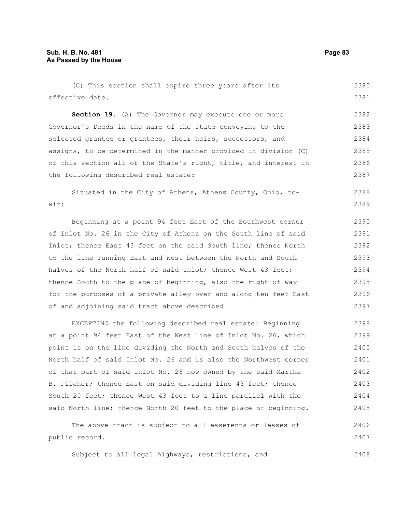(G) This section shall expire three years after its effective date. 2380 2381

**Section 19.** (A) The Governor may execute one or more Governor's Deeds in the name of the state conveying to the selected grantee or grantees, their heirs, successors, and assigns, to be determined in the manner provided in division (C) of this section all of the State's right, title, and interest in the following described real estate: 2382 2383 2384 2385 2386 2387

Situated in the City of Athens, Athens County, Ohio, towit: 2388 2389

Beginning at a point 94 feet East of the Southwest corner of Inlot No. 26 in the City of Athens on the South line of said Inlot; thence East 43 feet on the said South line; thence North to the line running East and West between the North and South halves of the North half of said Inlot; thence West 43 feet; thence South to the place of beginning, also the right of way for the purposes of a private alley over and along ten feet East of and adjoining said tract above described

EXCEPTING the following described real estate: Beginning at a point 94 feet East of the West line of Inlot No. 26, which point is on the line dividing the North and South halves of the North half of said Inlot No. 26 and is also the Northwest corner of that part of said Inlot No. 26 now owned by the said Martha B. Pilcher; thence East on said dividing line 43 feet; thence South 20 feet; thence West 43 feet to a line parallel with the said North line; thence North 20 feet to the place of beginning. 2398 2399 2400 2401 2402 2403 2404 2405

The above tract is subject to all easements or leases of public record. 2406 2407

Subject to all legal highways, restrictions, and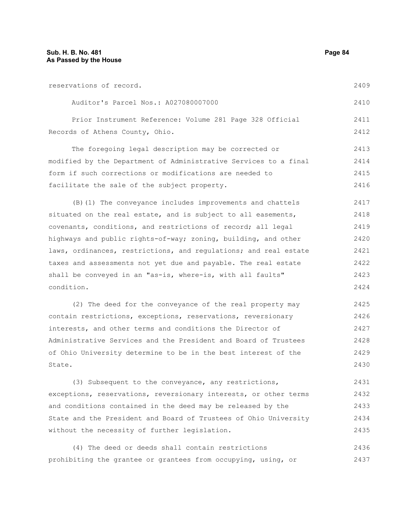| reservations of record.                                          | 2409 |
|------------------------------------------------------------------|------|
| Auditor's Parcel Nos.: A027080007000                             | 2410 |
| Prior Instrument Reference: Volume 281 Page 328 Official         | 2411 |
| Records of Athens County, Ohio.                                  | 2412 |
| The foregoing legal description may be corrected or              | 2413 |
| modified by the Department of Administrative Services to a final | 2414 |
| form if such corrections or modifications are needed to          | 2415 |
| facilitate the sale of the subject property.                     | 2416 |
| (B) (1) The conveyance includes improvements and chattels        | 2417 |
| situated on the real estate, and is subject to all easements,    | 2418 |
| covenants, conditions, and restrictions of record; all legal     | 2419 |
| highways and public rights-of-way; zoning, building, and other   | 2420 |
| laws, ordinances, restrictions, and regulations; and real estate | 2421 |
| taxes and assessments not yet due and payable. The real estate   | 2422 |
| shall be conveyed in an "as-is, where-is, with all faults"       | 2423 |
| condition.                                                       | 2424 |
| (2) The deed for the conveyance of the real property may         | 2425 |
| contain restrictions, exceptions, reservations, reversionary     | 2426 |
| interests, and other terms and conditions the Director of        | 2427 |
| Administrative Services and the President and Board of Trustees  | 2428 |
| of Ohio University determine to be in the best interest of the   | 2429 |
| State.                                                           | 2430 |

(3) Subsequent to the conveyance, any restrictions, exceptions, reservations, reversionary interests, or other terms and conditions contained in the deed may be released by the State and the President and Board of Trustees of Ohio University without the necessity of further legislation. 2431 2432 2433 2434 2435

(4) The deed or deeds shall contain restrictions prohibiting the grantee or grantees from occupying, using, or 2436 2437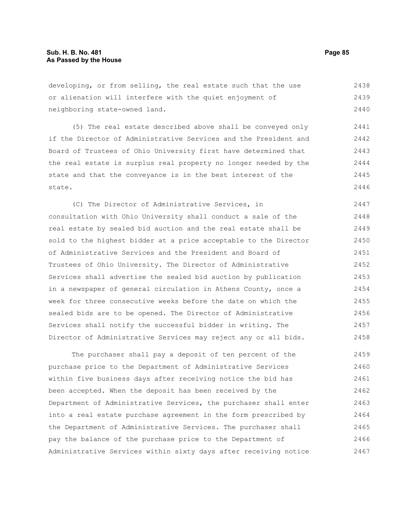developing, or from selling, the real estate such that the use or alienation will interfere with the quiet enjoyment of neighboring state-owned land. 2438 2439 2440

(5) The real estate described above shall be conveyed only if the Director of Administrative Services and the President and Board of Trustees of Ohio University first have determined that the real estate is surplus real property no longer needed by the state and that the conveyance is in the best interest of the state. 2441 2442 2443 2444 2445 2446

(C) The Director of Administrative Services, in consultation with Ohio University shall conduct a sale of the real estate by sealed bid auction and the real estate shall be sold to the highest bidder at a price acceptable to the Director of Administrative Services and the President and Board of Trustees of Ohio University. The Director of Administrative Services shall advertise the sealed bid auction by publication in a newspaper of general circulation in Athens County, once a week for three consecutive weeks before the date on which the sealed bids are to be opened. The Director of Administrative Services shall notify the successful bidder in writing. The Director of Administrative Services may reject any or all bids. 2447 2448 2449 2450 2451 2452 2453 2454 2455 2456 2457 2458

The purchaser shall pay a deposit of ten percent of the purchase price to the Department of Administrative Services within five business days after receiving notice the bid has been accepted. When the deposit has been received by the Department of Administrative Services, the purchaser shall enter into a real estate purchase agreement in the form prescribed by the Department of Administrative Services. The purchaser shall pay the balance of the purchase price to the Department of Administrative Services within sixty days after receiving notice 2459 2460 2461 2462 2463 2464 2465 2466 2467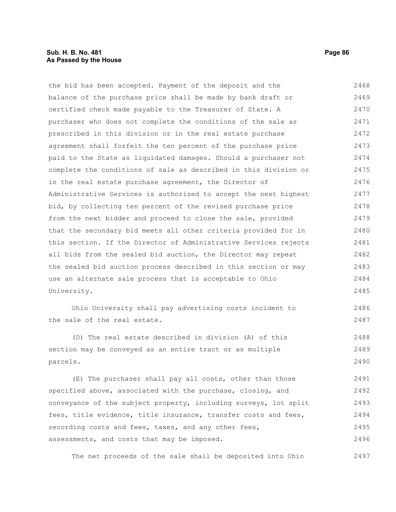## **Sub. H. B. No. 481 Page 86 As Passed by the House**

the bid has been accepted. Payment of the deposit and the balance of the purchase price shall be made by bank draft or certified check made payable to the Treasurer of State. A purchaser who does not complete the conditions of the sale as prescribed in this division or in the real estate purchase agreement shall forfeit the ten percent of the purchase price paid to the State as liquidated damages. Should a purchaser not complete the conditions of sale as described in this division or in the real estate purchase agreement, the Director of Administrative Services is authorized to accept the next highest bid, by collecting ten percent of the revised purchase price from the next bidder and proceed to close the sale, provided that the secondary bid meets all other criteria provided for in this section. If the Director of Administrative Services rejects all bids from the sealed bid auction, the Director may repeat the sealed bid auction process described in this section or may use an alternate sale process that is acceptable to Ohio University. 2468 2469 2470 2471 2472 2473 2474 2475 2476 2477 2478 2479 2480 2481 2482 2483 2484 2485

Ohio University shall pay advertising costs incident to the sale of the real estate. 2486 2487

(D) The real estate described in division (A) of this section may be conveyed as an entire tract or as multiple parcels. 2488 2489 2490

(E) The purchaser shall pay all costs, other than those specified above, associated with the purchase, closing, and conveyance of the subject property, including surveys, lot split fees, title evidence, title insurance, transfer costs and fees, recording costs and fees, taxes, and any other fees, assessments, and costs that may be imposed. 2491 2492 2493 2494 2495 2496

The net proceeds of the sale shall be deposited into Ohio 2497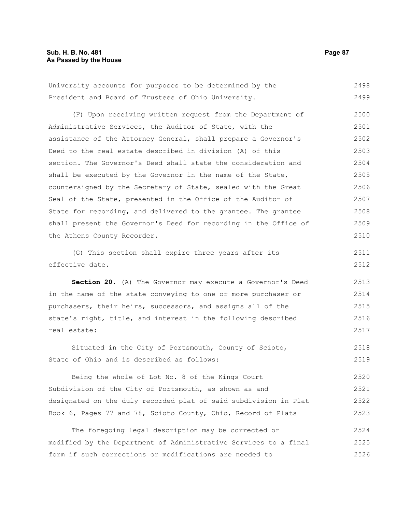University accounts for purposes to be determined by the President and Board of Trustees of Ohio University. 2498 2499

(F) Upon receiving written request from the Department of Administrative Services, the Auditor of State, with the assistance of the Attorney General, shall prepare a Governor's Deed to the real estate described in division (A) of this section. The Governor's Deed shall state the consideration and shall be executed by the Governor in the name of the State, countersigned by the Secretary of State, sealed with the Great Seal of the State, presented in the Office of the Auditor of State for recording, and delivered to the grantee. The grantee shall present the Governor's Deed for recording in the Office of the Athens County Recorder. 2500 2501 2502 2503 2504 2505 2506 2507 2508 2509 2510

(G) This section shall expire three years after its effective date. 2511 2512

**Section 20.** (A) The Governor may execute a Governor's Deed in the name of the state conveying to one or more purchaser or purchasers, their heirs, successors, and assigns all of the state's right, title, and interest in the following described real estate: 2513 2514 2515 2516 2517

Situated in the City of Portsmouth, County of Scioto, State of Ohio and is described as follows: 2518 2519

Being the whole of Lot No. 8 of the Kings Court Subdivision of the City of Portsmouth, as shown as and designated on the duly recorded plat of said subdivision in Plat Book 6, Pages 77 and 78, Scioto County, Ohio, Record of Plats 2520 2521 2522 2523

The foregoing legal description may be corrected or modified by the Department of Administrative Services to a final form if such corrections or modifications are needed to 2524 2525 2526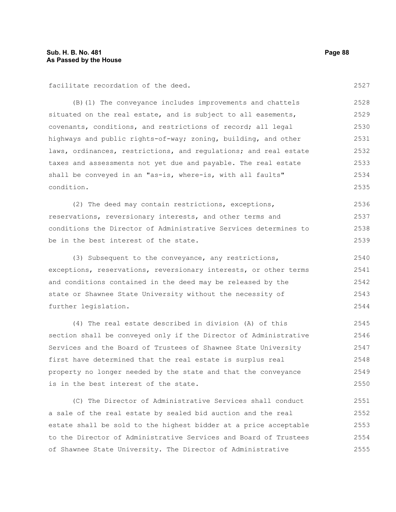facilitate recordation of the deed.

(B)(1) The conveyance includes improvements and chattels situated on the real estate, and is subject to all easements, covenants, conditions, and restrictions of record; all legal highways and public rights-of-way; zoning, building, and other laws, ordinances, restrictions, and regulations; and real estate taxes and assessments not yet due and payable. The real estate shall be conveyed in an "as-is, where-is, with all faults" condition. 2528 2529 2530 2531 2532 2533 2534 2535

(2) The deed may contain restrictions, exceptions, reservations, reversionary interests, and other terms and conditions the Director of Administrative Services determines to be in the best interest of the state. 2536 2537 2538 2539

(3) Subsequent to the conveyance, any restrictions, exceptions, reservations, reversionary interests, or other terms and conditions contained in the deed may be released by the state or Shawnee State University without the necessity of further legislation. 2540 2541 2542 2543 2544

(4) The real estate described in division (A) of this section shall be conveyed only if the Director of Administrative Services and the Board of Trustees of Shawnee State University first have determined that the real estate is surplus real property no longer needed by the state and that the conveyance is in the best interest of the state. 2545 2546 2547 2548 2549 2550

(C) The Director of Administrative Services shall conduct a sale of the real estate by sealed bid auction and the real estate shall be sold to the highest bidder at a price acceptable to the Director of Administrative Services and Board of Trustees of Shawnee State University. The Director of Administrative 2551 2552 2553 2554 2555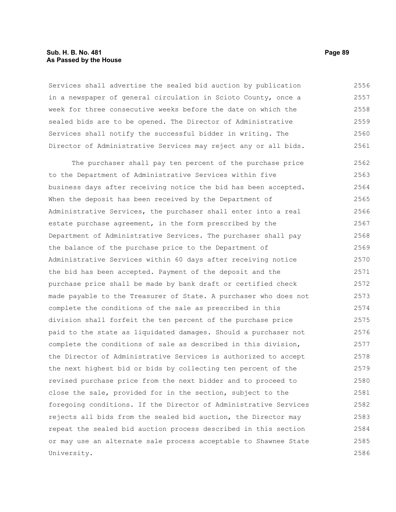## **Sub. H. B. No. 481 Page 89 As Passed by the House**

Services shall advertise the sealed bid auction by publication in a newspaper of general circulation in Scioto County, once a week for three consecutive weeks before the date on which the sealed bids are to be opened. The Director of Administrative Services shall notify the successful bidder in writing. The Director of Administrative Services may reject any or all bids. 2556 2557 2558 2559 2560 2561

The purchaser shall pay ten percent of the purchase price to the Department of Administrative Services within five business days after receiving notice the bid has been accepted. When the deposit has been received by the Department of Administrative Services, the purchaser shall enter into a real estate purchase agreement, in the form prescribed by the Department of Administrative Services. The purchaser shall pay the balance of the purchase price to the Department of Administrative Services within 60 days after receiving notice the bid has been accepted. Payment of the deposit and the purchase price shall be made by bank draft or certified check made payable to the Treasurer of State. A purchaser who does not complete the conditions of the sale as prescribed in this division shall forfeit the ten percent of the purchase price paid to the state as liquidated damages. Should a purchaser not complete the conditions of sale as described in this division, the Director of Administrative Services is authorized to accept the next highest bid or bids by collecting ten percent of the revised purchase price from the next bidder and to proceed to close the sale, provided for in the section, subject to the foregoing conditions. If the Director of Administrative Services rejects all bids from the sealed bid auction, the Director may repeat the sealed bid auction process described in this section or may use an alternate sale process acceptable to Shawnee State University. 2562 2563 2564 2565 2566 2567 2568 2569 2570 2571 2572 2573 2574 2575 2576 2577 2578 2579 2580 2581 2582 2583 2584 2585 2586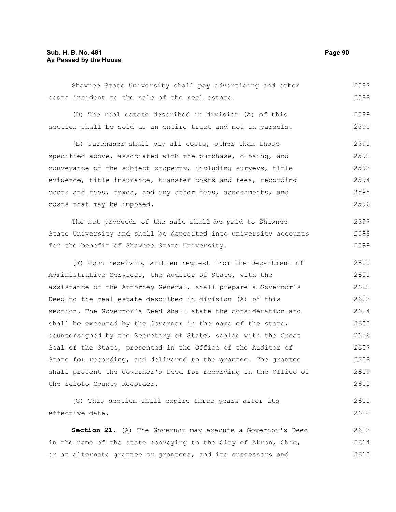Shawnee State University shall pay advertising and other costs incident to the sale of the real estate. 2587 2588

(D) The real estate described in division (A) of this section shall be sold as an entire tract and not in parcels. 2589 2590

(E) Purchaser shall pay all costs, other than those specified above, associated with the purchase, closing, and conveyance of the subject property, including surveys, title evidence, title insurance, transfer costs and fees, recording costs and fees, taxes, and any other fees, assessments, and costs that may be imposed. 2591 2592 2593 2594 2595 2596

The net proceeds of the sale shall be paid to Shawnee State University and shall be deposited into university accounts for the benefit of Shawnee State University. 2597 2598 2599

(F) Upon receiving written request from the Department of Administrative Services, the Auditor of State, with the assistance of the Attorney General, shall prepare a Governor's Deed to the real estate described in division (A) of this section. The Governor's Deed shall state the consideration and shall be executed by the Governor in the name of the state, countersigned by the Secretary of State, sealed with the Great Seal of the State, presented in the Office of the Auditor of State for recording, and delivered to the grantee. The grantee shall present the Governor's Deed for recording in the Office of the Scioto County Recorder. 2600 2601 2602 2603 2604 2605 2606 2607 2608 2609 2610

(G) This section shall expire three years after its effective date. 2611 2612

**Section 21.** (A) The Governor may execute a Governor's Deed in the name of the state conveying to the City of Akron, Ohio, or an alternate grantee or grantees, and its successors and 2613 2614 2615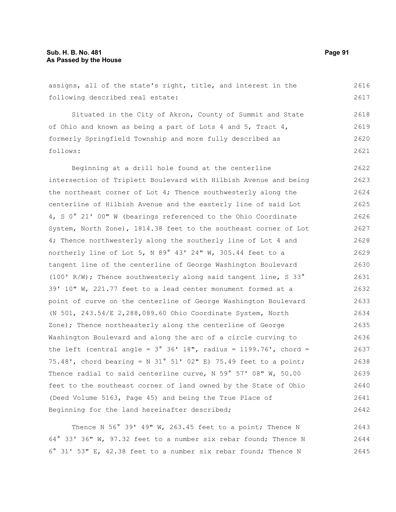assigns, all of the state's right, title, and interest in the following described real estate: 2616 2617

Situated in the City of Akron, County of Summit and State of Ohio and known as being a part of Lots 4 and 5, Tract 4, formerly Springfield Township and more fully described as follows: 2618 2619 2620 2621

Beginning at a drill hole found at the centerline intersection of Triplett Boulevard with Hilbish Avenue and being the northeast corner of Lot 4; Thence southwesterly along the centerline of Hilbish Avenue and the easterly line of said Lot 4, S 0° 21' 00" W (bearings referenced to the Ohio Coordinate System, North Zone), 1814.38 feet to the southeast corner of Lot 4; Thence northwesterly along the southerly line of Lot 4 and northerly line of Lot 5, N 89° 43' 24" W, 305.44 feet to a tangent line of the centerline of George Washington Boulevard (100' R/W); Thence southwesterly along said tangent line, S 33° 39' 10" W, 221.77 feet to a lead center monument formed at a point of curve on the centerline of George Washington Boulevard (N 501, 243.54/E 2,288,089.60 Ohio Coordinate System, North Zone); Thence northeasterly along the centerline of George Washington Boulevard and along the arc of a circle curving to the left (central angle =  $3^{\circ}$   $36'$  18", radius = 1199.76', chord = 75.48', chord bearing = N 31° 51' 02" E) 75.49 feet to a point; Thence radial to said centerline curve, N 59° 57' 08" W, 50.00 feet to the southeast corner of land owned by the State of Ohio (Deed Volume 5163, Page 45) and being the True Place of Beginning for the land hereinafter described; 2622 2623 2624 2625 2626 2627 2628 2629 2630 2631 2632 2633 2634 2635 2636 2637 2638 2639 2640 2641 2642

Thence N 56° 39' 49" W, 263.45 feet to a point; Thence N 64° 33' 36" W, 97.32 feet to a number six rebar found; Thence N 6° 31' 53" E, 42.38 feet to a number six rebar found; Thence N 2643 2644 2645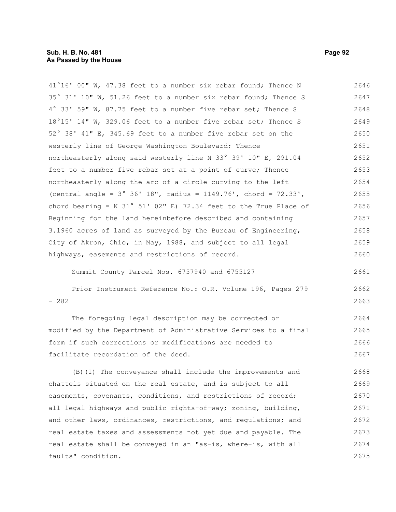41°16' 00" W, 47.38 feet to a number six rebar found; Thence N 35° 31' 10" W, 51.26 feet to a number six rebar found; Thence S 4° 33' 59" W, 87.75 feet to a number five rebar set; Thence S 18°15' 14" W, 329.06 feet to a number five rebar set; Thence S 52° 38' 41" E, 345.69 feet to a number five rebar set on the westerly line of George Washington Boulevard; Thence northeasterly along said westerly line N 33° 39' 10" E, 291.04 feet to a number five rebar set at a point of curve; Thence northeasterly along the arc of a circle curving to the left (central angle = 3° 36' 18", radius = 1149.76', chord = 72.33', chord bearing = N 31° 51' 02" E) 72.34 feet to the True Place of Beginning for the land hereinbefore described and containing 3.1960 acres of land as surveyed by the Bureau of Engineering, City of Akron, Ohio, in May, 1988, and subject to all legal highways, easements and restrictions of record. 2646 2647 2648 2649 2650 2651 2652 2653 2654 2655 2656 2657 2658 2659 2660

Summit County Parcel Nos. 6757940 and 6755127

Prior Instrument Reference No.: O.R. Volume 196, Pages 279 - 282 2662 2663

The foregoing legal description may be corrected or modified by the Department of Administrative Services to a final form if such corrections or modifications are needed to facilitate recordation of the deed. 2664 2665 2666 2667

(B)(1) The conveyance shall include the improvements and chattels situated on the real estate, and is subject to all easements, covenants, conditions, and restrictions of record; all legal highways and public rights-of-way; zoning, building, and other laws, ordinances, restrictions, and regulations; and real estate taxes and assessments not yet due and payable. The real estate shall be conveyed in an "as-is, where-is, with all faults" condition. 2668 2669 2670 2671 2672 2673 2674 2675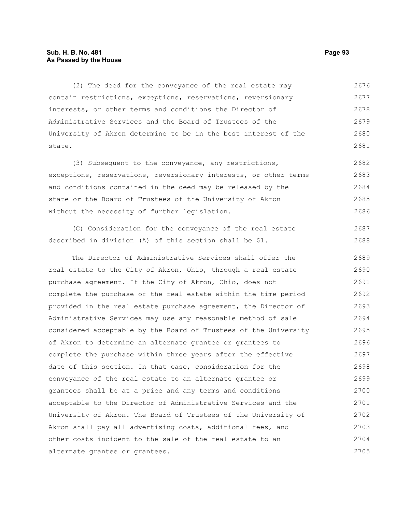# **Sub. H. B. No. 481 Page 93 As Passed by the House**

(2) The deed for the conveyance of the real estate may contain restrictions, exceptions, reservations, reversionary interests, or other terms and conditions the Director of Administrative Services and the Board of Trustees of the University of Akron determine to be in the best interest of the state. 2676 2677 2678 2679 2680 2681

(3) Subsequent to the conveyance, any restrictions, exceptions, reservations, reversionary interests, or other terms and conditions contained in the deed may be released by the state or the Board of Trustees of the University of Akron without the necessity of further legislation. 2682 2683 2684 2685 2686

(C) Consideration for the conveyance of the real estate described in division (A) of this section shall be \$1. 2687 2688

The Director of Administrative Services shall offer the real estate to the City of Akron, Ohio, through a real estate purchase agreement. If the City of Akron, Ohio, does not complete the purchase of the real estate within the time period provided in the real estate purchase agreement, the Director of Administrative Services may use any reasonable method of sale considered acceptable by the Board of Trustees of the University of Akron to determine an alternate grantee or grantees to complete the purchase within three years after the effective date of this section. In that case, consideration for the conveyance of the real estate to an alternate grantee or grantees shall be at a price and any terms and conditions acceptable to the Director of Administrative Services and the University of Akron. The Board of Trustees of the University of Akron shall pay all advertising costs, additional fees, and other costs incident to the sale of the real estate to an alternate grantee or grantees. 2689 2690 2691 2692 2693 2694 2695 2696 2697 2698 2699 2700 2701 2702 2703 2704 2705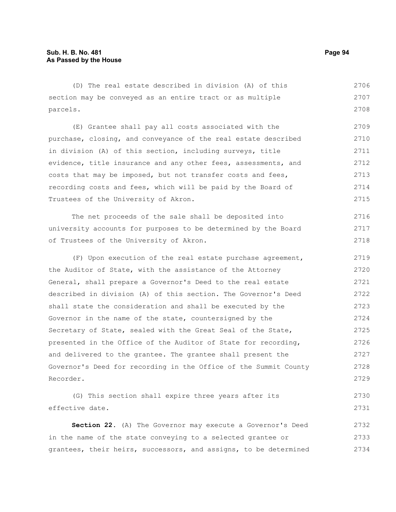(D) The real estate described in division (A) of this section may be conveyed as an entire tract or as multiple parcels. (E) Grantee shall pay all costs associated with the purchase, closing, and conveyance of the real estate described in division (A) of this section, including surveys, title evidence, title insurance and any other fees, assessments, and costs that may be imposed, but not transfer costs and fees, recording costs and fees, which will be paid by the Board of Trustees of the University of Akron. The net proceeds of the sale shall be deposited into 2706 2707 2708 2709 2710 2711 2712 2713 2714 2715 2716

university accounts for purposes to be determined by the Board of Trustees of the University of Akron. 2717 2718

(F) Upon execution of the real estate purchase agreement, the Auditor of State, with the assistance of the Attorney General, shall prepare a Governor's Deed to the real estate described in division (A) of this section. The Governor's Deed shall state the consideration and shall be executed by the Governor in the name of the state, countersigned by the Secretary of State, sealed with the Great Seal of the State, presented in the Office of the Auditor of State for recording, and delivered to the grantee. The grantee shall present the Governor's Deed for recording in the Office of the Summit County Recorder. 2719 2720 2721 2722 2723 2724 2725 2726 2727 2728 2729

```
(G) This section shall expire three years after its
effective date.
                                                                             2730
                                                                             2731
```
**Section 22.** (A) The Governor may execute a Governor's Deed in the name of the state conveying to a selected grantee or grantees, their heirs, successors, and assigns, to be determined 2732 2733 2734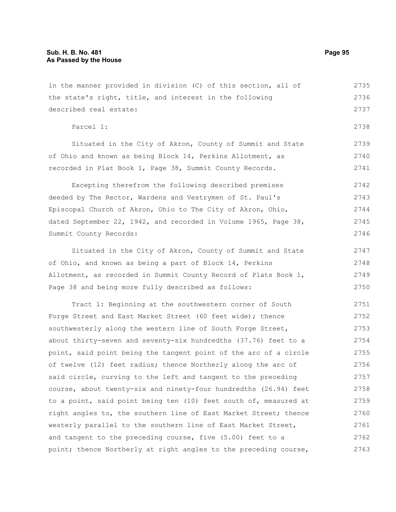in the manner provided in division (C) of this section, all of the state's right, title, and interest in the following described real estate: Parcel 1: 2735 2736 2737 2738

Situated in the City of Akron, County of Summit and State of Ohio and known as being Block 14, Perkins Allotment, as recorded in Plat Book 1, Page 38, Summit County Records.

Excepting therefrom the following described premises deeded by The Rector, Wardens and Vestrymen of St. Paul's Episcopal Church of Akron, Ohio to The City of Akron, Ohio, dated September 22, 1942, and recorded in Volume 1965, Page 38, Summit County Records: 2742 2743 2744 2745 2746

Situated in the City of Akron, County of Summit and State of Ohio, and known as being a part of Block 14, Perkins Allotment, as recorded in Summit County Record of Plats Book 1, Page 38 and being more fully described as follows: 2747 2748 2749 2750

Tract l: Beginning at the southwestern corner of South Forge Street and East Market Street (60 feet wide); thence southwesterly along the western line of South Forge Street, about thirty-seven and seventy-six hundredths (37.76) feet to a point, said point being the tangent point of the arc of a circle of twelve (12) feet radius; thence Northerly along the arc of said circle, curving to the left and tangent to the preceding course, about twenty-six and ninety-four hundredths (26.94) feet to a point, said point being ten (10) feet south of, measured at right angles to, the southern line of East Market Street; thence westerly parallel to the southern line of East Market Street, and tangent to the preceding course, five (5.00) feet to a point; thence Northerly at right angles to the preceding course, 2751 2752 2753 2754 2755 2756 2757 2758 2759 2760 2761 2762 2763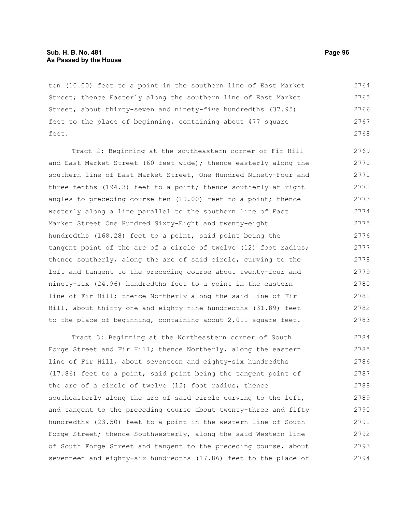## **Sub. H. B. No. 481 Page 96 As Passed by the House**

ten (10.00) feet to a point in the southern line of East Market Street; thence Easterly along the southern line of East Market Street, about thirty-seven and ninety-five hundredths (37.95) feet to the place of beginning, containing about 477 square feet. 2764 2765 2766 2767 2768

Tract 2: Beginning at the southeastern corner of Fir Hill and East Market Street (60 feet wide); thence easterly along the southern line of East Market Street, One Hundred Ninety-Four and three tenths (194.3) feet to a point; thence southerly at right angles to preceding course ten (10.00) feet to a point; thence westerly along a line parallel to the southern line of East Market Street One Hundred Sixty-Eight and twenty-eight hundredths (168.28) feet to a point, said point being the tangent point of the arc of a circle of twelve (12) foot radius; thence southerly, along the arc of said circle, curving to the left and tangent to the preceding course about twenty-four and ninety-six (24.96) hundredths feet to a point in the eastern line of Fir Hill; thence Northerly along the said line of Fir Hill, about thirty-one and eighty-nine hundredths (31.89) feet to the place of beginning, containing about 2,011 square feet. 2769 2770 2771 2772 2773 2774 2775 2776 2777 2778 2779 2780 2781 2782 2783

Tract 3: Beginning at the Northeastern corner of South Forge Street and Fir Hill; thence Northerly, along the eastern line of Fir Hill, about seventeen and eighty-six hundredths (17.86) feet to a point, said point being the tangent point of the arc of a circle of twelve (12) foot radius; thence southeasterly along the arc of said circle curving to the left, and tangent to the preceding course about twenty-three and fifty hundredths (23.50) feet to a point in the western line of South Forge Street; thence Southwesterly, along the said Western line of South Forge Street and tangent to the preceding course, about seventeen and eighty-six hundredths (17.86) feet to the place of 2784 2785 2786 2787 2788 2789 2790 2791 2792 2793 2794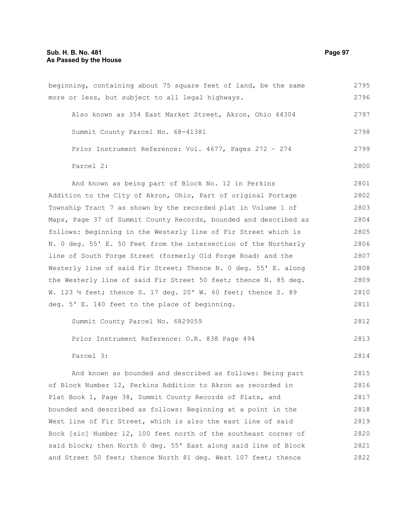beginning, containing about 75 square feet of land, be the same more or less, but subject to all legal highways. Also known as 354 East Market Street, Akron, Ohio 44304 Summit County Parcel No. 68-41381 Prior Instrument Reference: Vol. 4677, Pages 272 – 274 Parcel 2: And known as being part of Block No. 12 in Perkins Addition to the City of Akron, Ohio, Part of original Portage Township Tract 7 as shown by the recorded plat in Volume 1 of Maps, Page 37 of Summit County Records, bounded and described as follows: Beginning in the Westerly line of Fir Street which is N. 0 deg. 55' E. 50 Feet from the intersection of the Northerly line of South Forge Street (formerly Old Forge Road) and the Westerly line of said Fir Street; Thence N. 0 deg. 55' E. along the Westerly line of said Fir Street 50 feet; thence N. 85 deg. W. 123 ½ feet; thence S. 17 deg. 20' W. 60 feet; thence S. 89 deg. 5' E. 140 feet to the place of beginning. Summit County Parcel No. 6829059 Prior Instrument Reference: O.R. 838 Page 494 Parcel 3: And known as bounded and described as follows: Being part of Block Number 12, Perkins Addition to Akron as recorded in Plat Book 1, Page 38, Summit County Records of Plats, and bounded and described as follows: Beginning at a point in the West line of Fir Street, which is also the east line of said Bock [sic] Number 12, 100 feet north of the southeast corner of 2795 2796 2797 2798 2799 2800 2801 2802 2803 2804 2805 2806 2807 2808 2809 2810 2811 2812 2813 2814 2815 2816 2817 2818 2819 2820

said block; then North 0 deg. 55' East along said line of Block

and Street 50 feet; thence North 81 deg. West 107 feet; thence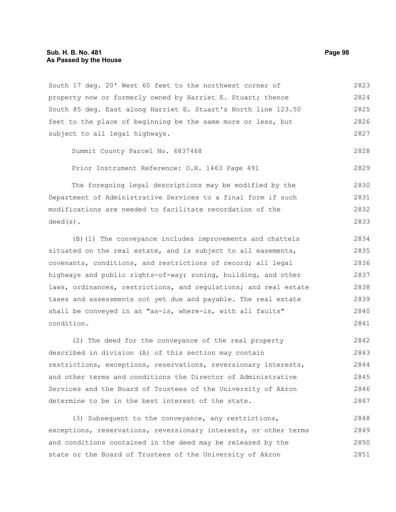South 17 deg. 20' West 60 feet to the northwest corner of property now or formerly owned by Harriet E. Stuart; thence South 85 deg. East along Harriet E. Stuart's North line 123.50 feet to the place of beginning be the same more or less, but subject to all legal highways. Summit County Parcel No. 6837468 Prior Instrument Reference: O.R. 1463 Page 491 The foregoing legal descriptions may be modified by the Department of Administrative Services to a final form if such modifications are needed to facilitate recordation of the deed(s). (B)(1) The conveyance includes improvements and chattels situated on the real estate, and is subject to all easements, covenants, conditions, and restrictions of record; all legal highways and public rights-of-way; zoning, building, and other laws, ordinances, restrictions, and regulations; and real estate taxes and assessments not yet due and payable. The real estate shall be conveyed in an "as-is, where-is, with all faults" condition. (2) The deed for the conveyance of the real property 2823 2824 2825 2826 2827 2828 2829 2830 2831 2832 2833 2834 2835 2836 2837 2838 2839 2840 2841 2842

described in division (A) of this section may contain restrictions, exceptions, reservations, reversionary interests, and other terms and conditions the Director of Administrative Services and the Board of Trustees of the University of Akron determine to be in the best interest of the state. 2843 2844 2845 2846 2847

(3) Subsequent to the conveyance, any restrictions, exceptions, reservations, reversionary interests, or other terms and conditions contained in the deed may be released by the state or the Board of Trustees of the University of Akron 2848 2849 2850 2851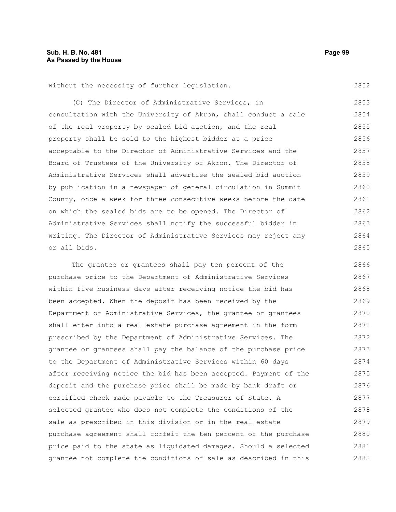2852

without the necessity of further legislation.

(C) The Director of Administrative Services, in consultation with the University of Akron, shall conduct a sale of the real property by sealed bid auction, and the real property shall be sold to the highest bidder at a price acceptable to the Director of Administrative Services and the Board of Trustees of the University of Akron. The Director of Administrative Services shall advertise the sealed bid auction by publication in a newspaper of general circulation in Summit County, once a week for three consecutive weeks before the date on which the sealed bids are to be opened. The Director of Administrative Services shall notify the successful bidder in writing. The Director of Administrative Services may reject any or all bids. 2853 2854 2855 2856 2857 2858 2859 2860 2861 2862 2863 2864 2865

The grantee or grantees shall pay ten percent of the purchase price to the Department of Administrative Services within five business days after receiving notice the bid has been accepted. When the deposit has been received by the Department of Administrative Services, the grantee or grantees shall enter into a real estate purchase agreement in the form prescribed by the Department of Administrative Services. The grantee or grantees shall pay the balance of the purchase price to the Department of Administrative Services within 60 days after receiving notice the bid has been accepted. Payment of the deposit and the purchase price shall be made by bank draft or certified check made payable to the Treasurer of State. A selected grantee who does not complete the conditions of the sale as prescribed in this division or in the real estate purchase agreement shall forfeit the ten percent of the purchase price paid to the state as liquidated damages. Should a selected grantee not complete the conditions of sale as described in this 2866 2867 2868 2869 2870 2871 2872 2873 2874 2875 2876 2877 2878 2879 2880 2881 2882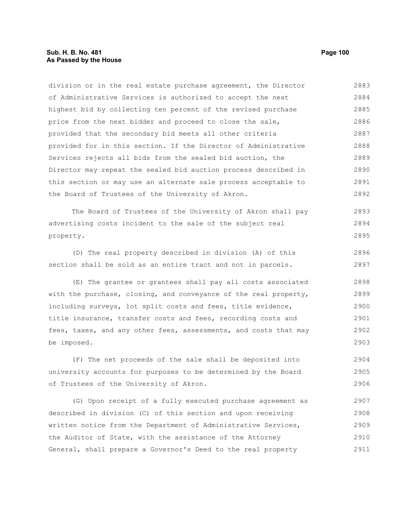# **Sub. H. B. No. 481 Page 100 As Passed by the House**

division or in the real estate purchase agreement, the Director of Administrative Services is authorized to accept the next highest bid by collecting ten percent of the revised purchase price from the next bidder and proceed to close the sale, provided that the secondary bid meets all other criteria provided for in this section. If the Director of Administrative Services rejects all bids from the sealed bid auction, the Director may repeat the sealed bid auction process described in this section or may use an alternate sale process acceptable to the Board of Trustees of the University of Akron. 2883 2884 2885 2886 2887 2888 2889 2890 2891 2892

The Board of Trustees of the University of Akron shall pay advertising costs incident to the sale of the subject real property. 2893 2894 2895

(D) The real property described in division (A) of this section shall be sold as an entire tract and not in parcels. 2896 2897

(E) The grantee or grantees shall pay all costs associated with the purchase, closing, and conveyance of the real property, including surveys, lot split costs and fees, title evidence, title insurance, transfer costs and fees, recording costs and fees, taxes, and any other fees, assessments, and costs that may be imposed. 2898 2899 2900 2901 2902 2903

(F) The net proceeds of the sale shall be deposited into university accounts for purposes to be determined by the Board of Trustees of the University of Akron. 2904 2905 2906

(G) Upon receipt of a fully executed purchase agreement as described in division (C) of this section and upon receiving written notice from the Department of Administrative Services, the Auditor of State, with the assistance of the Attorney General, shall prepare a Governor's Deed to the real property 2907 2908 2909 2910 2911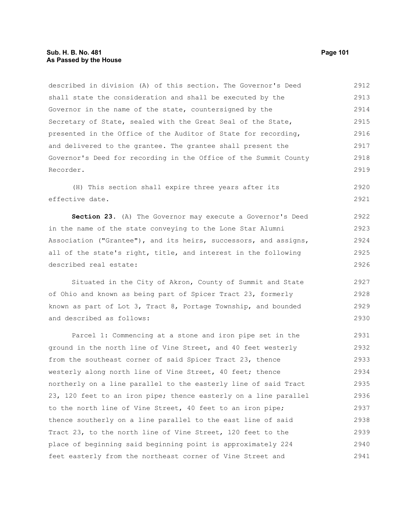# **Sub. H. B. No. 481 Page 101 As Passed by the House**

described in division (A) of this section. The Governor's Deed shall state the consideration and shall be executed by the Governor in the name of the state, countersigned by the Secretary of State, sealed with the Great Seal of the State, presented in the Office of the Auditor of State for recording, and delivered to the grantee. The grantee shall present the Governor's Deed for recording in the Office of the Summit County Recorder. 2912 2913 2914 2915 2916 2917 2918 2919

(H) This section shall expire three years after its effective date. 2920 2921

**Section 23.** (A) The Governor may execute a Governor's Deed in the name of the state conveying to the Lone Star Alumni Association ("Grantee"), and its heirs, successors, and assigns, all of the state's right, title, and interest in the following described real estate: 2922 2923 2924 2925 2926

Situated in the City of Akron, County of Summit and State of Ohio and known as being part of Spicer Tract 23, formerly known as part of Lot 3, Tract 8, Portage Township, and bounded and described as follows: 2927 2928 2929 2930

Parcel 1: Commencing at a stone and iron pipe set in the ground in the north line of Vine Street, and 40 feet westerly from the southeast corner of said Spicer Tract 23, thence westerly along north line of Vine Street, 40 feet; thence northerly on a line parallel to the easterly line of said Tract 23, 120 feet to an iron pipe; thence easterly on a line parallel to the north line of Vine Street, 40 feet to an iron pipe; thence southerly on a line parallel to the east line of said Tract 23, to the north line of Vine Street, 120 feet to the place of beginning said beginning point is approximately 224 feet easterly from the northeast corner of Vine Street and 2931 2932 2933 2934 2935 2936 2937 2938 2939 2940 2941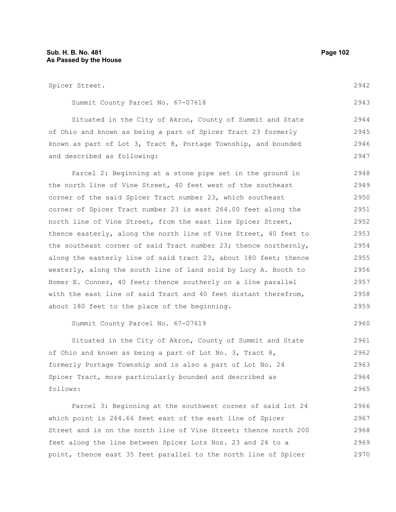Spicer Street. Summit County Parcel No. 67-07618 Situated in the City of Akron, County of Summit and State of Ohio and known as being a part of Spicer Tract 23 formerly known as part of Lot 3, Tract 8, Portage Township, and bounded and described as following: Parcel 2: Beginning at a stone pipe set in the ground in the north line of Vine Street, 40 feet west of the southeast corner of the said Spicer Tract number 23, which southeast corner of Spicer Tract number 23 is east 264.00 feet along the north line of Vine Street, from the east line Spicer Street, thence easterly, along the north line of Vine Street, 40 feet to the southeast corner of said Tract number 23; thence northernly, along the easterly line of said tract 23, about 180 feet; thence westerly, along the south line of land sold by Lucy A. Booth to Homer E. Conner, 40 feet; thence southerly on a line parallel with the east line of said Tract and 40 feet distant therefrom, about 180 feet to the place of the beginning. Summit County Parcel No. 67-07619 Situated in the City of Akron, County of Summit and State of Ohio and known as being a part of Lot No. 3, Tract 8, formerly Portage Township and is also a part of Lot No. 24 Spicer Tract, more particularly bounded and described as follows: 2942 2943 2944 2945 2946 2947 2948 2949 2950 2951 2952 2953 2954 2955 2956 2957 2958 2959 2960 2961 2962 2963 2964 2965

Parcel 3: Beginning at the southwest corner of said lot 24 which point is 264.66 feet east of the east line of Spicer Street and is on the north line of Vine Street; thence north 200 feet along the line between Spicer Lots Nos. 23 and 24 to a point, thence east 35 feet parallel to the north line of Spicer 2966 2967 2968 2969 2970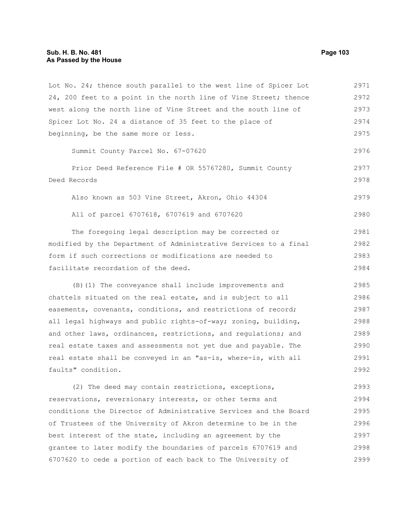24, 200 feet to a point in the north line of Vine Street; thence west along the north line of Vine Street and the south line of Spicer Lot No. 24 a distance of 35 feet to the place of beginning, be the same more or less. Summit County Parcel No. 67-07620 Prior Deed Reference File # OR 55767280, Summit County Deed Records Also known as 503 Vine Street, Akron, Ohio 44304 All of parcel 6707618, 6707619 and 6707620 The foregoing legal description may be corrected or modified by the Department of Administrative Services to a final form if such corrections or modifications are needed to facilitate recordation of the deed. (B)(1) The conveyance shall include improvements and chattels situated on the real estate, and is subject to all easements, covenants, conditions, and restrictions of record; all legal highways and public rights-of-way; zoning, building, and other laws, ordinances, restrictions, and regulations; and real estate taxes and assessments not yet due and payable. The real estate shall be conveyed in an "as-is, where-is, with all faults" condition. 2972 2973 2974 2975 2976 2977 2978 2979 2980 2981 2982 2983 2984 2985 2986 2987 2988 2989 2990 2991 2992

Lot No. 24; thence south parallel to the west line of Spicer Lot

(2) The deed may contain restrictions, exceptions, reservations, reversionary interests, or other terms and conditions the Director of Administrative Services and the Board of Trustees of the University of Akron determine to be in the best interest of the state, including an agreement by the grantee to later modify the boundaries of parcels 6707619 and 6707620 to cede a portion of each back to The University of 2993 2994 2995 2996 2997 2998 2999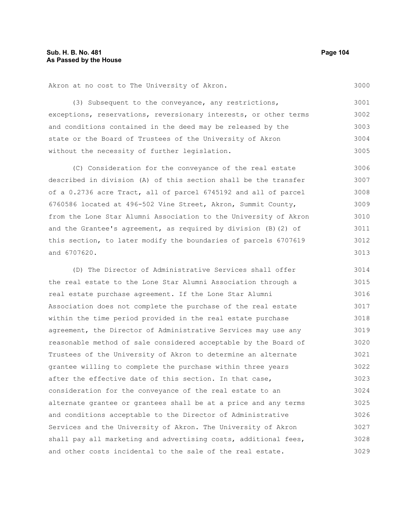Akron at no cost to The University of Akron.

(3) Subsequent to the conveyance, any restrictions, exceptions, reservations, reversionary interests, or other terms and conditions contained in the deed may be released by the state or the Board of Trustees of the University of Akron without the necessity of further legislation. 3001 3002 3003 3004 3005

(C) Consideration for the conveyance of the real estate described in division (A) of this section shall be the transfer of a 0.2736 acre Tract, all of parcel 6745192 and all of parcel 6760586 located at 496-502 Vine Street, Akron, Summit County, from the Lone Star Alumni Association to the University of Akron and the Grantee's agreement, as required by division (B)(2) of this section, to later modify the boundaries of parcels 6707619 and 6707620. 3006 3007 3008 3009 3010 3011 3012 3013

(D) The Director of Administrative Services shall offer the real estate to the Lone Star Alumni Association through a real estate purchase agreement. If the Lone Star Alumni Association does not complete the purchase of the real estate within the time period provided in the real estate purchase agreement, the Director of Administrative Services may use any reasonable method of sale considered acceptable by the Board of Trustees of the University of Akron to determine an alternate grantee willing to complete the purchase within three years after the effective date of this section. In that case, consideration for the conveyance of the real estate to an alternate grantee or grantees shall be at a price and any terms and conditions acceptable to the Director of Administrative Services and the University of Akron. The University of Akron shall pay all marketing and advertising costs, additional fees, and other costs incidental to the sale of the real estate. 3014 3015 3016 3017 3018 3019 3020 3021 3022 3023 3024 3025 3026 3027 3028 3029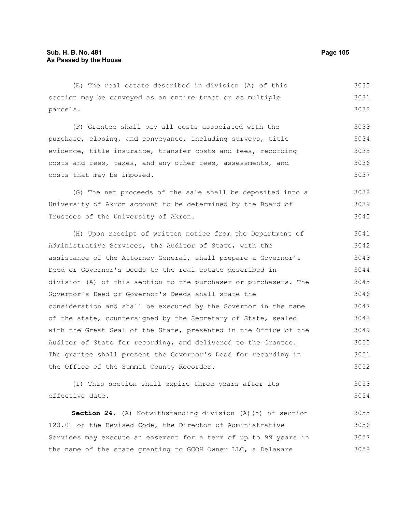#### (E) The real estate described in division (A) of this section may be conveyed as an entire tract or as multiple parcels. (F) Grantee shall pay all costs associated with the purchase, closing, and conveyance, including surveys, title evidence, title insurance, transfer costs and fees, recording costs and fees, taxes, and any other fees, assessments, and costs that may be imposed. (G) The net proceeds of the sale shall be deposited into a University of Akron account to be determined by the Board of Trustees of the University of Akron. (H) Upon receipt of written notice from the Department of Administrative Services, the Auditor of State, with the assistance of the Attorney General, shall prepare a Governor's Deed or Governor's Deeds to the real estate described in division (A) of this section to the purchaser or purchasers. The Governor's Deed or Governor's Deeds shall state the consideration and shall be executed by the Governor in the name of the state, countersigned by the Secretary of State, sealed with the Great Seal of the State, presented in the Office of the Auditor of State for recording, and delivered to the Grantee. The grantee shall present the Governor's Deed for recording in the Office of the Summit County Recorder. (I) This section shall expire three years after its effective date. **Section 24.** (A) Notwithstanding division (A)(5) of section 3030 3031 3032 3033 3034 3035 3036 3037 3038 3039 3040 3041 3042 3043 3044 3045 3046 3047 3048 3049 3050 3051 3052 3053 3054 3055

123.01 of the Revised Code, the Director of Administrative Services may execute an easement for a term of up to 99 years in the name of the state granting to GCOH Owner LLC, a Delaware 3056 3057 3058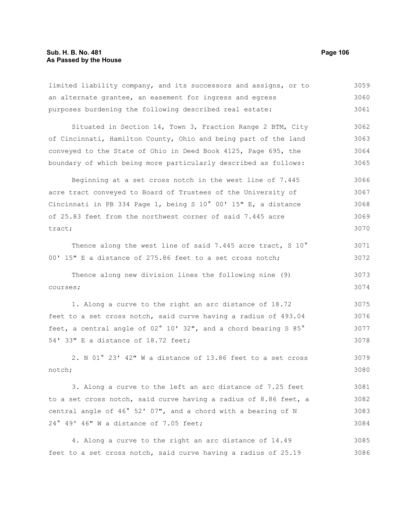limited liability company, and its successors and assigns, or to an alternate grantee, an easement for ingress and egress purposes burdening the following described real estate: Situated in Section 14, Town 3, Fraction Range 2 BTM, City of Cincinnati, Hamilton County, Ohio and being part of the land conveyed to the State of Ohio in Deed Book 4125, Page 695, the boundary of which being more particularly described as follows: Beginning at a set cross notch in the west line of 7.445 acre tract conveyed to Board of Trustees of the University of Cincinnati in PB 334 Page 1, being S 10° 00' 15" E, a distance of 25.83 feet from the northwest corner of said 7.445 acre tract; Thence along the west line of said 7.445 acre tract, S 10° 00' 15" E a distance of 275.86 feet to a set cross notch; Thence along new division lines the following nine (9) courses; 1. Along a curve to the right an arc distance of 18.72 feet to a set cross notch, said curve having a radius of 493.04 feet, a central angle of 02° 10' 32", and a chord bearing S 85° 54' 33" E a distance of 18.72 feet; 2. N 01° 23' 42" W a distance of 13.86 feet to a set cross 3059 3060 3061 3062 3063 3064 3065 3066 3067 3068 3069 3070 3071 3072 3073 3074 3075 3076 3077 3078 3079

notch; 3080

3. Along a curve to the left an arc distance of 7.25 feet to a set cross notch, said curve having a radius of 8.86 feet, a central angle of 46° 52' 07", and a chord with a bearing of N 24° 49' 46" W a distance of 7.05 feet; 3081 3082 3083 3084

4. Along a curve to the right an arc distance of 14.49 feet to a set cross notch, said curve having a radius of 25.19 3085 3086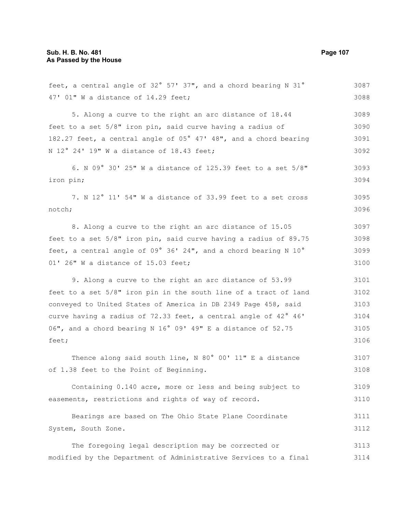| feet, a central angle of 32° 57' 37", and a chord bearing N 31°  | 3087 |
|------------------------------------------------------------------|------|
| 47' 01" W a distance of 14.29 feet;                              | 3088 |
| 5. Along a curve to the right an arc distance of 18.44           | 3089 |
| feet to a set 5/8" iron pin, said curve having a radius of       | 3090 |
| 182.27 feet, a central angle of 05° 47' 48", and a chord bearing | 3091 |
| N 12° 24' 19" W a distance of 18.43 feet;                        | 3092 |
| 6. N 09° 30' 25" W a distance of 125.39 feet to a set 5/8"       | 3093 |
| iron pin;                                                        | 3094 |
| 7. N 12° 11' 54" W a distance of 33.99 feet to a set cross       | 3095 |
| notch;                                                           | 3096 |
| 8. Along a curve to the right an arc distance of 15.05           | 3097 |
| feet to a set 5/8" iron pin, said curve having a radius of 89.75 | 3098 |
| feet, a central angle of 09° 36' 24", and a chord bearing N 10°  | 3099 |
| 01' 26" W a distance of 15.03 feet;                              | 3100 |
| 9. Along a curve to the right an arc distance of 53.99           | 3101 |
| feet to a set 5/8" iron pin in the south line of a tract of land | 3102 |
| conveyed to United States of America in DB 2349 Page 458, said   | 3103 |
| curve having a radius of 72.33 feet, a central angle of 42° 46'  | 3104 |
| 06", and a chord bearing N 16° 09' 49" E a distance of 52.75     | 3105 |
| feet;                                                            | 3106 |
| Thence along said south line, N 80° 00' 11" E a distance         | 3107 |
| of 1.38 feet to the Point of Beginning.                          | 3108 |
| Containing 0.140 acre, more or less and being subject to         | 3109 |
| easements, restrictions and rights of way of record.             | 3110 |
| Bearings are based on The Ohio State Plane Coordinate            | 3111 |
| System, South Zone.                                              | 3112 |
| The foregoing legal description may be corrected or              | 3113 |
| modified by the Department of Administrative Services to a final | 3114 |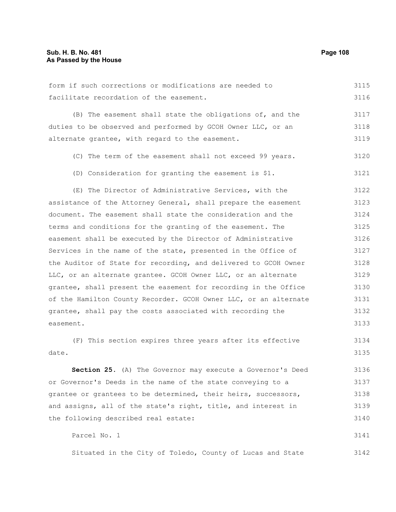form if such corrections or modifications are needed to facilitate recordation of the easement. (B) The easement shall state the obligations of, and the duties to be observed and performed by GCOH Owner LLC, or an alternate grantee, with regard to the easement. (C) The term of the easement shall not exceed 99 years. (D) Consideration for granting the easement is \$1. (E) The Director of Administrative Services, with the assistance of the Attorney General, shall prepare the easement document. The easement shall state the consideration and the terms and conditions for the granting of the easement. The easement shall be executed by the Director of Administrative Services in the name of the state, presented in the Office of the Auditor of State for recording, and delivered to GCOH Owner LLC, or an alternate grantee. GCOH Owner LLC, or an alternate grantee, shall present the easement for recording in the Office of the Hamilton County Recorder. GCOH Owner LLC, or an alternate grantee, shall pay the costs associated with recording the easement. (F) This section expires three years after its effective date. **Section 25.** (A) The Governor may execute a Governor's Deed or Governor's Deeds in the name of the state conveying to a 3115 3116 3117 3118 3119 3120 3121 3122 3123 3124 3125 3126 3127 3128 3129 3130 3131 3132 3133 3134 3135 3136 3137

grantee or grantees to be determined, their heirs, successors, and assigns, all of the state's right, title, and interest in the following described real estate: 3138 3139 3140

Parcel No. 1 3141

Situated in the City of Toledo, County of Lucas and State 3142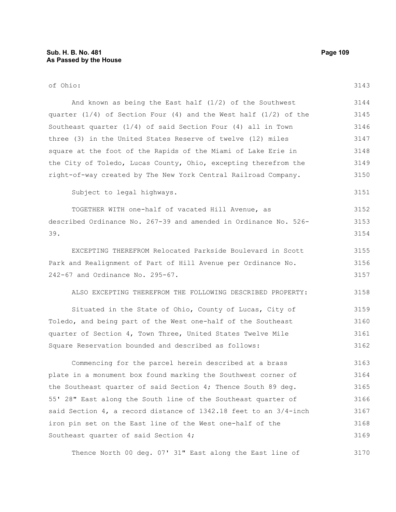| of Ohio:                                                             | 3143 |
|----------------------------------------------------------------------|------|
| And known as being the East half $(1/2)$ of the Southwest            | 3144 |
| quarter $(1/4)$ of Section Four (4) and the West half $(1/2)$ of the | 3145 |
| Southeast quarter $(1/4)$ of said Section Four $(4)$ all in Town     | 3146 |
| three (3) in the United States Reserve of twelve (12) miles          | 3147 |
| square at the foot of the Rapids of the Miami of Lake Erie in        | 3148 |
| the City of Toledo, Lucas County, Ohio, excepting therefrom the      | 3149 |
| right-of-way created by The New York Central Railroad Company.       | 3150 |
| Subject to legal highways.                                           | 3151 |
| TOGETHER WITH one-half of vacated Hill Avenue, as                    | 3152 |
| described Ordinance No. 267-39 and amended in Ordinance No. 526-     | 3153 |
| 39.                                                                  | 3154 |
| EXCEPTING THEREFROM Relocated Parkside Boulevard in Scott            | 3155 |
| Park and Realignment of Part of Hill Avenue per Ordinance No.        | 3156 |
| 242-67 and Ordinance No. 295-67.                                     | 3157 |
| ALSO EXCEPTING THEREFROM THE FOLLOWING DESCRIBED PROPERTY:           | 3158 |
| Situated in the State of Ohio, County of Lucas, City of              | 3159 |
| Toledo, and being part of the West one-half of the Southeast         | 3160 |
| quarter of Section 4, Town Three, United States Twelve Mile          | 3161 |
| Square Reservation bounded and described as follows:                 | 3162 |
| Commencing for the parcel herein described at a brass                | 3163 |
| plate in a monument box found marking the Southwest corner of        | 3164 |
| the Southeast quarter of said Section 4; Thence South 89 deg.        | 3165 |
| 55' 28" East along the South line of the Southeast quarter of        | 3166 |
| said Section 4, a record distance of 1342.18 feet to an 3/4-inch     | 3167 |
| iron pin set on the East line of the West one-half of the            | 3168 |
| Southeast quarter of said Section 4;                                 | 3169 |

Thence North 00 deg. 07' 31" East along the East line of 3170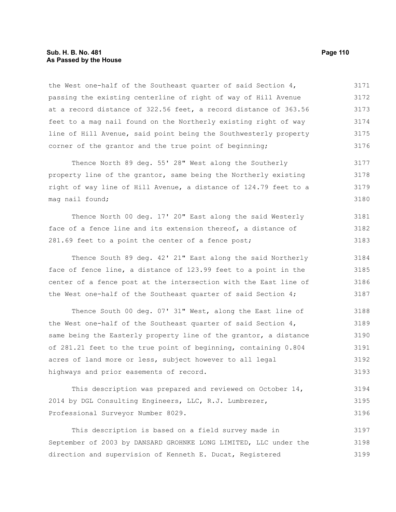### **Sub. H. B. No. 481 Page 110 As Passed by the House**

the West one-half of the Southeast quarter of said Section 4, passing the existing centerline of right of way of Hill Avenue at a record distance of 322.56 feet, a record distance of 363.56 feet to a mag nail found on the Northerly existing right of way line of Hill Avenue, said point being the Southwesterly property corner of the grantor and the true point of beginning; 3171 3172 3173 3174 3175 3176

Thence North 89 deg. 55' 28" West along the Southerly property line of the grantor, same being the Northerly existing right of way line of Hill Avenue, a distance of 124.79 feet to a mag nail found; 3177 3178 3179 3180

Thence North 00 deg. 17' 20" East along the said Westerly face of a fence line and its extension thereof, a distance of 281.69 feet to a point the center of a fence post; 3181 3182 3183

Thence South 89 deg. 42' 21" East along the said Northerly face of fence line, a distance of 123.99 feet to a point in the center of a fence post at the intersection with the East line of the West one-half of the Southeast quarter of said Section 4; 3184 3185 3186 3187

Thence South 00 deg. 07' 31" West, along the East line of the West one-half of the Southeast quarter of said Section 4, same being the Easterly property line of the grantor, a distance of 281.21 feet to the true point of beginning, containing 0.804 acres of land more or less, subject however to all legal highways and prior easements of record. 3188 3189 3190 3191 3192 3193

This description was prepared and reviewed on October 14, 2014 by DGL Consulting Engineers, LLC, R.J. Lumbrezer, Professional Surveyor Number 8029. 3194 3195 3196

This description is based on a field survey made in September of 2003 by DANSARD GROHNKE LONG LIMITED, LLC under the direction and supervision of Kenneth E. Ducat, Registered 3197 3198 3199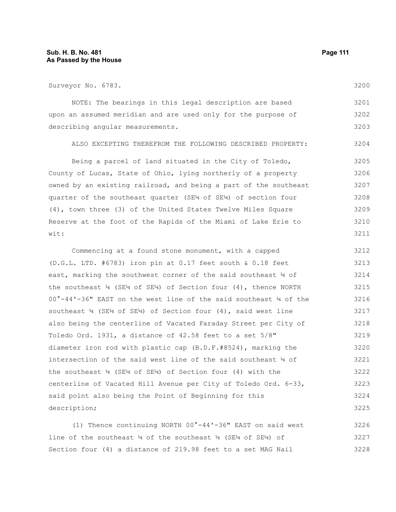description;

Surveyor No. 6783. NOTE: The bearings in this legal description are based upon an assumed meridian and are used only for the purpose of describing angular measurements. ALSO EXCEPTING THEREFROM THE FOLLOWING DESCRIBED PROPERTY: Being a parcel of land situated in the City of Toledo, County of Lucas, State of Ohio, lying northerly of a property owned by an existing railroad, and being a part of the southeast quarter of the southeast quarter (SE¼ of SE¼) of section four (4), town three (3) of the United States Twelve Miles Square Reserve at the foot of the Rapids of the Miami of Lake Erie to wit: Commencing at a found stone monument, with a capped (D.G.L. LTD. #6783) iron pin at 0.17 feet south & 0.18 feet east, marking the southwest corner of the said southeast ¼ of the southeast  $\frac{1}{4}$  (SE<sup>1</sup>4 of SE<sup>14</sup>) of Section four (4), thence NORTH 00°-44'-36" EAST on the west line of the said southeast ¼ of the southeast ¼ (SE¼ of SE¼) of Section four (4), said west line also being the centerline of Vacated Faraday Street per City of 3200 3201 3202 3203 3204 3205 3206 3207 3208 3209 3210 3211 3212 3213 3214 3215 3216 3217 3218

(1) Thence continuing NORTH 00°-44'-36" EAST on said west line of the southeast ¼ of the southeast ¼ (SE¼ of SE¼) of Section four (4) a distance of 219.98 feet to a set MAG Nail 3226 3227 3228

Toledo Ord. 1931, a distance of 42.58 feet to a set 5/8"

the southeast  $\frac{1}{4}$  (SE<sup>1</sup>4 of SE<sup>1</sup>4) of Section four (4) with the

said point also being the Point of Beginning for this

diameter iron rod with plastic cap (B.D.F.#8524), marking the intersection of the said west line of the said southeast ¼ of

centerline of Vacated Hill Avenue per City of Toledo Ord. 6-33,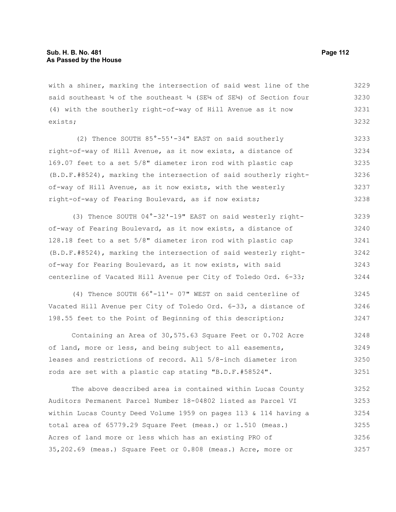with a shiner, marking the intersection of said west line of the said southeast  $\frac{1}{4}$  of the southeast  $\frac{1}{4}$  (SE $\frac{1}{4}$ ) of Section four (4) with the southerly right-of-way of Hill Avenue as it now exists; 3229 3230 3231 3232

(2) Thence SOUTH 85°-55'-34" EAST on said southerly right-of-way of Hill Avenue, as it now exists, a distance of l69.07 feet to a set 5/8" diameter iron rod with plastic cap (B.D.F.#8524), marking the intersection of said southerly rightof-way of Hill Avenue, as it now exists, with the westerly right-of-way of Fearing Boulevard, as if now exists; 3233 3234 3235 3236 3237 3238

(3) Thence SOUTH 04°-32'-19" EAST on said westerly rightof-way of Fearing Boulevard, as it now exists, a distance of 128.18 feet to a set 5/8" diameter iron rod with plastic cap (B.D.F.#8524), marking the intersection of said westerly rightof-way for Fearing Boulevard, as it now exists, with said centerline of Vacated Hill Avenue per City of Toledo Ord. 6-33; 3239 3240 3241 3242 3243 3244

(4) Thence SOUTH 66°-11'- 07" WEST on said centerline of Vacated Hill Avenue per City of Toledo Ord. 6-33, a distance of 198.55 feet to the Point of Beginning of this description; 3245 3246 3247

Containing an Area of 30,575.63 Square Feet or 0.702 Acre of land, more or less, and being subject to all easements, leases and restrictions of record. All 5/8-inch diameter iron rods are set with a plastic cap stating "B.D.F.#58524". 3248 3249 3250 3251

The above described area is contained within Lucas County Auditors Permanent Parcel Number 18-04802 listed as Parcel VI within Lucas County Deed Volume 1959 on pages 113 & 114 having a total area of 65779.29 Square Feet (meas.) or 1.510 (meas.) Acres of land more or less which has an existing PRO of 35,202.69 (meas.) Square Feet or 0.808 (meas.) Acre, more or 3252 3253 3254 3255 3256 3257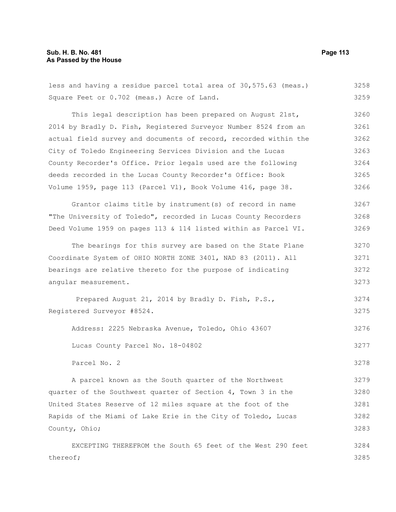# **Sub. H. B. No. 481 Page 113 As Passed by the House**

| less and having a residue parcel total area of 30,575.63 (meas.) | 3258 |
|------------------------------------------------------------------|------|
| Square Feet or 0.702 (meas.) Acre of Land.                       | 3259 |
| This legal description has been prepared on August 21st,         | 3260 |
| 2014 by Bradly D. Fish, Registered Surveyor Number 8524 from an  | 3261 |
| actual field survey and documents of record, recorded within the | 3262 |
| City of Toledo Engineering Services Division and the Lucas       | 3263 |
| County Recorder's Office. Prior legals used are the following    | 3264 |
| deeds recorded in the Lucas County Recorder's Office: Book       | 3265 |
| Volume 1959, page 113 (Parcel V1), Book Volume 416, page 38.     | 3266 |
| Grantor claims title by instrument (s) of record in name         | 3267 |
| "The University of Toledo", recorded in Lucas County Recorders   | 3268 |
| Deed Volume 1959 on pages 113 & 114 listed within as Parcel VI.  | 3269 |
| The bearings for this survey are based on the State Plane        | 3270 |
| Coordinate System of OHIO NORTH ZONE 3401, NAD 83 (2011). All    | 3271 |
| bearings are relative thereto for the purpose of indicating      | 3272 |
| angular measurement.                                             | 3273 |
| Prepared August 21, 2014 by Bradly D. Fish, P.S.,                | 3274 |
| Registered Surveyor #8524.                                       | 3275 |
| Address: 2225 Nebraska Avenue, Toledo, Ohio 43607                | 3276 |
| Lucas County Parcel No. 18-04802                                 | 3277 |
| Parcel No. 2                                                     | 3278 |
| A parcel known as the South quarter of the Northwest             | 3279 |
| quarter of the Southwest quarter of Section 4, Town 3 in the     | 3280 |
| United States Reserve of 12 miles square at the foot of the      | 3281 |
| Rapids of the Miami of Lake Erie in the City of Toledo, Lucas    | 3282 |
| County, Ohio;                                                    | 3283 |
| EXCEPTING THEREFROM the South 65 feet of the West 290 feet       | 3284 |
| thereof;                                                         | 3285 |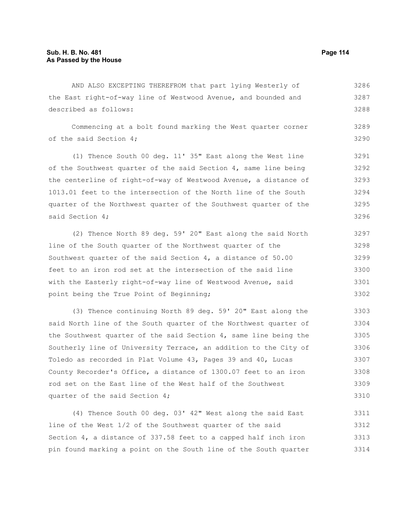AND ALSO EXCEPTING THEREFROM that part lying Westerly of the East right-of-way line of Westwood Avenue, and bounded and described as follows: 3286 3287 3288

Commencing at a bolt found marking the West quarter corner of the said Section 4; 3289 3290

(1) Thence South 00 deg. 11' 35" East along the West line of the Southwest quarter of the said Section 4, same line being the centerline of right-of-way of Westwood Avenue, a distance of 1013.01 feet to the intersection of the North line of the South quarter of the Northwest quarter of the Southwest quarter of the said Section 4; 3291 3292 3293 3294 3296

(2) Thence North 89 deg. 59' 20" East along the said North line of the South quarter of the Northwest quarter of the Southwest quarter of the said Section 4, a distance of 50.00 feet to an iron rod set at the intersection of the said line with the Easterly right-of-way line of Westwood Avenue, said point being the True Point of Beginning; 3297 3298 3299 3300 3302

(3) Thence continuing North 89 deg. 59' 20" East along the said North line of the South quarter of the Northwest quarter of the Southwest quarter of the said Section 4, same line being the Southerly line of University Terrace, an addition to the City of Toledo as recorded in Plat Volume 43, Pages 39 and 40, Lucas County Recorder's Office, a distance of 1300.07 feet to an iron rod set on the East line of the West half of the Southwest quarter of the said Section 4; 3303 3304 3305 3306 3307 3308 3309 3310

(4) Thence South 00 deg. 03' 42" West along the said East line of the West 1/2 of the Southwest quarter of the said Section 4, a distance of 337.58 feet to a capped half inch iron pin found marking a point on the South line of the South quarter 3311 3312 3313 3314

- 
- 3295

3301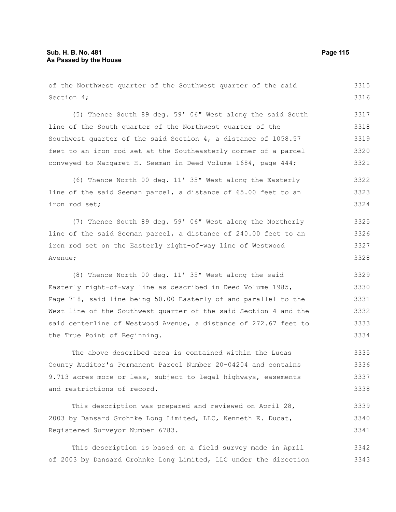of the Northwest quarter of the Southwest quarter of the said Section 4; 3315 3316

(5) Thence South 89 deg. 59' 06" West along the said South line of the South quarter of the Northwest quarter of the Southwest quarter of the said Section 4, a distance of 1058.57 feet to an iron rod set at the Southeasterly corner of a parcel conveyed to Margaret H. Seeman in Deed Volume 1684, page 444; 3317 3318 3319 3320 3321

(6) Thence North 00 deg. 11' 35" West along the Easterly line of the said Seeman parcel, a distance of 65.00 feet to an iron rod set; 3322 3323 3324

(7) Thence South 89 deg. 59' 06" West along the Northerly line of the said Seeman parcel, a distance of 240.00 feet to an iron rod set on the Easterly right-of-way line of Westwood Avenue; 3325 3326 3327 3328

(8) Thence North 00 deg. 11' 35" West along the said Easterly right-of-way line as described in Deed Volume 1985, Page 718, said line being 50.00 Easterly of and parallel to the West line of the Southwest quarter of the said Section 4 and the said centerline of Westwood Avenue, a distance of 272.67 feet to the True Point of Beginning. 3329 3330 3331 3332 3333 3334

The above described area is contained within the Lucas County Auditor's Permanent Parcel Number 20-04204 and contains 9.713 acres more or less, subject to legal highways, easements and restrictions of record. 3335 3336 3337 3338

This description was prepared and reviewed on April 28, 2003 by Dansard Grohnke Long Limited, LLC, Kenneth E. Ducat, Registered Surveyor Number 6783. 3339 3340 3341

This description is based on a field survey made in April of 2003 by Dansard Grohnke Long Limited, LLC under the direction 3342 3343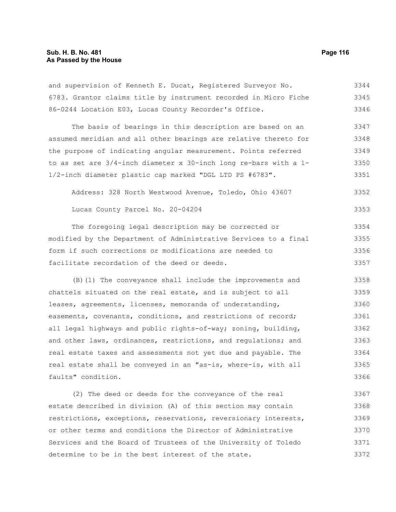#### **Sub. H. B. No. 481 Page 116 As Passed by the House**

and supervision of Kenneth E. Ducat, Registered Surveyor No. 6783. Grantor claims title by instrument recorded in Micro Fiche 86-0244 Location E03, Lucas County Recorder's Office. 3344 3345 3346

The basis of bearings in this description are based on an assumed meridian and all other bearings are relative thereto for the purpose of indicating angular measurement. Points referred to as set are 3/4-inch diameter x 30-inch long re-bars with a 1- 1/2-inch diameter plastic cap marked "DGL LTD PS #6783". 3347 3348 3349 3350 3351

Address: 328 North Westwood Avenue, Toledo, Ohio 43607 3352

Lucas County Parcel No. 20-04204

The foregoing legal description may be corrected or modified by the Department of Administrative Services to a final form if such corrections or modifications are needed to facilitate recordation of the deed or deeds. 3354 3355 3356 3357

(B)(1) The conveyance shall include the improvements and chattels situated on the real estate, and is subject to all leases, agreements, licenses, memoranda of understanding, easements, covenants, conditions, and restrictions of record; all legal highways and public rights-of-way; zoning, building, and other laws, ordinances, restrictions, and regulations; and real estate taxes and assessments not yet due and payable. The real estate shall be conveyed in an "as-is, where-is, with all faults" condition. 3358 3359 3360 3361 3362 3363 3364 3365 3366

(2) The deed or deeds for the conveyance of the real estate described in division (A) of this section may contain restrictions, exceptions, reservations, reversionary interests, or other terms and conditions the Director of Administrative Services and the Board of Trustees of the University of Toledo determine to be in the best interest of the state. 3367 3368 3369 3370 3371 3372

3353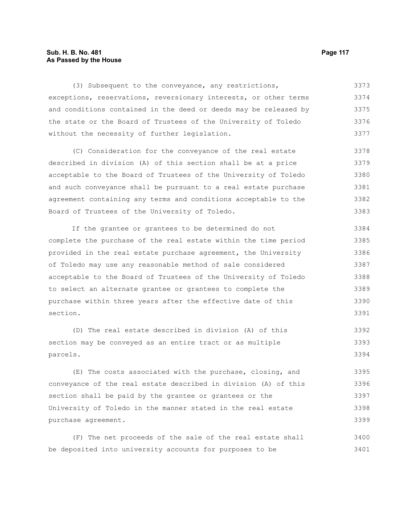### **Sub. H. B. No. 481 Page 117 As Passed by the House**

(3) Subsequent to the conveyance, any restrictions, exceptions, reservations, reversionary interests, or other terms and conditions contained in the deed or deeds may be released by the state or the Board of Trustees of the University of Toledo without the necessity of further legislation. 3373 3374 3375 3376 3377

(C) Consideration for the conveyance of the real estate described in division (A) of this section shall be at a price acceptable to the Board of Trustees of the University of Toledo and such conveyance shall be pursuant to a real estate purchase agreement containing any terms and conditions acceptable to the Board of Trustees of the University of Toledo. 3378 3379 3380 3381 3382 3383

If the grantee or grantees to be determined do not complete the purchase of the real estate within the time period provided in the real estate purchase agreement, the University of Toledo may use any reasonable method of sale considered acceptable to the Board of Trustees of the University of Toledo to select an alternate grantee or grantees to complete the purchase within three years after the effective date of this section. 3384 3385 3386 3387 3388 3389 3390 3391

(D) The real estate described in division (A) of this section may be conveyed as an entire tract or as multiple parcels. 3392 3393 3394

(E) The costs associated with the purchase, closing, and conveyance of the real estate described in division (A) of this section shall be paid by the grantee or grantees or the University of Toledo in the manner stated in the real estate purchase agreement. 3395 3396 3397 3398 3399

(F) The net proceeds of the sale of the real estate shall be deposited into university accounts for purposes to be 3400 3401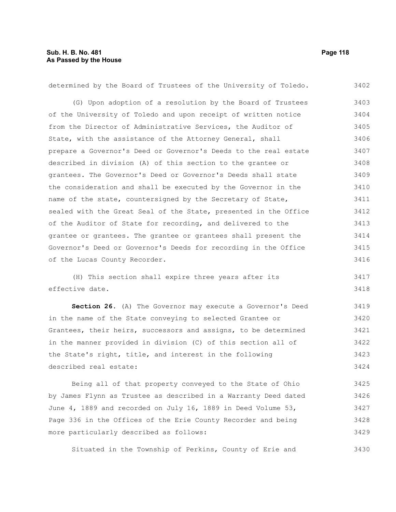3430

| determined by the Board of Trustees of the University of Toledo. | 3402 |
|------------------------------------------------------------------|------|
| (G) Upon adoption of a resolution by the Board of Trustees       | 3403 |
| of the University of Toledo and upon receipt of written notice   | 3404 |
| from the Director of Administrative Services, the Auditor of     | 3405 |
| State, with the assistance of the Attorney General, shall        | 3406 |
| prepare a Governor's Deed or Governor's Deeds to the real estate | 3407 |
| described in division (A) of this section to the grantee or      | 3408 |
| grantees. The Governor's Deed or Governor's Deeds shall state    | 3409 |
| the consideration and shall be executed by the Governor in the   | 3410 |
| name of the state, countersigned by the Secretary of State,      | 3411 |
| sealed with the Great Seal of the State, presented in the Office | 3412 |
| of the Auditor of State for recording, and delivered to the      | 3413 |
| grantee or grantees. The grantee or grantees shall present the   | 3414 |
| Governor's Deed or Governor's Deeds for recording in the Office  | 3415 |
| of the Lucas County Recorder.                                    | 3416 |
|                                                                  |      |

(H) This section shall expire three years after its effective date. 3417 3418

**Section 26.** (A) The Governor may execute a Governor's Deed in the name of the State conveying to selected Grantee or Grantees, their heirs, successors and assigns, to be determined in the manner provided in division (C) of this section all of the State's right, title, and interest in the following described real estate: 3419 3420 3421 3422 3423 3424

Being all of that property conveyed to the State of Ohio by James Flynn as Trustee as described in a Warranty Deed dated June 4, 1889 and recorded on July 16, 1889 in Deed Volume 53, Page 336 in the Offices of the Erie County Recorder and being more particularly described as follows: 3425 3426 3427 3428 3429

Situated in the Township of Perkins, County of Erie and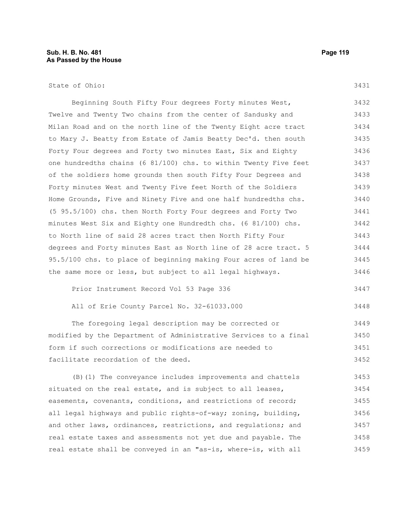## State of Ohio:

3431

3448

| Beginning South Fifty Four degrees Forty minutes West,           | 3432 |
|------------------------------------------------------------------|------|
| Twelve and Twenty Two chains from the center of Sandusky and     | 3433 |
| Milan Road and on the north line of the Twenty Eight acre tract  | 3434 |
| to Mary J. Beatty from Estate of Jamis Beatty Dec'd. then south  | 3435 |
| Forty Four degrees and Forty two minutes East, Six and Eighty    | 3436 |
| one hundredths chains (6 81/100) chs. to within Twenty Five feet | 3437 |
| of the soldiers home grounds then south Fifty Four Degrees and   | 3438 |
| Forty minutes West and Twenty Five feet North of the Soldiers    | 3439 |
| Home Grounds, Five and Ninety Five and one half hundredths chs.  | 3440 |
| $(5\ 95.5/100)$ chs. then North Forty Four degrees and Forty Two | 3441 |
| minutes West Six and Eighty one Hundredth chs. (6 81/100) chs.   | 3442 |
| to North line of said 28 acres tract then North Fifty Four       | 3443 |
| degrees and Forty minutes East as North line of 28 acre tract. 5 | 3444 |
| 95.5/100 chs. to place of beginning making Four acres of land be | 3445 |
| the same more or less, but subject to all legal highways.        | 3446 |
|                                                                  |      |

Prior Instrument Record Vol 53 Page 336 3447

```
All of Erie County Parcel No. 32-61033.000
```
The foregoing legal description may be corrected or modified by the Department of Administrative Services to a final form if such corrections or modifications are needed to facilitate recordation of the deed. 3449 3450 3451 3452

(B)(1) The conveyance includes improvements and chattels situated on the real estate, and is subject to all leases, easements, covenants, conditions, and restrictions of record; all legal highways and public rights-of-way; zoning, building, and other laws, ordinances, restrictions, and regulations; and real estate taxes and assessments not yet due and payable. The real estate shall be conveyed in an "as-is, where-is, with all 3453 3454 3455 3456 3457 3458 3459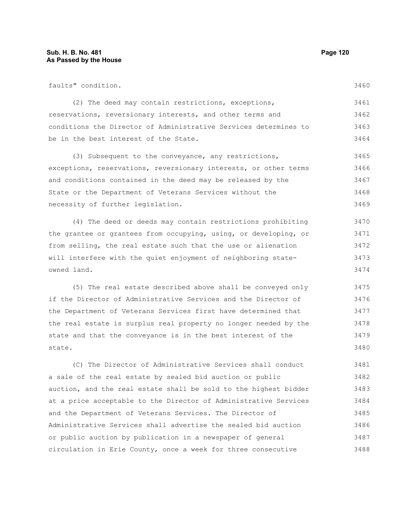faults" condition.

3460

(2) The deed may contain restrictions, exceptions, reservations, reversionary interests, and other terms and conditions the Director of Administrative Services determines to be in the best interest of the State. 3461 3462 3463 3464

(3) Subsequent to the conveyance, any restrictions, exceptions, reservations, reversionary interests, or other terms and conditions contained in the deed may be released by the State or the Department of Veterans Services without the necessity of further legislation. 3465 3466 3467 3468 3469

(4) The deed or deeds may contain restrictions prohibiting the grantee or grantees from occupying, using, or developing, or from selling, the real estate such that the use or alienation will interfere with the quiet enjoyment of neighboring stateowned land. 3470 3471 3472 3473 3474

(5) The real estate described above shall be conveyed only if the Director of Administrative Services and the Director of the Department of Veterans Services first have determined that the real estate is surplus real property no longer needed by the state and that the conveyance is in the best interest of the state. 3475 3476 3477 3478 3479 3480

(C) The Director of Administrative Services shall conduct a sale of the real estate by sealed bid auction or public auction, and the real estate shall be sold to the highest bidder at a price acceptable to the Director of Administrative Services and the Department of Veterans Services. The Director of Administrative Services shall advertise the sealed bid auction or public auction by publication in a newspaper of general circulation in Erie County, once a week for three consecutive 3481 3482 3483 3484 3485 3486 3487 3488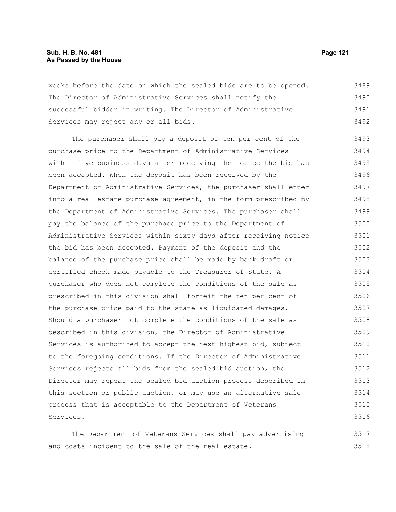weeks before the date on which the sealed bids are to be opened. The Director of Administrative Services shall notify the successful bidder in writing. The Director of Administrative Services may reject any or all bids. 3489 3490 3491 3492

The purchaser shall pay a deposit of ten per cent of the purchase price to the Department of Administrative Services within five business days after receiving the notice the bid has been accepted. When the deposit has been received by the Department of Administrative Services, the purchaser shall enter into a real estate purchase agreement, in the form prescribed by the Department of Administrative Services. The purchaser shall pay the balance of the purchase price to the Department of Administrative Services within sixty days after receiving notice the bid has been accepted. Payment of the deposit and the balance of the purchase price shall be made by bank draft or certified check made payable to the Treasurer of State. A purchaser who does not complete the conditions of the sale as prescribed in this division shall forfeit the ten per cent of the purchase price paid to the state as liquidated damages. Should a purchaser not complete the conditions of the sale as described in this division, the Director of Administrative Services is authorized to accept the next highest bid, subject to the foregoing conditions. If the Director of Administrative Services rejects all bids from the sealed bid auction, the Director may repeat the sealed bid auction process described in this section or public auction, or may use an alternative sale process that is acceptable to the Department of Veterans Services. 3493 3494 3495 3496 3497 3498 3499 3500 3501 3502 3503 3504 3505 3506 3507 3508 3509 3510 3511 3512 3513 3514 3515 3516

The Department of Veterans Services shall pay advertising and costs incident to the sale of the real estate. 3517 3518